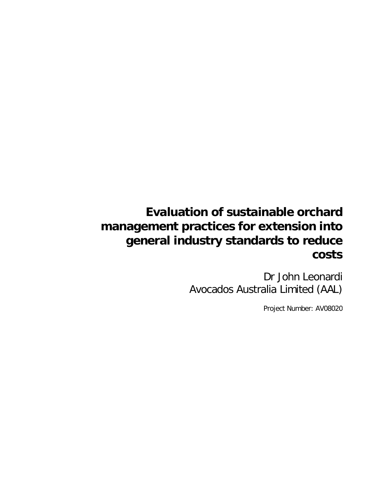# **Evaluation of sustainable orchard management practices for extension into general industry standards to reduce costs**

Dr John Leonardi Avocados Australia Limited (AAL)

Project Number: AV08020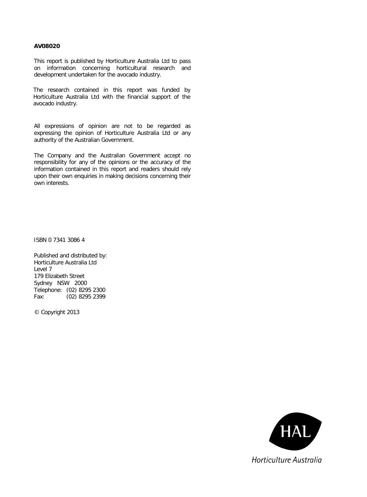#### **AV08020**

This report is published by Horticulture Australia Ltd to pass on information concerning horticultural research and development undertaken for the avocado industry.

The research contained in this report was funded by Horticulture Australia Ltd with the financial support of the avocado industry.

All expressions of opinion are not to be regarded as expressing the opinion of Horticulture Australia Ltd or any authority of the Australian Government.

The Company and the Australian Government accept no responsibility for any of the opinions or the accuracy of the information contained in this report and readers should rely upon their own enquiries in making decisions concerning their own interests.

ISBN 0 7341 3086 4

Published and distributed by: Horticulture Australia Ltd Level 7 179 Elizabeth Street Sydney NSW 2000 Telephone: (02) 8295 2300 Fax: (02) 8295 2399

© Copyright 2013

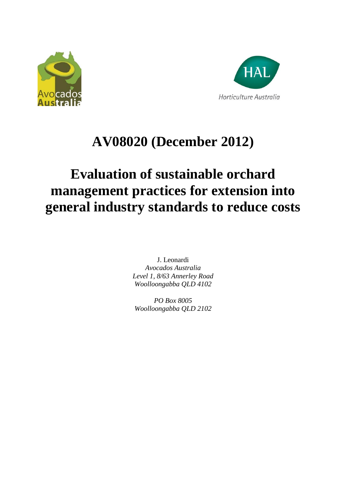



# **AV08020 (December 2012)**

# **Evaluation of sustainable orchard management practices for extension into general industry standards to reduce costs**

J. Leonardi *Avocados Australia Level 1, 8/63 Annerley Road Woolloongabba QLD 4102*

*PO Box 8005 Woolloongabba QLD 2102*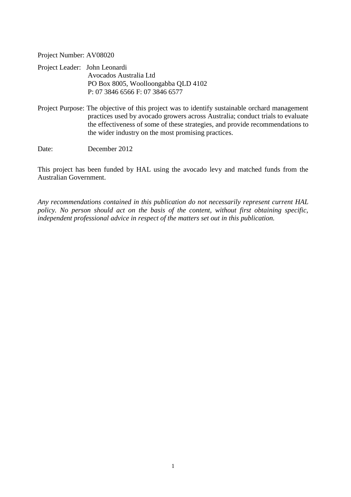Project Number: AV08020

| Project Leader: John Leonardi |                                     |
|-------------------------------|-------------------------------------|
|                               | Avocados Australia Ltd              |
|                               | PO Box 8005, Woolloongabba QLD 4102 |
|                               | P: 07 3846 6566 F: 07 3846 6577     |

Project Purpose: The objective of this project was to identify sustainable orchard management practices used by avocado growers across Australia; conduct trials to evaluate the effectiveness of some of these strategies, and provide recommendations to the wider industry on the most promising practices.

Date: December 2012

This project has been funded by HAL using the avocado levy and matched funds from the Australian Government.

*Any recommendations contained in this publication do not necessarily represent current HAL policy. No person should act on the basis of the content, without first obtaining specific, independent professional advice in respect of the matters set out in this publication.*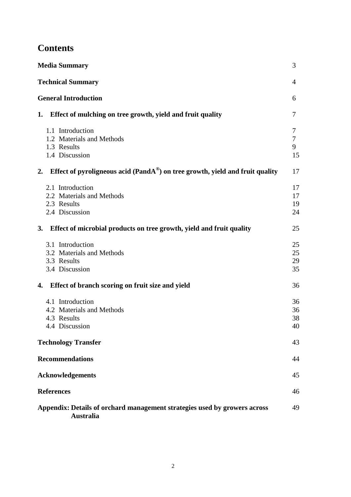# **Contents**

| <b>Media Summary</b>                                                                                | 3                      |
|-----------------------------------------------------------------------------------------------------|------------------------|
| <b>Technical Summary</b>                                                                            | $\overline{4}$         |
| <b>General Introduction</b>                                                                         | 6                      |
| Effect of mulching on tree growth, yield and fruit quality<br>1.                                    | 7                      |
| 1.1 Introduction<br>1.2 Materials and Methods<br>1.3 Results<br>1.4 Discussion                      | 7<br>$\tau$<br>9<br>15 |
| Effect of pyroligneous acid (Pand $A^{\circledast}$ ) on tree growth, yield and fruit quality<br>2. | 17                     |
| 2.1 Introduction<br>2.2 Materials and Methods<br>2.3 Results<br>2.4 Discussion                      | 17<br>17<br>19<br>24   |
| Effect of microbial products on tree growth, yield and fruit quality<br><b>3.</b>                   | 25                     |
| 3.1 Introduction<br>3.2 Materials and Methods<br>3.3 Results<br>3.4 Discussion                      | 25<br>25<br>29<br>35   |
| Effect of branch scoring on fruit size and yield<br>4.                                              | 36                     |
| 4.1 Introduction<br>4.2 Materials and Methods<br>4.3 Results<br>4.4 Discussion                      | 36<br>36<br>38<br>40   |
| <b>Technology Transfer</b>                                                                          | 43                     |
| <b>Recommendations</b>                                                                              | 44                     |
| <b>Acknowledgements</b>                                                                             | 45                     |
| <b>References</b>                                                                                   | 46                     |
| Appendix: Details of orchard management strategies used by growers across<br><b>Australia</b>       | 49                     |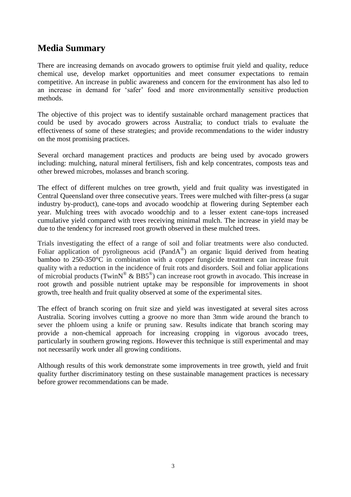# **Media Summary**

There are increasing demands on avocado growers to optimise fruit yield and quality, reduce chemical use, develop market opportunities and meet consumer expectations to remain competitive. An increase in public awareness and concern for the environment has also led to an increase in demand for 'safer' food and more environmentally sensitive production methods.

The objective of this project was to identify sustainable orchard management practices that could be used by avocado growers across Australia; to conduct trials to evaluate the effectiveness of some of these strategies; and provide recommendations to the wider industry on the most promising practices.

Several orchard management practices and products are being used by avocado growers including: mulching, natural mineral fertilisers, fish and kelp concentrates, composts teas and other brewed microbes, molasses and branch scoring.

The effect of different mulches on tree growth, yield and fruit quality was investigated in Central Queensland over three consecutive years. Trees were mulched with filter-press (a sugar industry by-product), cane-tops and avocado woodchip at flowering during September each year. Mulching trees with avocado woodchip and to a lesser extent cane-tops increased cumulative yield compared with trees receiving minimal mulch. The increase in yield may be due to the tendency for increased root growth observed in these mulched trees.

Trials investigating the effect of a range of soil and foliar treatments were also conducted. Foliar application of pyroligneous acid (PandA®) an organic liquid derived from heating bamboo to 250-350°C in combination with a copper fungicide treatment can increase fruit quality with a reduction in the incidence of fruit rots and disorders. Soil and foliar applications of microbial products (TwinN<sup>®</sup> & BB5<sup>®</sup>) can increase root growth in avocado. This increase in root growth and possible nutrient uptake may be responsible for improvements in shoot growth, tree health and fruit quality observed at some of the experimental sites.

The effect of branch scoring on fruit size and yield was investigated at several sites across Australia. Scoring involves cutting a groove no more than 3mm wide around the branch to sever the phloem using a knife or pruning saw. Results indicate that branch scoring may provide a non-chemical approach for increasing cropping in vigorous avocado trees, particularly in southern growing regions. However this technique is still experimental and may not necessarily work under all growing conditions.

Although results of this work demonstrate some improvements in tree growth, yield and fruit quality further discriminatory testing on these sustainable management practices is necessary before grower recommendations can be made.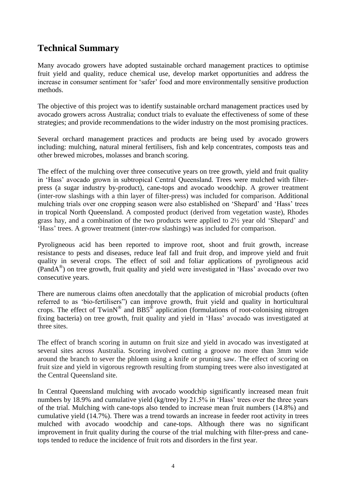# **Technical Summary**

Many avocado growers have adopted sustainable orchard management practices to optimise fruit yield and quality, reduce chemical use, develop market opportunities and address the increase in consumer sentiment for 'safer' food and more environmentally sensitive production methods.

The objective of this project was to identify sustainable orchard management practices used by avocado growers across Australia; conduct trials to evaluate the effectiveness of some of these strategies; and provide recommendations to the wider industry on the most promising practices.

Several orchard management practices and products are being used by avocado growers including: mulching, natural mineral fertilisers, fish and kelp concentrates, composts teas and other brewed microbes, molasses and branch scoring.

The effect of the mulching over three consecutive years on tree growth, yield and fruit quality in 'Hass' avocado grown in subtropical Central Queensland. Trees were mulched with filterpress (a sugar industry by-product), cane-tops and avocado woodchip. A grower treatment (inter-row slashings with a thin layer of filter-press) was included for comparison. Additional mulching trials over one cropping season were also established on 'Shepard' and 'Hass' trees in tropical North Queensland. A composted product (derived from vegetation waste), Rhodes grass hay, and a combination of the two products were applied to 2½ year old 'Shepard' and 'Hass' trees. A grower treatment (inter-row slashings) was included for comparison.

Pyroligneous acid has been reported to improve root, shoot and fruit growth, increase resistance to pests and diseases, reduce leaf fall and fruit drop, and improve yield and fruit quality in several crops. The effect of soil and foliar applications of pyroligneous acid (PandA® ) on tree growth, fruit quality and yield were investigated in 'Hass' avocado over two consecutive years.

There are numerous claims often anecdotally that the application of microbial products (often referred to as 'bio-fertilisers") can improve growth, fruit yield and quality in horticultural crops. The effect of TwinN<sup>®</sup> and BB5<sup>®</sup> application (formulations of root-colonising nitrogen fixing bacteria) on tree growth, fruit quality and yield in 'Hass' avocado was investigated at three sites.

The effect of branch scoring in autumn on fruit size and yield in avocado was investigated at several sites across Australia. Scoring involved cutting a groove no more than 3mm wide around the branch to sever the phloem using a knife or pruning saw. The effect of scoring on fruit size and yield in vigorous regrowth resulting from stumping trees were also investigated at the Central Queensland site.

In Central Queensland mulching with avocado woodchip significantly increased mean fruit numbers by 18.9% and cumulative yield (kg/tree) by 21.5% in 'Hass' trees over the three years of the trial. Mulching with cane-tops also tended to increase mean fruit numbers (14.8%) and cumulative yield (14.7%). There was a trend towards an increase in feeder root activity in trees mulched with avocado woodchip and cane-tops. Although there was no significant improvement in fruit quality during the course of the trial mulching with filter-press and canetops tended to reduce the incidence of fruit rots and disorders in the first year.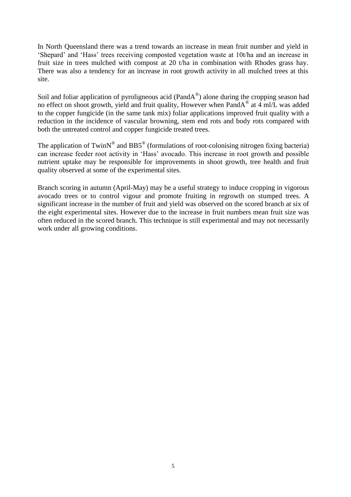In North Queensland there was a trend towards an increase in mean fruit number and yield in 'Shepard' and 'Hass' trees receiving composted vegetation waste at 10t/ha and an increase in fruit size in trees mulched with compost at 20 t/ha in combination with Rhodes grass hay. There was also a tendency for an increase in root growth activity in all mulched trees at this site.

Soil and foliar application of pyroligneous acid (PandA®) alone during the cropping season had no effect on shoot growth, yield and fruit quality, However when PandA® at 4 ml/L was added to the copper fungicide (in the same tank mix) foliar applications improved fruit quality with a reduction in the incidence of vascular browning, stem end rots and body rots compared with both the untreated control and copper fungicide treated trees.

The application of TwinN<sup>®</sup> and BB5<sup>®</sup> (formulations of root-colonising nitrogen fixing bacteria) can increase feeder root activity in 'Hass' avocado. This increase in root growth and possible nutrient uptake may be responsible for improvements in shoot growth, tree health and fruit quality observed at some of the experimental sites.

Branch scoring in autumn (April-May) may be a useful strategy to induce cropping in vigorous avocado trees or to control vigour and promote fruiting in regrowth on stumped trees. A significant increase in the number of fruit and yield was observed on the scored branch at six of the eight experimental sites. However due to the increase in fruit numbers mean fruit size was often reduced in the scored branch. This technique is still experimental and may not necessarily work under all growing conditions.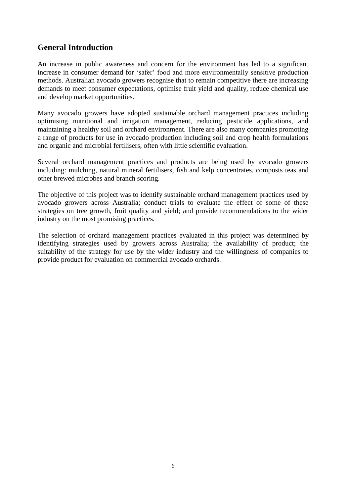# **General Introduction**

An increase in public awareness and concern for the environment has led to a significant increase in consumer demand for 'safer' food and more environmentally sensitive production methods. Australian avocado growers recognise that to remain competitive there are increasing demands to meet consumer expectations, optimise fruit yield and quality, reduce chemical use and develop market opportunities.

Many avocado growers have adopted sustainable orchard management practices including optimising nutritional and irrigation management, reducing pesticide applications, and maintaining a healthy soil and orchard environment. There are also many companies promoting a range of products for use in avocado production including soil and crop health formulations and organic and microbial fertilisers, often with little scientific evaluation.

Several orchard management practices and products are being used by avocado growers including: mulching, natural mineral fertilisers, fish and kelp concentrates, composts teas and other brewed microbes and branch scoring.

The objective of this project was to identify sustainable orchard management practices used by avocado growers across Australia; conduct trials to evaluate the effect of some of these strategies on tree growth, fruit quality and yield; and provide recommendations to the wider industry on the most promising practices.

The selection of orchard management practices evaluated in this project was determined by identifying strategies used by growers across Australia; the availability of product; the suitability of the strategy for use by the wider industry and the willingness of companies to provide product for evaluation on commercial avocado orchards.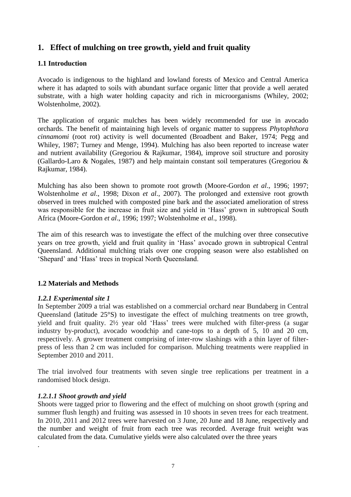# **1. Effect of mulching on tree growth, yield and fruit quality**

# **1.1 Introduction**

Avocado is indigenous to the highland and lowland forests of Mexico and Central America where it has adapted to soils with abundant surface organic litter that provide a well aerated substrate, with a high water holding capacity and rich in microorganisms (Whiley, 2002; Wolstenholme, 2002).

The application of organic mulches has been widely recommended for use in avocado orchards. The benefit of maintaining high levels of organic matter to suppress *Phytophthora cinnamomi* (root rot) activity is well documented (Broadbent and Baker, 1974; Pegg and Whiley, 1987; Turney and Menge, 1994). Mulching has also been reported to increase water and nutrient availability (Gregoriou & Rajkumar, 1984), improve soil structure and porosity (Gallardo-Laro & Nogales, 1987) and help maintain constant soil temperatures (Gregoriou & Rajkumar, 1984).

Mulching has also been shown to promote root growth (Moore-Gordon *et al*., 1996; 1997; Wolstenholme *et al*., 1998; Dixon *et al*., 2007). The prolonged and extensive root growth observed in trees mulched with composted pine bark and the associated amelioration of stress was responsible for the increase in fruit size and yield in 'Hass' grown in subtropical South Africa (Moore-Gordon *et al*., 1996; 1997; Wolstenholme *et al*., 1998).

The aim of this research was to investigate the effect of the mulching over three consecutive years on tree growth, yield and fruit quality in 'Hass' avocado grown in subtropical Central Queensland. Additional mulching trials over one cropping season were also established on 'Shepard' and 'Hass' trees in tropical North Queensland.

### **1.2 Materials and Methods**

### *1.2.1 Experimental site 1*

In September 2009 a trial was established on a commercial orchard near Bundaberg in Central Queensland (latitude 25°S) to investigate the effect of mulching treatments on tree growth, yield and fruit quality. 2½ year old 'Hass' trees were mulched with filter-press (a sugar industry by-product), avocado woodchip and cane-tops to a depth of 5, 10 and 20 cm, respectively. A grower treatment comprising of inter-row slashings with a thin layer of filterpress of less than 2 cm was included for comparison. Mulching treatments were reapplied in September 2010 and 2011.

The trial involved four treatments with seven single tree replications per treatment in a randomised block design.

### *1.2.1.1 Shoot growth and yield*

.

Shoots were tagged prior to flowering and the effect of mulching on shoot growth (spring and summer flush length) and fruiting was assessed in 10 shoots in seven trees for each treatment. In 2010, 2011 and 2012 trees were harvested on 3 June, 20 June and 18 June, respectively and the number and weight of fruit from each tree was recorded. Average fruit weight was calculated from the data. Cumulative yields were also calculated over the three years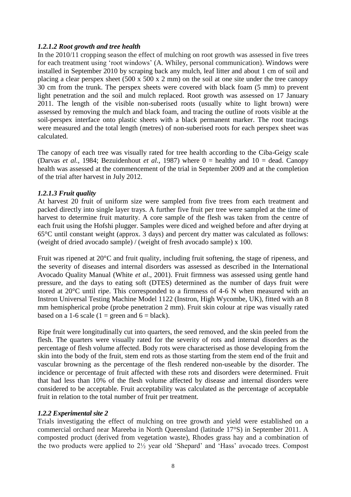### *1.2.1.2 Root growth and tree health*

In the 2010/11 cropping season the effect of mulching on root growth was assessed in five trees for each treatment using 'root windows' (A. Whiley, personal communication). Windows were installed in September 2010 by scraping back any mulch, leaf litter and about 1 cm of soil and placing a clear perspex sheet (500 x 500 x 2 mm) on the soil at one site under the tree canopy 30 cm from the trunk. The perspex sheets were covered with black foam (5 mm) to prevent light penetration and the soil and mulch replaced. Root growth was assessed on 17 January 2011. The length of the visible non-suberised roots (usually white to light brown) were assessed by removing the mulch and black foam, and tracing the outline of roots visible at the soil-perspex interface onto plastic sheets with a black permanent marker. The root tracings were measured and the total length (metres) of non-suberised roots for each perspex sheet was calculated.

The canopy of each tree was visually rated for tree health according to the Ciba-Geigy scale (Darvas *et al.*, 1984; Bezuidenhout *et al.*, 1987) where  $0 =$  healthy and  $10 =$  dead. Canopy health was assessed at the commencement of the trial in September 2009 and at the completion of the trial after harvest in July 2012.

### *1.2.1.3 Fruit quality*

At harvest 20 fruit of uniform size were sampled from five trees from each treatment and packed directly into single layer trays. A further five fruit per tree were sampled at the time of harvest to determine fruit maturity. A core sample of the flesh was taken from the centre of each fruit using the Hofshi plugger. Samples were diced and weighed before and after drying at 65°C until constant weight (approx. 3 days) and percent dry matter was calculated as follows: (weight of dried avocado sample) / (weight of fresh avocado sample) x 100.

Fruit was ripened at 20°C and fruit quality, including fruit softening, the stage of ripeness, and the severity of diseases and internal disorders was assessed as described in the International Avocado Quality Manual (White *et al*., 2001). Fruit firmness was assessed using gentle hand pressure, and the days to eating soft (DTES) determined as the number of days fruit were stored at 20°C until ripe. This corresponded to a firmness of 4-6 N when measured with an Instron Universal Testing Machine Model 1122 (Instron, High Wycombe, UK), fitted with an 8 mm hemispherical probe (probe penetration 2 mm). Fruit skin colour at ripe was visually rated based on a 1-6 scale (1 = green and  $6 =$  black).

Ripe fruit were longitudinally cut into quarters, the seed removed, and the skin peeled from the flesh. The quarters were visually rated for the severity of rots and internal disorders as the percentage of flesh volume affected. Body rots were characterised as those developing from the skin into the body of the fruit, stem end rots as those starting from the stem end of the fruit and vascular browning as the percentage of the flesh rendered non-useable by the disorder. The incidence or percentage of fruit affected with these rots and disorders were determined. Fruit that had less than 10% of the flesh volume affected by disease and internal disorders were considered to be acceptable. Fruit acceptability was calculated as the percentage of acceptable fruit in relation to the total number of fruit per treatment.

### *1.2.2 Experimental site 2*

Trials investigating the effect of mulching on tree growth and yield were established on a commercial orchard near Mareeba in North Queensland (latitude 17°S) in September 2011. A composted product (derived from vegetation waste), Rhodes grass hay and a combination of the two products were applied to 2½ year old 'Shepard' and 'Hass' avocado trees. Compost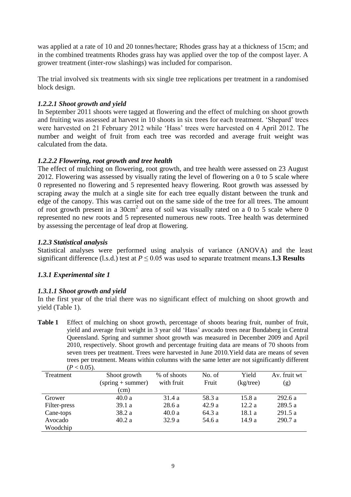was applied at a rate of 10 and 20 tonnes/hectare; Rhodes grass hay at a thickness of 15cm; and in the combined treatments Rhodes grass hay was applied over the top of the compost layer. A grower treatment (inter-row slashings) was included for comparison.

The trial involved six treatments with six single tree replications per treatment in a randomised block design.

# *1.2.2.1 Shoot growth and yield*

In September 2011 shoots were tagged at flowering and the effect of mulching on shoot growth and fruiting was assessed at harvest in 10 shoots in six trees for each treatment. 'Shepard' trees were harvested on 21 February 2012 while 'Hass' trees were harvested on 4 April 2012. The number and weight of fruit from each tree was recorded and average fruit weight was calculated from the data.

# *1.2.2.2 Flowering, root growth and tree health*

The effect of mulching on flowering, root growth, and tree health were assessed on 23 August 2012. Flowering was assessed by visually rating the level of flowering on a 0 to 5 scale where 0 represented no flowering and 5 represented heavy flowering. Root growth was assessed by scraping away the mulch at a single site for each tree equally distant between the trunk and edge of the canopy. This was carried out on the same side of the tree for all trees. The amount of root growth present in a 30cm<sup>2</sup> area of soil was visually rated on a 0 to 5 scale where 0 represented no new roots and 5 represented numerous new roots. Tree health was determined by assessing the percentage of leaf drop at flowering.

### *1.2.3 Statistical analysis*

Statistical analyses were performed using analysis of variance (ANOVA) and the least significant difference (l.s.d.) test at  $P \le 0.05$  was used to separate treatment means. **1.3 Results** 

# *1.3.1 Experimental site 1*

# *1.3.1.1 Shoot growth and yield*

In the first year of the trial there was no significant effect of mulching on shoot growth and yield (Table 1).

**Table 1** Effect of mulching on shoot growth, percentage of shoots bearing fruit, number of fruit, yield and average fruit weight in 3 year old 'Hass' avocado trees near Bundaberg in Central Queensland. Spring and summer shoot growth was measured in December 2009 and April 2010, respectively. Shoot growth and percentage fruiting data are means of 70 shoots from seven trees per treatment. Trees were harvested in June 2010.Yield data are means of seven trees per treatment. Means within columns with the same letter are not significantly different  $(P > 0.05)$ 

| $\sim$ 0.00 $\mu$ |                     |             |        |              |              |
|-------------------|---------------------|-------------|--------|--------------|--------------|
| Treatment         | Shoot growth        | % of shoots | No. of | Yield        | Av. fruit wt |
|                   | $(spring + summer)$ | with fruit  | Fruit  | $(kg$ /tree) | (g)          |
|                   | (cm)                |             |        |              |              |
| Grower            | 40.0a               | 31.4 a      | 58.3 a | 15.8 a       | 292.6 a      |
| Filter-press      | 39.1a               | 28.6a       | 42.9a  | 12.2a        | 289.5 a      |
| Cane-tops         | 38.2 a              | 40.0a       | 64.3 a | 18.1 a       | 291.5a       |
| Avocado           | 40.2a               | 32.9a       | 54.6 a | 14.9 a       | 290.7a       |
| Woodchip          |                     |             |        |              |              |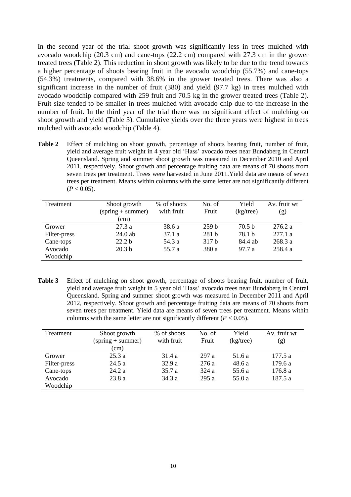In the second year of the trial shoot growth was significantly less in trees mulched with avocado woodchip (20.3 cm) and cane-tops (22.2 cm) compared with 27.3 cm in the grower treated trees (Table 2). This reduction in shoot growth was likely to be due to the trend towards a higher percentage of shoots bearing fruit in the avocado woodchip (55.7%) and cane-tops (54.3%) treatments, compared with 38.6% in the grower treated trees. There was also a significant increase in the number of fruit (380) and yield (97.7 kg) in trees mulched with avocado woodchip compared with 259 fruit and 70.5 kg in the grower treated trees (Table 2). Fruit size tended to be smaller in trees mulched with avocado chip due to the increase in the number of fruit. In the third year of the trial there was no significant effect of mulching on shoot growth and yield (Table 3). Cumulative yields over the three years were highest in trees mulched with avocado woodchip (Table 4).

**Table 2** Effect of mulching on shoot growth, percentage of shoots bearing fruit, number of fruit, yield and average fruit weight in 4 year old 'Hass' avocado trees near Bundaberg in Central Queensland. Spring and summer shoot growth was measured in December 2010 and April 2011, respectively. Shoot growth and percentage fruiting data are means of 70 shoots from seven trees per treatment. Trees were harvested in June 2011.Yield data are means of seven trees per treatment. Means within columns with the same letter are not significantly different  $(P < 0.05)$ .

| Treatment    | Shoot growth        | % of shoots | No. of           | Yield             | Av. fruit wt |
|--------------|---------------------|-------------|------------------|-------------------|--------------|
|              | $(spring + summer)$ | with fruit  | Fruit            | (kg/tree)         | (g)          |
|              | (cm)                |             |                  |                   |              |
| Grower       | 27.3a               | 38.6 a      | 259 <sub>b</sub> | 70.5 <sub>b</sub> | 276.2 a      |
| Filter-press | 24.0 ab             | 37.1a       | 281 <sub>b</sub> | 78.1 b            | 277.1 a      |
| Cane-tops    | 22.2 <sub>b</sub>   | 54.3 a      | 317 b            | 84.4 ab           | 268.3a       |
| Avocado      | 20.3 <sub>b</sub>   | 55.7 a      | 380 a            | 97.7 a            | 258.4 a      |
| Woodchip     |                     |             |                  |                   |              |

Table 3 Effect of mulching on shoot growth, percentage of shoots bearing fruit, number of fruit, yield and average fruit weight in 5 year old 'Hass' avocado trees near Bundaberg in Central Queensland. Spring and summer shoot growth was measured in December 2011 and April 2012, respectively. Shoot growth and percentage fruiting data are means of 70 shoots from seven trees per treatment. Yield data are means of seven trees per treatment. Means within columns with the same letter are not significantly different  $(P < 0.05)$ .

| Treatment    | Shoot growth        | % of shoots | No. of | Yield        | Av. fruit wt |
|--------------|---------------------|-------------|--------|--------------|--------------|
|              | $(spring + summer)$ | with fruit  | Fruit  | $(kg$ /tree) | (g)          |
|              | (cm)                |             |        |              |              |
| Grower       | 25.3a               | 31.4 a      | 297 a  | 51.6 a       | 177.5a       |
| Filter-press | 24.5 a              | 32.9 a      | 276 a  | 48.6 a       | 179.6 a      |
| Cane-tops    | 24.2a               | 35.7 a      | 324a   | 55.6 a       | 176.8a       |
| Avocado      | 23.8a               | 34.3 a      | 295 a  | 55.0 a       | 187.5 a      |
| Woodchip     |                     |             |        |              |              |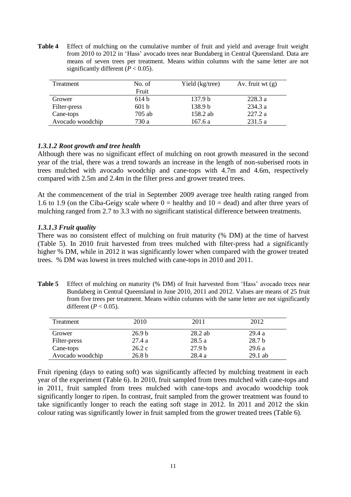**Table 4** Effect of mulching on the cumulative number of fruit and yield and average fruit weight from 2010 to 2012 in 'Hass' avocado trees near Bundaberg in Central Queensland. Data are means of seven trees per treatment. Means within columns with the same letter are not significantly different  $(P < 0.05)$ .

| Treatment        | No. of   | Yield (kg/tree)    | Av. fruit wt $(g)$ |
|------------------|----------|--------------------|--------------------|
|                  | Fruit    |                    |                    |
| Grower           | 614h     | 137.9 <sub>b</sub> | 228.3 a            |
| Filter-press     | 601 h    | 138.9 b            | 234.3a             |
| Cane-tops        | $705$ ab | 158.2 ab           | 227.2 a            |
| Avocado woodchip | 730 a    | 167.6 a            | 231.5 a            |

### *1.3.1.2 Root growth and tree health*

Although there was no significant effect of mulching on root growth measured in the second year of the trial, there was a trend towards an increase in the length of non-suberised roots in trees mulched with avocado woodchip and cane-tops with 4.7m and 4.6m, respectively compared with 2.5m and 2.4m in the filter press and grower treated trees.

At the commencement of the trial in September 2009 average tree health rating ranged from 1.6 to 1.9 (on the Ciba-Geigy scale where  $0 =$  healthy and  $10 =$  dead) and after three years of mulching ranged from 2.7 to 3.3 with no significant statistical difference between treatments.

### *1.3.1.3 Fruit quality*

There was no consistent effect of mulching on fruit maturity (% DM) at the time of harvest (Table 5). In 2010 fruit harvested from trees mulched with filter-press had a significantly higher % DM, while in 2012 it was significantly lower when compared with the grower treated trees. % DM was lowest in trees mulched with cane-tops in 2010 and 2011.

Table 5 Effect of mulching on maturity (% DM) of fruit harvested from 'Hass' avocado trees near Bundaberg in Central Queensland in June 2010, 2011 and 2012. Values are means of 25 fruit from five trees per treatment. Means within columns with the same letter are not significantly different ( $P < 0.05$ ).

| Treatment        | 2010              | 2011              | 2012              |
|------------------|-------------------|-------------------|-------------------|
| Grower           | 26.9 <sub>b</sub> | $28.2$ ab         | 29.4a             |
| Filter-press     | 27.4a             | 28.5a             | 28.7 <sub>b</sub> |
| Cane-tops        | 26.2c             | 27.9 <sub>b</sub> | 29.6a             |
| Avocado woodchip | 26.8 <sub>b</sub> | 28.4 a            | $29.1$ ab         |

Fruit ripening (days to eating soft) was significantly affected by mulching treatment in each year of the experiment (Table 6). In 2010, fruit sampled from trees mulched with cane-tops and in 2011, fruit sampled from trees mulched with cane-tops and avocado woodchip took significantly longer to ripen. In contrast, fruit sampled from the grower treatment was found to take significantly longer to reach the eating soft stage in 2012. In 2011 and 2012 the skin colour rating was significantly lower in fruit sampled from the grower treated trees (Table 6).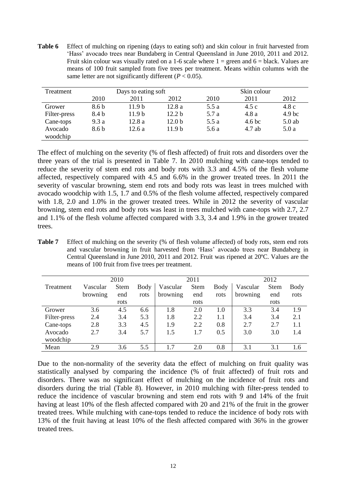**Table 6** Effect of mulching on ripening (days to eating soft) and skin colour in fruit harvested from 'Hass' avocado trees near Bundaberg in Central Queensland in June 2010, 2011 and 2012. Fruit skin colour was visually rated on a 1-6 scale where  $1 =$  green and  $6 =$  black. Values are means of 100 fruit sampled from five trees per treatment. Means within columns with the same letter are not significantly different  $(P < 0.05)$ .

| Treatment           | Days to eating soft |                   |                   | Skin colour |        |                   |  |
|---------------------|---------------------|-------------------|-------------------|-------------|--------|-------------------|--|
|                     | 2010                | 2011              | 2012              | 2010        | 2011   | 2012              |  |
| Grower              | 8.6 b               | 11.9 <sub>b</sub> | 12.8a             | 5.5 a       | 4.5c   | 4.8c              |  |
| Filter-press        | 8.4 b               | 11.9 <sub>b</sub> | 12.2 <sub>b</sub> | 5.7 a       | 4.8a   | 4.9 <sub>bc</sub> |  |
| Cane-tops           | 9.3a                | 12.8a             | 12.0 <sub>b</sub> | 5.5 a       | 4.6 bc | $5.0$ ab          |  |
| Avocado<br>woodchip | 8.6 b               | 12.6a             | 11.9 <sub>b</sub> | 5.6 a       | 4.7 ab | 5.0a              |  |

The effect of mulching on the severity (% of flesh affected) of fruit rots and disorders over the three years of the trial is presented in Table 7. In 2010 mulching with cane-tops tended to reduce the severity of stem end rots and body rots with 3.3 and 4.5% of the flesh volume affected, respectively compared with 4.5 and 6.6% in the grower treated trees. In 2011 the severity of vascular browning, stem end rots and body rots was least in trees mulched with avocado woodchip with 1.5, 1.7 and 0.5% of the flesh volume affected, respectively compared with 1.8, 2.0 and 1.0% in the grower treated trees. While in 2012 the severity of vascular browning, stem end rots and body rots was least in trees mulched with cane-tops with 2.7, 2.7 and 1.1% of the flesh volume affected compared with 3.3, 3.4 and 1.9% in the grower treated trees.

Table 7 Effect of mulching on the severity (% of flesh volume affected) of body rots, stem end rots and vascular browning in fruit harvested from 'Hass' avocado trees near Bundaberg in Central Queensland in June 2010, 2011 and 2012. Fruit was ripened at 20ºC. Values are the means of 100 fruit from five trees per treatment.

|              |          | 2010        |      |          | 2011        |             |          | 2012        |      |
|--------------|----------|-------------|------|----------|-------------|-------------|----------|-------------|------|
| Treatment    | Vascular | <b>Stem</b> | Body | Vascular | <b>Stem</b> | <b>Body</b> | Vascular | <b>Stem</b> | Body |
|              | browning | end         | rots | browning | end         | rots        | browning | end         | rots |
|              |          | rots        |      |          | rots        |             |          | rots        |      |
| Grower       | 3.6      | 4.5         | 6.6  | 1.8      | 2.0         | 1.0         | 3.3      | 3.4         | 1.9  |
| Filter-press | 2.4      | 3.4         | 5.3  | 1.8      | 2.2         | 1.1         | 3.4      | 3.4         | 2.1  |
| Cane-tops    | 2.8      | 3.3         | 4.5  | 1.9      | 2.2         | 0.8         | 2.7      | 2.7         | 1.1  |
| Avocado      | 2.7      | 3.4         | 5.7  | 1.5      | 1.7         | 0.5         | 3.0      | 3.0         | 1.4  |
| woodchip     |          |             |      |          |             |             |          |             |      |
| Mean         | 2.9      | 3.6         | 5.5  | 1.7      | 2.0         | 0.8         | 3.1      | 3.1         | 1.6  |

Due to the non-normality of the severity data the effect of mulching on fruit quality was statistically analysed by comparing the incidence (% of fruit affected) of fruit rots and disorders. There was no significant effect of mulching on the incidence of fruit rots and disorders during the trial (Table 8). However, in 2010 mulching with filter-press tended to reduce the incidence of vascular browning and stem end rots with 9 and 14% of the fruit having at least 10% of the flesh affected compared with 20 and 21% of the fruit in the grower treated trees. While mulching with cane-tops tended to reduce the incidence of body rots with 13% of the fruit having at least 10% of the flesh affected compared with 36% in the grower treated trees.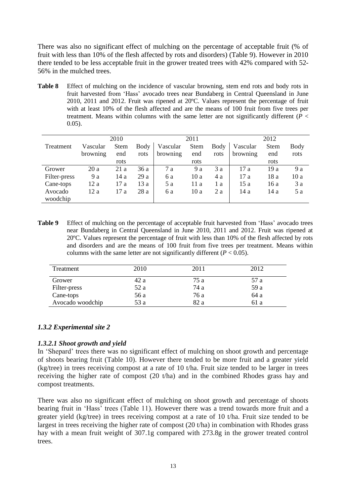There was also no significant effect of mulching on the percentage of acceptable fruit (% of fruit with less than 10% of the flesh affected by rots and disorders) (Table 9). However in 2010 there tended to be less acceptable fruit in the grower treated trees with 42% compared with 52- 56% in the mulched trees.

**Table 8** Effect of mulching on the incidence of vascular browning, stem end rots and body rots in fruit harvested from 'Hass' avocado trees near Bundaberg in Central Queensland in June 2010, 2011 and 2012. Fruit was ripened at 20ºC. Values represent the percentage of fruit with at least 10% of the flesh affected and are the means of 100 fruit from five trees per treatment. Means within columns with the same letter are not significantly different  $(\bar{P}$  < 0.05).

|              |          | 2010        |      |          | 2011 |      |          | 2012 |             |
|--------------|----------|-------------|------|----------|------|------|----------|------|-------------|
| Treatment    | Vascular | <b>Stem</b> | Body | Vascular | Stem | Body | Vascular | Stem | <b>Body</b> |
|              | browning | end         | rots | browning | end  | rots | browning | end  | rots        |
|              |          | rots        |      |          | rots |      |          | rots |             |
| Grower       | 20a      | 21 a        | 36a  | 7 a      | 9 a  | 3 a  | 17a      | 19a  | 9 a         |
| Filter-press | 9 a      | 14 a        | 29a  | 6 a      | 10a  | 4 a  | 17a      | 18 a | 10 a        |
| Cane-tops    | 12a      | 17 a        | 13a  | 5 a      | 11 a | 1 a  | 15a      | 16 a | 3 a         |
| Avocado      | 12a      | 17a         | 28a  | 6 a      | 10a  | 2a   | 14a      | 14 a | 5 a         |
| woodchip     |          |             |      |          |      |      |          |      |             |

**Table 9** Effect of mulching on the percentage of acceptable fruit harvested from 'Hass' avocado trees near Bundaberg in Central Queensland in June 2010, 2011 and 2012. Fruit was ripened at 20ºC. Values represent the percentage of fruit with less than 10% of the flesh affected by rots and disorders and are the means of 100 fruit from five trees per treatment. Means within columns with the same letter are not significantly different  $(P < 0.05)$ .

| Treatment        | 2010 | 2011 | 2012 |
|------------------|------|------|------|
| Grower           | 42 a | 75 a | 57 a |
| Filter-press     | 52 a | 74 a | 59 a |
| Cane-tops        | 56 a | 76 a | 64 a |
| Avocado woodchip | 53 a | 82 a | 61 a |

### *1.3.2 Experimental site 2*

### *1.3.2.1 Shoot growth and yield*

In 'Shepard' trees there was no significant effect of mulching on shoot growth and percentage of shoots bearing fruit (Table 10). However there tended to be more fruit and a greater yield (kg/tree) in trees receiving compost at a rate of 10 t/ha. Fruit size tended to be larger in trees receiving the higher rate of compost (20 t/ha) and in the combined Rhodes grass hay and compost treatments.

There was also no significant effect of mulching on shoot growth and percentage of shoots bearing fruit in 'Hass' trees (Table 11). However there was a trend towards more fruit and a greater yield (kg/tree) in trees receiving compost at a rate of 10 t/ha. Fruit size tended to be largest in trees receiving the higher rate of compost (20 t/ha) in combination with Rhodes grass hay with a mean fruit weight of 307.1g compared with 273.8g in the grower treated control trees.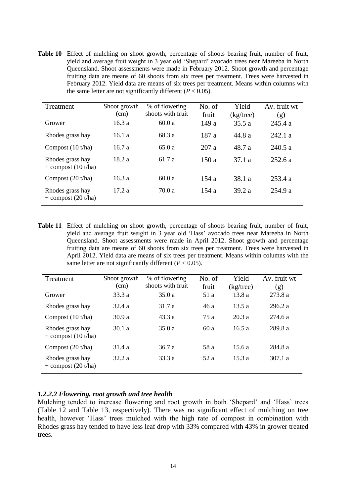**Table 10** Effect of mulching on shoot growth, percentage of shoots bearing fruit, number of fruit, yield and average fruit weight in 3 year old 'Shepard' avocado trees near Mareeba in North Queensland. Shoot assessments were made in February 2012. Shoot growth and percentage fruiting data are means of 60 shoots from six trees per treatment. Trees were harvested in February 2012. Yield data are means of six trees per treatment. Means within columns with the same letter are not significantly different  $(P < 0.05)$ .

| Treatment                                 | Shoot growth<br>(cm) | % of flowering<br>shoots with fruit | No. of<br>fruit | Yield<br>(kg/tree) | Av. fruit wt<br>(g) |
|-------------------------------------------|----------------------|-------------------------------------|-----------------|--------------------|---------------------|
| Grower                                    | 16.3a                | 60.0a                               | 149 a           | 35.5 a             | 245.4 a             |
| Rhodes grass hay                          | 16.1a                | 68.3 a                              | 187 a           | 44.8 a             | 242.1a              |
| Compost $(10 t/ha)$                       | 16.7a                | 65.0a                               | 207 a           | 48.7 a             | 240.5a              |
| Rhodes grass hay<br>$+$ compost (10 t/ha) | 18.2a                | 61.7 a                              | 150a            | 37.1a              | 252.6a              |
| Compost $(20 t/ha)$                       | 16.3a                | 60.0a                               | 154a            | 38.1 a             | 253.4a              |
| Rhodes grass hay<br>$+$ compost (20 t/ha) | 17.2a                | 70.0 a                              | 154a            | 39.2a              | 254.9 a             |

**Table 11** Effect of mulching on shoot growth, percentage of shoots bearing fruit, number of fruit, yield and average fruit weight in 3 year old 'Hass' avocado trees near Mareeba in North Queensland. Shoot assessments were made in April 2012. Shoot growth and percentage fruiting data are means of 60 shoots from six trees per treatment. Trees were harvested in April 2012. Yield data are means of six trees per treatment. Means within columns with the same letter are not significantly different  $(P < 0.05)$ .

| Treatment                                 | Shoot growth<br>(cm) | % of flowering<br>shoots with fruit | No. of<br>fruit | Yield<br>$(kg$ /tree) | Av. fruit wt<br>(g) |
|-------------------------------------------|----------------------|-------------------------------------|-----------------|-----------------------|---------------------|
| Grower                                    | 33.3 a               | 35.0a                               | 51 a            | 13.8a                 | 273.8 a             |
| Rhodes grass hay                          | 32.4a                | 31.7 a                              | 46 a            | 13.5a                 | 296.2 a             |
| Compost $(10 t/ha)$                       | 30.9a                | 43.3a                               | 75 a            | 20.3a                 | 274.6a              |
| Rhodes grass hay<br>$+$ compost (10 t/ha) | 30.1 a               | 35.0a                               | 60a             | 16.5a                 | 289.8 a             |
| Compost $(20 t/ha)$                       | 31.4 a               | 36.7a                               | 58 a            | 15.6a                 | 284.8 a             |
| Rhodes grass hay<br>$+$ compost (20 t/ha) | 32.2a                | 33.3a                               | 52a             | 15.3a                 | 307.1 a             |

### *1.2.2.2 Flowering, root growth and tree health*

Mulching tended to increase flowering and root growth in both 'Shepard' and 'Hass' trees (Table 12 and Table 13, respectively). There was no significant effect of mulching on tree health, however 'Hass' trees mulched with the high rate of compost in combination with Rhodes grass hay tended to have less leaf drop with 33% compared with 43% in grower treated trees.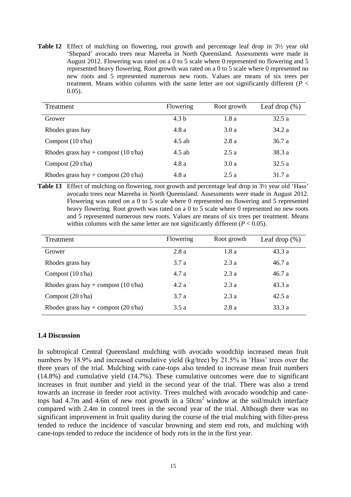**Table 12** Effect of mulching on flowering, root growth and percentage leaf drop in  $3\frac{1}{2}$  year old 'Shepard' avocado trees near Mareeba in North Queensland. Assessments were made in August 2012. Flowering was rated on a 0 to 5 scale where 0 represented no flowering and 5 represented heavy flowering. Root growth was rated on a 0 to 5 scale where 0 represented no new roots and 5 represented numerous new roots. Values are means of six trees per treatment. Means within columns with the same letter are not significantly different ( $P <$ 0.05).

| Treatment                              | Flowering        | Root growth | Leaf drop $(\%)$ |
|----------------------------------------|------------------|-------------|------------------|
| Grower                                 | 4.3 <sub>b</sub> | 1.8 a       | 32.5a            |
| Rhodes grass hay                       | 4.8 a            | 3.0a        | 34.2 a           |
| Compost $(10 t/ha)$                    | $4.5$ ab         | 2.8a        | 36.7a            |
| Rhodes grass hay + compost $(10 t/ha)$ | 4.5 ab           | 2.5a        | 38.3 a           |
| Compost $(20 t/ha)$                    | 4.8a             | 3.0a        | 32.5a            |
| Rhodes grass hay + compost $(20 t/ha)$ | 4.8a             | 2.5a        | 31.7 a           |

Table 13 Effect of mulching on flowering, root growth and percentage leaf drop in 3<sup>1</sup>/<sub>2</sub> year old 'Hass' avocado trees near Mareeba in North Queensland. Assessments were made in August 2012. Flowering was rated on a 0 to 5 scale where 0 represented no flowering and 5 represented heavy flowering. Root growth was rated on a 0 to 5 scale where 0 represented no new roots and 5 represented numerous new roots. Values are means of six trees per treatment. Means within columns with the same letter are not significantly different  $(P < 0.05)$ .

| Treatment                              | Flowering | Root growth | Leaf drop $(\%)$ |
|----------------------------------------|-----------|-------------|------------------|
| Grower                                 | 2.8a      | 1.8a        | 43.3a            |
| Rhodes grass hay                       | 3.7a      | 2.3a        | 46.7a            |
| Compost $(10 t/ha)$                    | 4.7a      | 2.3a        | 46.7a            |
| Rhodes grass hay + compost $(10 t/ha)$ | 4.2a      | 2.3a        | 43.3 a           |
| Compost $(20 t/ha)$                    | 3.7a      | 2.3a        | 42.5a            |
| Rhodes grass hay + compost $(20 t/ha)$ | 3.5a      | 2.8a        | 33.3a            |

### **1.4 Discussion**

In subtropical Central Queensland mulching with avocado woodchip increased mean fruit numbers by 18.9% and increased cumulative yield (kg/tree) by 21.5% in 'Hass' trees over the three years of the trial. Mulching with cane-tops also tended to increase mean fruit numbers (14.8%) and cumulative yield (14.7%). These cumulative outcomes were due to significant increases in fruit number and yield in the second year of the trial. There was also a trend towards an increase in feeder root activity. Trees mulched with avocado woodchip and canetops had 4.7m and 4.6m of new root growth in a 50cm<sup>2</sup> window at the soil/mulch interface compared with 2.4m in control trees in the second year of the trial. Although there was no significant improvement in fruit quality during the course of the trial mulching with filter-press tended to reduce the incidence of vascular browning and stem end rots, and mulching with cane-tops tended to reduce the incidence of body rots in the in the first year.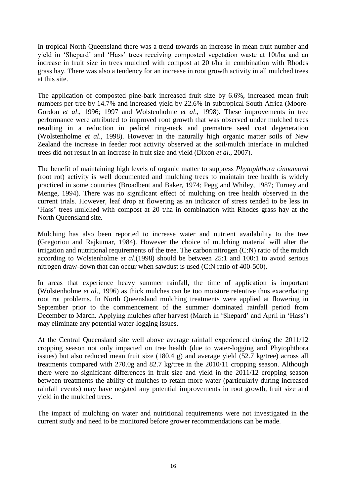In tropical North Queensland there was a trend towards an increase in mean fruit number and yield in 'Shepard' and 'Hass' trees receiving composted vegetation waste at 10t/ha and an increase in fruit size in trees mulched with compost at 20 t/ha in combination with Rhodes grass hay. There was also a tendency for an increase in root growth activity in all mulched trees at this site.

The application of composted pine-bark increased fruit size by 6.6%, increased mean fruit numbers per tree by 14.7% and increased yield by 22.6% in subtropical South Africa (Moore-Gordon *et al*., 1996; 1997 and Wolstenholme *et al*., 1998). These improvements in tree performance were attributed to improved root growth that was observed under mulched trees resulting in a reduction in pedicel ring-neck and premature seed coat degeneration (Wolstenholme *et al*., 1998). However in the naturally high organic matter soils of New Zealand the increase in feeder root activity observed at the soil/mulch interface in mulched trees did not result in an increase in fruit size and yield (Dixon *et al*., 2007).

The benefit of maintaining high levels of organic matter to suppress *Phytophthora cinnamomi* (root rot) activity is well documented and mulching trees to maintain tree health is widely practiced in some countries (Broadbent and Baker, 1974; Pegg and Whiley, 1987; Turney and Menge, 1994). There was no significant effect of mulching on tree health observed in the current trials. However, leaf drop at flowering as an indicator of stress tended to be less in 'Hass' trees mulched with compost at 20 t/ha in combination with Rhodes grass hay at the North Queensland site.

Mulching has also been reported to increase water and nutrient availability to the tree (Gregoriou and Rajkumar, 1984). However the choice of mulching material will alter the irrigation and nutritional requirements of the tree. The carbon:nitrogen (C:N) ratio of the mulch according to Wolstenholme *et al*.(1998) should be between 25:1 and 100:1 to avoid serious nitrogen draw-down that can occur when sawdust is used (C:N ratio of 400-500).

In areas that experience heavy summer rainfall, the time of application is important (Wolstenholme *et al*., 1996) as thick mulches can be too moisture retentive thus exacerbating root rot problems. In North Queensland mulching treatments were applied at flowering in September prior to the commencement of the summer dominated rainfall period from December to March. Applying mulches after harvest (March in 'Shepard' and April in 'Hass') may eliminate any potential water-logging issues.

At the Central Queensland site well above average rainfall experienced during the 2011/12 cropping season not only impacted on tree health (due to water-logging and Phytophthora issues) but also reduced mean fruit size (180.4 g) and average yield (52.7 kg/tree) across all treatments compared with 270.0g and 82.7 kg/tree in the 2010/11 cropping season. Although there were no significant differences in fruit size and yield in the 2011/12 cropping season between treatments the ability of mulches to retain more water (particularly during increased rainfall events) may have negated any potential improvements in root growth, fruit size and yield in the mulched trees.

The impact of mulching on water and nutritional requirements were not investigated in the current study and need to be monitored before grower recommendations can be made.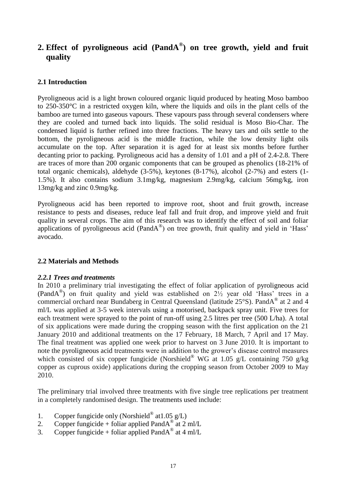# **2. Effect of pyroligneous acid (PandA® ) on tree growth, yield and fruit quality**

### **2.1 Introduction**

Pyroligneous acid is a light brown coloured organic liquid produced by heating Moso bamboo to 250-350°C in a restricted oxygen kiln, where the liquids and oils in the plant cells of the bamboo are turned into gaseous vapours. These vapours pass through several condensers where they are cooled and turned back into liquids. The solid residual is Moso Bio-Char. The condensed liquid is further refined into three fractions. The heavy tars and oils settle to the bottom, the pyroligneous acid is the middle fraction, while the low density light oils accumulate on the top. After separation it is aged for at least six months before further decanting prior to packing. Pyroligneous acid has a density of 1.01 and a pH of 2.4-2.8. There are traces of more than 200 organic components that can be grouped as phenolics (18-21% of total organic chemicals), aldehyde (3-5%), keytones (8-17%), alcohol (2-7%) and esters (1- 1.5%). It also contains sodium 3.1mg/kg, magnesium 2.9mg/kg, calcium 56mg/kg, iron 13mg/kg and zinc 0.9mg/kg.

Pyroligneous acid has been reported to improve root, shoot and fruit growth, increase resistance to pests and diseases, reduce leaf fall and fruit drop, and improve yield and fruit quality in several crops. The aim of this research was to identify the effect of soil and foliar applications of pyroligneous acid (Pand $A^{\circledast}$ ) on tree growth, fruit quality and yield in 'Hass' avocado.

### **2.2 Materials and Methods**

### *2.2.1 Trees and treatments*

In 2010 a preliminary trial investigating the effect of foliar application of pyroligneous acid (PandA® ) on fruit quality and yield was established on 2½ year old 'Hass' trees in a commercial orchard near Bundaberg in Central Queensland (latitude 25°S). PandA® at 2 and 4 ml/L was applied at 3-5 week intervals using a motorised, backpack spray unit. Five trees for each treatment were sprayed to the point of run-off using 2.5 litres per tree (500 L/ha). A total of six applications were made during the cropping season with the first application on the 21 January 2010 and additional treatments on the 17 February, 18 March, 7 April and 17 May. The final treatment was applied one week prior to harvest on 3 June 2010. It is important to note the pyroligneous acid treatments were in addition to the grower's disease control measures which consisted of six copper fungicide (Norshield<sup>®</sup> WG at 1.05 g/L containing 750 g/kg copper as cuprous oxide) applications during the cropping season from October 2009 to May 2010.

The preliminary trial involved three treatments with five single tree replications per treatment in a completely randomised design. The treatments used include:

- 1. Copper fungicide only (Norshield<sup>®</sup> at 1.05  $g/L$ )
- 2. Copper fungicide + foliar applied Pand $A^{\circ}$  at 2 ml/L
- 3. Copper fungicide + foliar applied Pand $A^{\textcircled{\tiny{\textcirc}}}$  at 4 ml/L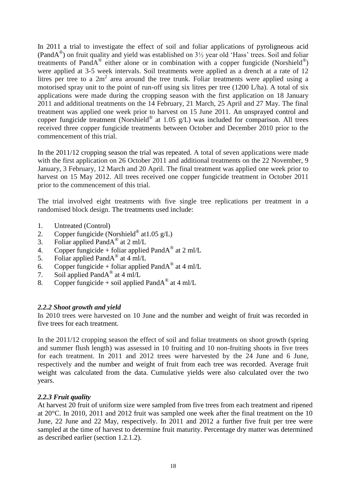In 2011 a trial to investigate the effect of soil and foliar applications of pyroligneous acid (PandA® ) on fruit quality and yield was established on 3½ year old 'Hass' trees. Soil and foliar treatments of PandA<sup>®</sup> either alone or in combination with a copper fungicide (Norshield<sup>®</sup>) were applied at 3-5 week intervals. Soil treatments were applied as a drench at a rate of 12 litres per tree to a  $2m^2$  area around the tree trunk. Foliar treatments were applied using a motorised spray unit to the point of run-off using six litres per tree (1200 L/ha). A total of six applications were made during the cropping season with the first application on 18 January 2011 and additional treatments on the 14 February, 21 March, 25 April and 27 May. The final treatment was applied one week prior to harvest on 15 June 2011. An unsprayed control and copper fungicide treatment (Norshield® at 1.05 g/L) was included for comparison. All trees received three copper fungicide treatments between October and December 2010 prior to the commencement of this trial.

In the 2011/12 cropping season the trial was repeated. A total of seven applications were made with the first application on 26 October 2011 and additional treatments on the 22 November, 9 January, 3 February, 12 March and 20 April. The final treatment was applied one week prior to harvest on 15 May 2012. All trees received one copper fungicide treatment in October 2011 prior to the commencement of this trial.

The trial involved eight treatments with five single tree replications per treatment in a randomised block design. The treatments used include:

- 1. Untreated (Control)
- 2. Copper fungicide (Norshield® at 1.05 g/L)
- 3. Foliar applied PandA® at 2 ml/L
- 4. Copper fungicide + foliar applied Pand $A^{\textcircled{\tiny{\textcirc}}}$  at 2 ml/L
- 5. Foliar applied Pand $A^{\textcircled{\tiny{\textcirc}}}$  at 4 ml/L
- 6. Copper fungicide + foliar applied Pand $A^{\textcircled{\tiny{\textcirc}}}$  at 4 ml/L
- 7. Soil applied PandA® at 4 ml/L
- 8. Copper fungicide + soil applied Pand $A^{\textcircled{\tiny{\textcirc}}}$  at 4 ml/L

### *2.2.2 Shoot growth and yield*

In 2010 trees were harvested on 10 June and the number and weight of fruit was recorded in five trees for each treatment.

In the 2011/12 cropping season the effect of soil and foliar treatments on shoot growth (spring and summer flush length) was assessed in 10 fruiting and 10 non-fruiting shoots in five trees for each treatment. In 2011 and 2012 trees were harvested by the 24 June and 6 June, respectively and the number and weight of fruit from each tree was recorded. Average fruit weight was calculated from the data. Cumulative yields were also calculated over the two years.

### *2.2.3 Fruit quality*

At harvest 20 fruit of uniform size were sampled from five trees from each treatment and ripened at 20°C. In 2010, 2011 and 2012 fruit was sampled one week after the final treatment on the 10 June, 22 June and 22 May, respectively. In 2011 and 2012 a further five fruit per tree were sampled at the time of harvest to determine fruit maturity. Percentage dry matter was determined as described earlier (section 1.2.1.2).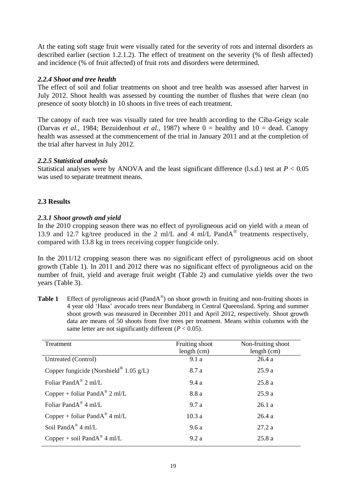At the eating soft stage fruit were visually rated for the severity of rots and internal disorders as described earlier (section 1.2.1.2). The effect of treatment on the severity (% of flesh affected) and incidence (% of fruit affected) of fruit rots and disorders were determined.

### *2.2.4 Shoot and tree health*

The effect of soil and foliar treatments on shoot and tree health was assessed after harvest in July 2012. Shoot health was assessed by counting the number of flushes that were clean (no presence of sooty blotch) in 10 shoots in five trees of each treatment.

The canopy of each tree was visually rated for tree health according to the Ciba-Geigy scale (Darvas *et al.*, 1984; Bezuidenhout *et al.*, 1987) where 0 = healthy and 10 = dead. Canopy health was assessed at the commencement of the trial in January 2011 and at the completion of the trial after harvest in July 2012.

### *2.2.5 Statistical analysis*

Statistical analyses were by ANOVA and the least significant difference (l.s.d.) test at  $P < 0.05$ was used to separate treatment means.

### **2.3 Results**

### *2.3.1 Shoot growth and yield*

In the 2010 cropping season there was no effect of pyroligneous acid on yield with a mean of 13.9 and 12.7 kg/tree produced in the 2 ml/L and 4 ml/L PandA<sup>®</sup> treatments respectively, compared with 13.8 kg in trees receiving copper fungicide only.

In the 2011/12 cropping season there was no significant effect of pyroligneous acid on shoot growth (Table 1). In 2011 and 2012 there was no significant effect of pyroligneous acid on the number of fruit, yield and average fruit weight (Table 2) and cumulative yields over the two years (Table 3).

Table 1 Effect of pyroligneous acid (PandA<sup>®</sup>) on shoot growth in fruiting and non-fruiting shoots in 4 year old 'Hass' avocado trees near Bundaberg in Central Queensland. Spring and summer shoot growth was measured in December 2011 and April 2012, respectively. Shoot growth data are means of 50 shoots from five trees per treatment. Means within columns with the same letter are not significantly different  $(P < 0.05)$ .

| Treatment                                   | Fruiting shoot<br>length (cm) | Non-fruiting shoot<br>length (cm) |
|---------------------------------------------|-------------------------------|-----------------------------------|
| Untreated (Control)                         | 9.1a                          | 26.4a                             |
| Copper fungicide (Norshield $0.05$ g/L)     | 8.7 a                         | 25.9a                             |
| Foliar PandA® 2 ml/L                        | 9.4 a                         | 25.8a                             |
| Copper + foliar Pand $A^{\circledR}$ 2 ml/L | 8.8 a                         | 25.9a                             |
| Foliar Pand $A^{\circledR}$ 4 ml/L          | 9.7a                          | 26.1a                             |
| Copper + foliar Pand $A^{\circledR}$ 4 ml/L | 10.3a                         | 26.4a                             |
| Soil PandA® 4 ml/L                          | 9.6a                          | 27.2a                             |
| Copper + soil Pand $A^{\circledast}$ 4 ml/L | 9.2a                          | 25.8 a                            |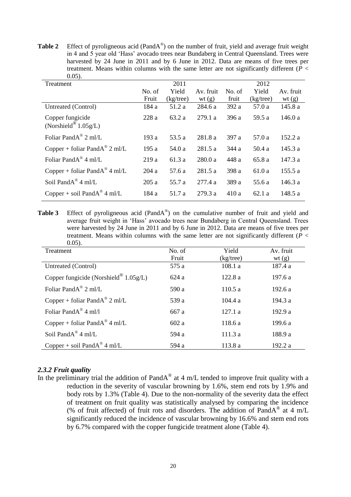Table 2 Effect of pyroligneous acid (PandA<sup>®</sup>) on the number of fruit, yield and average fruit weight in 4 and 5 year old 'Hass' avocado trees near Bundaberg in Central Queensland. Trees were harvested by 24 June in 2011 and by 6 June in 2012. Data are means of five trees per treatment. Means within columns with the same letter are not significantly different (*P* <  $0.05$ 

| 0.03h                                       |        |              |           |        |              |           |
|---------------------------------------------|--------|--------------|-----------|--------|--------------|-----------|
| Treatment                                   |        | 2011         |           |        | 2012         |           |
|                                             | No. of | Yield        | Av. fruit | No. of | Yield        | Av. fruit |
|                                             | Fruit  | $(kg$ /tree) | wt(g)     | fruit  | $(kg$ /tree) | wt $(g)$  |
| Untreated (Control)                         | 184 a  | 51.2 a       | 284.6 a   | 392 a  | 57.0 a       | 145.8 a   |
| Copper fungicide<br>(Norshield $1.05g/L$ )  | 228a   | 63.2 a       | 279.1 a   | 396 a  | 59.5 a       | 146.0a    |
| Foliar Pand $A^{\circledR}$ 2 ml/L          | 193 a  | 53.5 a       | 281.8 a   | 397 a  | 57.0 a       | 152.2 a   |
| Copper + foliar Pand $A^{\circledR}$ 2 ml/L | 195 a  | 54.0 a       | 281.5 a   | 344 a  | 50.4 a       | 145.3 a   |
| Foliar Pand $A^{\circledR}$ 4 ml/L          | 219a   | 61.3 a       | 280.0 a   | 448 a  | 65.8 a       | 147.3 a   |
| Copper + foliar Pand $A^{\circledR}$ 4 ml/L | 204a   | 57.6 a       | 281.5 a   | 398 a  | 61.0 a       | 155.5 a   |
| Soil Pand $A^{\circledR}$ 4 ml/L            | 205a   | 55.7 a       | 277.4 a   | 389 a  | 55.6 a       | 146.3 a   |
| Copper + soil Pand $A^{\circledast}$ 4 ml/L | 184 a  | 51.7 a       | 279.3 a   | 410 a  | 62.1a        | 148.5 a   |

**Table 3** Effect of pyroligneous acid (PandA<sup>®</sup>) on the cumulative number of fruit and yield and average fruit weight in 'Hass' avocado trees near Bundaberg in Central Queensland. Trees were harvested by 24 June in 2011 and by 6 June in 2012. Data are means of five trees per treatment. Means within columns with the same letter are not significantly different (*P* <  $0.05$ 

| $\cdots$<br>Treatment                         | No. of | Yield     | Av. fruit |
|-----------------------------------------------|--------|-----------|-----------|
|                                               | Fruit  | (kg/tree) | wt(g)     |
| Untreated (Control)                           | 575 a  | 108.1 a   | 187.4 a   |
| Copper fungicide (Norshield $0.05g/L$ )       | 624a   | 122.8a    | 197.6 a   |
| Foliar Pand $A^{\circledR}$ 2 ml/L            | 590 a  | 110.5 a   | 192.6a    |
| Copper + foliar Pand $A^{\circledast}$ 2 ml/L | 539 a  | 104.4a    | 194.3 a   |
| Foliar Pand $A^{\circledR}$ 4 ml/l            | 667 a  | 127.1a    | 192.9 a   |
| Copper + foliar Pand $A^{\circledast}$ 4 ml/L | 602a   | 118.6a    | 199.6 a   |
| Soil Pand $A^{\circledR}$ 4 ml/L              | 594 a  | 111.3 a   | 188.9 a   |
| Copper + soil Pand $A^{\circledast}$ 4 ml/L   | 594 a  | 113.8 a   | 192.2 a   |

### *2.3.2 Fruit quality*

In the preliminary trial the addition of PandA<sup>®</sup> at 4 m/L tended to improve fruit quality with a reduction in the severity of vascular browning by 1.6%, stem end rots by 1.9% and body rots by 1.3% (Table 4). Due to the non-normality of the severity data the effect of treatment on fruit quality was statistically analysed by comparing the incidence (% of fruit affected) of fruit rots and disorders. The addition of PandA<sup>®</sup> at 4 m/L significantly reduced the incidence of vascular browning by 16.6% and stem end rots by 6.7% compared with the copper fungicide treatment alone (Table 4).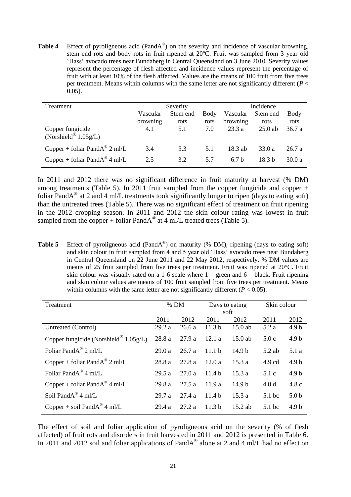Table 4 Effect of pyroligneous acid (PandA<sup>®</sup>) on the severity and incidence of vascular browning, stem end rots and body rots in fruit ripened at 20ºC. Fruit was sampled from 3 year old 'Hass' avocado trees near Bundaberg in Central Queensland on 3 June 2010. Severity values represent the percentage of flesh affected and incidence values represent the percentage of fruit with at least 10% of the flesh affected. Values are the means of 100 fruit from five trees per treatment. Means within columns with the same letter are not significantly different (*P* < 0.05).

| Treatment                                     | Severity             |                  |              | Incidence            |                   |              |
|-----------------------------------------------|----------------------|------------------|--------------|----------------------|-------------------|--------------|
|                                               | Vascular<br>browning | Stem end<br>rots | Body<br>rots | Vascular<br>browning | Stem end<br>rots  | Body<br>rots |
| Copper fungicide<br>(Norshield® $1.05g/L$ )   | 4.1                  | 5.1              | 7.0          | 23.3a                | $25.0$ ab         | 36.7a        |
| Copper + foliar Pand $A^{\circledast}$ 2 ml/L | 3.4                  | 5.3              | 5.1          | 18.3 ab              | 33.0 a            | 26.7a        |
| Copper + foliar Pand $A^{\circledR}$ 4 ml/L   | 2.5                  | 3.2              | 5.7          | 6.7 <sub>b</sub>     | 18.3 <sub>b</sub> | 30.0a        |

In 2011 and 2012 there was no significant difference in fruit maturity at harvest (% DM) among treatments (Table 5). In 2011 fruit sampled from the copper fungicide and copper + foliar PandA<sup>®</sup> at 2 and 4 ml/L treatments took significantly longer to ripen (days to eating soft) than the untreated trees (Table 5). There was no significant effect of treatment on fruit ripening in the 2012 cropping season. In 2011 and 2012 the skin colour rating was lowest in fruit sampled from the copper + foliar Pand $A^{\textcircled{a}}$  at 4 ml/L treated trees (Table 5).

Table 5 Effect of pyroligneous acid (PandA<sup>®</sup>) on maturity (% DM), ripening (days to eating soft) and skin colour in fruit sampled from 4 and 5 year old 'Hass' avocado trees near Bundaberg in Central Queensland on 22 June 2011 and 22 May 2012, respectively. % DM values are means of 25 fruit sampled from five trees per treatment. Fruit was ripened at 20°C. Fruit skin colour was visually rated on a 1-6 scale where  $1 =$  green and  $6 =$  black. Fruit ripening and skin colour values are means of 100 fruit sampled from five trees per treatment. Means within columns with the same letter are not significantly different  $(P < 0.05)$ .

| Treatment                                     | % DM   |        | Days to eating    |                   | Skin colour      |                  |
|-----------------------------------------------|--------|--------|-------------------|-------------------|------------------|------------------|
|                                               |        |        |                   | soft              |                  |                  |
|                                               | 2011   | 2012   | 2011              | 2012              | 2011             | 2012             |
| Untreated (Control)                           | 29.2 a | 26.6 a | 11.3 <sub>b</sub> | 15.0 ab           | 5.2a             | 4.9 <sub>b</sub> |
| Copper fungicide (Norshield $(8)$ 1.05g/L)    | 28.8 a | 27.9a  | 12.1a             | $15.0$ ab         | 5.0c             | 4.9 <sub>b</sub> |
| Foliar Pand $A^{\circledR}$ 2 ml/L            | 29.0a  | 26.7a  | 11.1 <sub>b</sub> | 14.9 <sub>b</sub> | $5.2$ ab         | 5.1 a            |
| Copper + foliar Pand $A^{\circledR}$ 2 ml/L   | 28.8 a | 27.8a  | 12.0a             | 15.3a             | $4.9 \text{ cd}$ | 4.9 <sub>b</sub> |
| Foliar Pand $A^{\otimes}$ 4 ml/L              | 29.5 a | 27.0a  | 11.4 <sub>b</sub> | 15.3a             | 5.1c             | 4.9 <sub>b</sub> |
| Copper + foliar Pand $A^{\circledast}$ 4 ml/L | 29.8 a | 27.5a  | 11.9a             | 14.9 <sub>b</sub> | 4.8d             | 4.8c             |
| Soil PandA® 4 ml/L                            | 29.7a  | 27.4 a | 11.4 <sub>b</sub> | 15.3a             | $5.1$ bc         | 5.0 <sub>b</sub> |
| Copper + soil Pand $A^{\circledR}$ 4 ml/L     | 29.4 a | 27.2a  | 11.3 <sub>b</sub> | $15.2$ ab         | 5.1 bc           | 4.9 b            |

The effect of soil and foliar application of pyroligneous acid on the severity (% of flesh affected) of fruit rots and disorders in fruit harvested in 2011 and 2012 is presented in Table 6. In 2011 and 2012 soil and foliar applications of PandA<sup>®</sup> alone at 2 and 4 ml/L had no effect on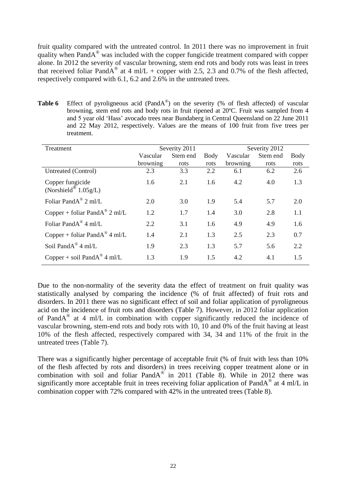fruit quality compared with the untreated control. In 2011 there was no improvement in fruit quality when PandA® was included with the copper fungicide treatment compared with copper alone. In 2012 the severity of vascular browning, stem end rots and body rots was least in trees that received foliar PandA<sup>®</sup> at 4 ml/L + copper with 2.5, 2.3 and 0.7% of the flesh affected, respectively compared with 6.1, 6.2 and 2.6% in the untreated trees.

Table 6 Effect of pyroligneous acid (PandA<sup>®</sup>) on the severity (% of flesh affected) of vascular browning, stem end rots and body rots in fruit ripened at 20ºC. Fruit was sampled from 4 and 5 year old 'Hass' avocado trees near Bundaberg in Central Queensland on 22 June 2011 and 22 May 2012, respectively. Values are the means of 100 fruit from five trees per treatment.

| Treatment                                            |          | Severity 2011 |      | Severity 2012 |          |      |
|------------------------------------------------------|----------|---------------|------|---------------|----------|------|
|                                                      | Vascular | Stem end      | Body | Vascular      | Stem end | Body |
|                                                      | browning | rots          | rots | browning      | rots     | rots |
| Untreated (Control)                                  | 2.3      | 3.3           | 2.2  | 6.1           | 6.2      | 2.6  |
| Copper fungicide<br>(Norshield <sup>®</sup> 1.05g/L) | 1.6      | 2.1           | 1.6  | 4.2           | 4.0      | 1.3  |
| Foliar PandA® 2 ml/L                                 | 2.0      | 3.0           | 1.9  | 5.4           | 5.7      | 2.0  |
| Copper + foliar Pand $A^{\circledast}$ 2 ml/L        | 1.2      | 1.7           | 1.4  | 3.0           | 2.8      | 1.1  |
| Foliar Pand $A^{\otimes}$ 4 ml/L                     | 2.2      | 3.1           | 1.6  | 4.9           | 4.9      | 1.6  |
| Copper + foliar Pand $A^{\circledast}$ 4 ml/L        | 1.4      | 2.1           | 1.3  | 2.5           | 2.3      | 0.7  |
| Soil Pand $A^{\circledR}$ 4 ml/L                     | 1.9      | 2.3           | 1.3  | 5.7           | 5.6      | 2.2  |
| Copper + soil Pand $A^{\circledast}$ 4 ml/L          | 1.3      | 1.9           | 1.5  | 4.2           | 4.1      | 1.5  |

Due to the non-normality of the severity data the effect of treatment on fruit quality was statistically analysed by comparing the incidence (% of fruit affected) of fruit rots and disorders. In 2011 there was no significant effect of soil and foliar application of pyroligneous acid on the incidence of fruit rots and disorders (Table 7). However, in 2012 foliar application of PandA<sup>®</sup> at 4 ml/L in combination with copper significantly reduced the incidence of vascular browning, stem-end rots and body rots with 10, 10 and 0% of the fruit having at least 10% of the flesh affected, respectively compared with 34, 34 and 11% of the fruit in the untreated trees (Table 7).

There was a significantly higher percentage of acceptable fruit (% of fruit with less than 10% of the flesh affected by rots and disorders) in trees receiving copper treatment alone or in combination with soil and foliar  $PandA^{\circledast}$  in 2011 (Table 8). While in 2012 there was significantly more acceptable fruit in trees receiving foliar application of PandA<sup>®</sup> at 4 ml/L in combination copper with 72% compared with 42% in the untreated trees (Table 8).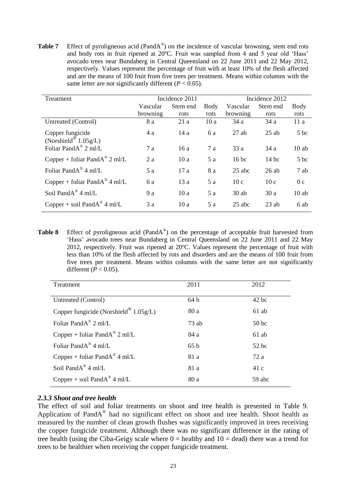Table 7 Effect of pyroligneous acid (PandA<sup>®</sup>) on the incidence of vascular browning, stem end rots and body rots in fruit ripened at 20ºC. Fruit was sampled from 4 and 5 year old 'Hass' avocado trees near Bundaberg in Central Queensland on 22 June 2011 and 22 May 2012, respectively. Values represent the percentage of fruit with at least 10% of the flesh affected and are the means of 100 fruit from five trees per treatment. Means within columns with the same letter are not significantly different (*P* < 0.05).

| Treatment                                     |          | Incidence 2011 |      | Incidence 2012 |          |                |
|-----------------------------------------------|----------|----------------|------|----------------|----------|----------------|
|                                               | Vascular | Stem end       | Body | Vascular       | Stem end | Body           |
|                                               | browning | rots           | rots | browning       | rots     | rots           |
| Untreated (Control)                           | 8 a      | 21a            | 10a  | 34a            | 34a      | 11a            |
| Copper fungicide                              | 4a       | 14a            | 6a   | $27$ ab        | $25$ ab  | 5 bc           |
| (Norshield <sup>®</sup> 1.05g/L)              |          |                |      |                |          |                |
| Foliar Pand $A^{\circledR}$ 2 ml/L            | 7a       | 16a            | 7a   | 33a            | 34a      | $10$ ab        |
| Copper + foliar Pand $A^{\circledast}$ 2 ml/L | 2a       | 10a            | 5a   | $16$ bc        | $14$ bc  | $5$ bc         |
| Foliar Pand $A^{\text{®}}$ 4 ml/L             | 5a       | 17a            | 8 a  | $25$ abc       | 26ab     | 7 ab           |
| Copper + foliar Pand $A^{\circledast}$ 4 ml/L | 6a       | 13a            | 5a   | 10c            | 10c      | 0 <sub>c</sub> |
| Soil PandA® 4 ml/L                            | 9a       | 10a            | 5a   | $30$ ab        | 30a      | $10$ ab        |
| Copper + soil Pand $A^{\circledcirc}$ 4 ml/L  | 3a       | 10a            | 5a   | $25$ abc       | $23$ ab  | 6 ab           |

**Table 8** Effect of pyroligneous acid (PandA<sup>®</sup>) on the percentage of acceptable fruit harvested from 'Hass' avocado trees near Bundaberg in Central Queensland on 22 June 2011 and 22 May 2012, respectively. Fruit was ripened at 20ºC. Values represent the percentage of fruit with less than 10% of the flesh affected by rots and disorders and are the means of 100 fruit from five trees per treatment. Means within columns with the same letter are not significantly different ( $P < 0.05$ ).

| Treatment                                   | 2011            | 2012             |
|---------------------------------------------|-----------------|------------------|
| Untreated (Control)                         | 64b             | $42$ bc          |
| Copper fungicide (Norshield $0.05g/L$ )     | 80 a            | $61$ ab          |
| Foliar Pand $A^{\circledast}$ 2 ml/L        | $73$ ab         | 50 <sub>bc</sub> |
| Copper + foliar Pand $A^{\circledR}$ 2 ml/L | 84 a            | $61$ ab          |
| Foliar Pand $A^{\circledast}$ 4 ml/L        | 65 <sub>b</sub> | $52$ bc          |
| Copper + foliar Pand $A^{\circledR}$ 4 ml/L | 81 a            | 72a              |
| Soil Pand $A^{\circledR}$ 4 ml/L            | 81 a            | 41c              |
| Copper + soil Pand $A^{\circledast}$ 4 ml/L | 80 a            | 59 abc           |

### *2.3.3 Shoot and tree health*

The effect of soil and foliar treatments on shoot and tree health is presented in Table 9. Application of Pand $A^{\circledast}$  had no significant effect on shoot and tree health. Shoot health as measured by the number of clean growth flushes was significantly improved in trees receiving the copper fungicide treatment. Although there was no significant difference in the rating of tree health (using the Ciba-Geigy scale where  $0 =$  healthy and  $10 =$  dead) there was a trend for trees to be healthier when receiving the copper fungicide treatment.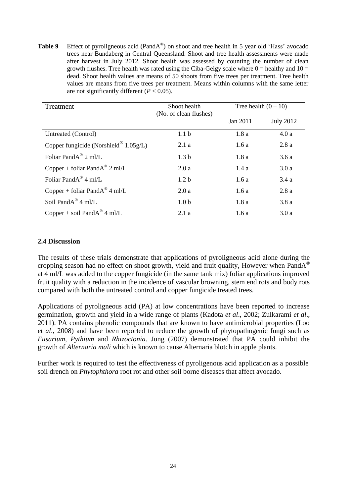**Table 9** Effect of pyroligneous acid (PandA<sup>®</sup>) on shoot and tree health in 5 year old 'Hass' avocado trees near Bundaberg in Central Queensland. Shoot and tree health assessments were made after harvest in July 2012. Shoot health was assessed by counting the number of clean growth flushes. Tree health was rated using the Ciba-Geigy scale where  $0 =$  healthy and  $10 =$ dead. Shoot health values are means of 50 shoots from five trees per treatment. Tree health values are means from five trees per treatment. Means within columns with the same letter are not significantly different  $(P < 0.05)$ .

| Treatment                                     | Shoot health<br>(No. of clean flushes) | Tree health $(0 - 10)$ |                  |
|-----------------------------------------------|----------------------------------------|------------------------|------------------|
|                                               |                                        | Jan 2011               | <b>July 2012</b> |
| Untreated (Control)                           | 1.1 <sub>b</sub>                       | 1.8a                   | 4.0a             |
| Copper fungicide (Norshield $0.05g/L$ )       | 2.1a                                   | 1.6a                   | 2.8a             |
| Foliar Pand $A^{\circledR}$ 2 ml/L            | 1.3 <sub>b</sub>                       | 1.8a                   | 3.6a             |
| Copper + foliar Pand $A^{\circledast}$ 2 ml/L | 2.0a                                   | 1.4a                   | 3.0a             |
| Foliar Pand $A^{\otimes}$ 4 ml/L              | 1.2 <sub>b</sub>                       | 1.6a                   | 3.4a             |
| Copper + foliar Pand $A^{\circledR}$ 4 ml/L   | 2.0a                                   | 1.6a                   | 2.8a             |
| Soil Pand $A^{\circledR}$ 4 ml/L              | 1.0 <sub>b</sub>                       | 1.8a                   | 3.8a             |
| Copper + soil Pand $A^{\circledast}$ 4 ml/L   | 2.1a                                   | 1.6a                   | 3.0a             |

### **2.4 Discussion**

The results of these trials demonstrate that applications of pyroligneous acid alone during the cropping season had no effect on shoot growth, yield and fruit quality, However when PandA<sup>®</sup> at 4 ml/L was added to the copper fungicide (in the same tank mix) foliar applications improved fruit quality with a reduction in the incidence of vascular browning, stem end rots and body rots compared with both the untreated control and copper fungicide treated trees.

Applications of pyroligneous acid (PA) at low concentrations have been reported to increase germination, growth and yield in a wide range of plants (Kadota *et al*., 2002; Zulkarami *et al*., 2011). PA contains phenolic compounds that are known to have antimicrobial properties (Loo *et al*., 2008) and have been reported to reduce the growth of phytopathogenic fungi such as *Fusarium*, *Pythium* and *Rhizoctonia*. Jung (2007) demonstrated that PA could inhibit the growth of *Alternaria mali* which is known to cause Alternaria blotch in apple plants.

Further work is required to test the effectiveness of pyroligenous acid application as a possible soil drench on *Phytophthora* root rot and other soil borne diseases that affect avocado.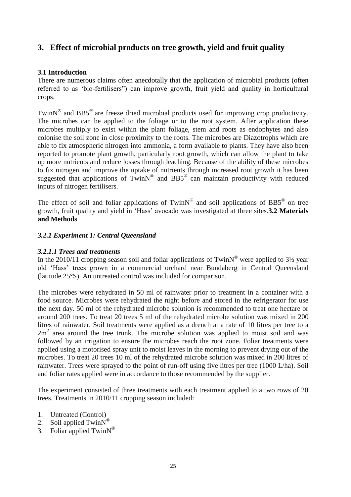# **3. Effect of microbial products on tree growth, yield and fruit quality**

### **3.1 Introduction**

There are numerous claims often anecdotally that the application of microbial products (often referred to as 'bio-fertilisers") can improve growth, fruit yield and quality in horticultural crops.

TwinN<sup>®</sup> and BB5<sup>®</sup> are freeze dried microbial products used for improving crop productivity. The microbes can be applied to the foliage or to the root system. After application these microbes multiply to exist within the plant foliage, stem and roots as endophytes and also colonise the soil zone in close proximity to the roots. The microbes are Diazotrophs which are able to fix atmospheric nitrogen into ammonia, a form available to plants. They have also been reported to promote plant growth, particularly root growth, which can allow the plant to take up more nutrients and reduce losses through leaching. Because of the ability of these microbes to fix nitrogen and improve the uptake of nutrients through increased root growth it has been suggested that applications of  $TwinN^@$  and  $BB5^@$  can maintain productivity with reduced inputs of nitrogen fertilisers.

The effect of soil and foliar applications of Twin $N^{\circledR}$  and soil applications of BB5 $^{\circledR}$  on tree growth, fruit quality and yield in 'Hass' avocado was investigated at three sites.**3.2 Materials and Methods**

### *3.2.1 Experiment 1: Central Queensland*

### *3.2.1.1 Trees and treatments*

In the 2010/11 cropping season soil and foliar applications of Twin $N^{\circledR}$  were applied to 3<sup>1</sup>/<sub>2</sub> year old 'Hass' trees grown in a commercial orchard near Bundaberg in Central Queensland (latitude 25°S). An untreated control was included for comparison.

The microbes were rehydrated in 50 ml of rainwater prior to treatment in a container with a food source. Microbes were rehydrated the night before and stored in the refrigerator for use the next day. 50 ml of the rehydrated microbe solution is recommended to treat one hectare or around 200 trees. To treat 20 trees 5 ml of the rehydrated microbe solution was mixed in 200 litres of rainwater. Soil treatments were applied as a drench at a rate of 10 litres per tree to a  $2m<sup>2</sup>$  area around the tree trunk. The microbe solution was applied to moist soil and was followed by an irrigation to ensure the microbes reach the root zone. Foliar treatments were applied using a motorised spray unit to moist leaves in the morning to prevent drying out of the microbes. To treat 20 trees 10 ml of the rehydrated microbe solution was mixed in 200 litres of rainwater. Trees were sprayed to the point of run-off using five litres per tree (1000 L/ha). Soil and foliar rates applied were in accordance to those recommended by the supplier.

The experiment consisted of three treatments with each treatment applied to a two rows of 20 trees. Treatments in 2010/11 cropping season included:

- 1. Untreated (Control)
- 2. Soil applied  $TwinN^@$
- 3. Foliar applied Twin $N^{\circledR}$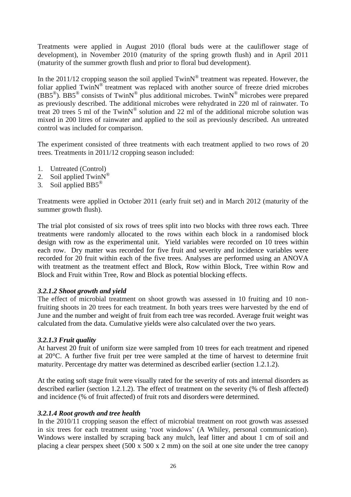Treatments were applied in August 2010 (floral buds were at the cauliflower stage of development), in November 2010 (maturity of the spring growth flush) and in April 2011 (maturity of the summer growth flush and prior to floral bud development).

In the 2011/12 cropping season the soil applied  $TwinN^{\circledast}$  treatment was repeated. However, the foliar applied TwinN<sup>®</sup> treatment was replaced with another source of freeze dried microbes  $(BBS^{\circ})$ . BB5<sup>®</sup> consists of TwinN<sup>®</sup> plus additional microbes. TwinN<sup>®</sup> microbes were prepared as previously described. The additional microbes were rehydrated in 220 ml of rainwater. To treat 20 trees 5 ml of the TwinN® solution and 22 ml of the additional microbe solution was mixed in 200 litres of rainwater and applied to the soil as previously described. An untreated control was included for comparison.

The experiment consisted of three treatments with each treatment applied to two rows of 20 trees. Treatments in 2011/12 cropping season included:

- 1. Untreated (Control)
- 2. Soil applied  $TwinN^®$
- 3. Soil applied  $BB5^{\circledR}$

Treatments were applied in October 2011 (early fruit set) and in March 2012 (maturity of the summer growth flush).

The trial plot consisted of six rows of trees split into two blocks with three rows each. Three treatments were randomly allocated to the rows within each block in a randomised block design with row as the experimental unit. Yield variables were recorded on 10 trees within each row. Dry matter was recorded for five fruit and severity and incidence variables were recorded for 20 fruit within each of the five trees. Analyses are performed using an ANOVA with treatment as the treatment effect and Block, Row within Block, Tree within Row and Block and Fruit within Tree, Row and Block as potential blocking effects.

### *3.2.1.2 Shoot growth and yield*

The effect of microbial treatment on shoot growth was assessed in 10 fruiting and 10 nonfruiting shoots in 20 trees for each treatment. In both years trees were harvested by the end of June and the number and weight of fruit from each tree was recorded. Average fruit weight was calculated from the data. Cumulative yields were also calculated over the two years.

### *3.2.1.3 Fruit quality*

At harvest 20 fruit of uniform size were sampled from 10 trees for each treatment and ripened at 20°C. A further five fruit per tree were sampled at the time of harvest to determine fruit maturity. Percentage dry matter was determined as described earlier (section 1.2.1.2).

At the eating soft stage fruit were visually rated for the severity of rots and internal disorders as described earlier (section 1.2.1.2). The effect of treatment on the severity (% of flesh affected) and incidence (% of fruit affected) of fruit rots and disorders were determined.

### *3.2.1.4 Root growth and tree health*

In the 2010/11 cropping season the effect of microbial treatment on root growth was assessed in six trees for each treatment using 'root windows' (A Whiley, personal communication). Windows were installed by scraping back any mulch, leaf litter and about 1 cm of soil and placing a clear perspex sheet (500 x 500 x 2 mm) on the soil at one site under the tree canopy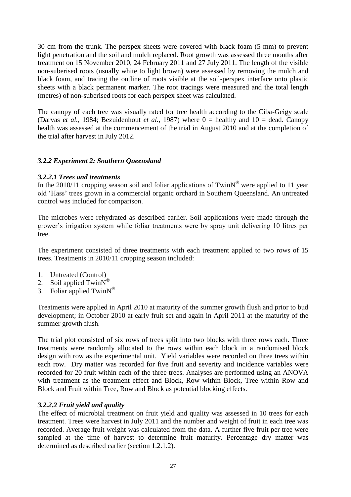30 cm from the trunk. The perspex sheets were covered with black foam (5 mm) to prevent light penetration and the soil and mulch replaced. Root growth was assessed three months after treatment on 15 November 2010, 24 February 2011 and 27 July 2011. The length of the visible non-suberised roots (usually white to light brown) were assessed by removing the mulch and black foam, and tracing the outline of roots visible at the soil-perspex interface onto plastic sheets with a black permanent marker. The root tracings were measured and the total length (metres) of non-suberised roots for each perspex sheet was calculated.

The canopy of each tree was visually rated for tree health according to the Ciba-Geigy scale (Darvas *et al.*, 1984; Bezuidenhout *et al.*, 1987) where  $0 =$  healthy and  $10 =$  dead. Canopy health was assessed at the commencement of the trial in August 2010 and at the completion of the trial after harvest in July 2012.

### *3.2.2 Experiment 2: Southern Queensland*

### *3.2.2.1 Trees and treatments*

In the 2010/11 cropping season soil and foliar applications of Twin $N^{\circ}$  were applied to 11 year old 'Hass' trees grown in a commercial organic orchard in Southern Queensland. An untreated control was included for comparison.

The microbes were rehydrated as described earlier. Soil applications were made through the grower's irrigation system while foliar treatments were by spray unit delivering 10 litres per tree.

The experiment consisted of three treatments with each treatment applied to two rows of 15 trees. Treatments in 2010/11 cropping season included:

- 1. Untreated (Control)
- 2. Soil applied  $TwinN^<sup>®</sup>$
- 3. Foliar applied Twin $N^{\circledR}$

Treatments were applied in April 2010 at maturity of the summer growth flush and prior to bud development; in October 2010 at early fruit set and again in April 2011 at the maturity of the summer growth flush.

The trial plot consisted of six rows of trees split into two blocks with three rows each. Three treatments were randomly allocated to the rows within each block in a randomised block design with row as the experimental unit. Yield variables were recorded on three trees within each row. Dry matter was recorded for five fruit and severity and incidence variables were recorded for 20 fruit within each of the three trees. Analyses are performed using an ANOVA with treatment as the treatment effect and Block, Row within Block, Tree within Row and Block and Fruit within Tree, Row and Block as potential blocking effects.

### *3.2.2.2 Fruit yield and quality*

The effect of microbial treatment on fruit yield and quality was assessed in 10 trees for each treatment. Trees were harvest in July 2011 and the number and weight of fruit in each tree was recorded. Average fruit weight was calculated from the data. A further five fruit per tree were sampled at the time of harvest to determine fruit maturity. Percentage dry matter was determined as described earlier (section 1.2.1.2).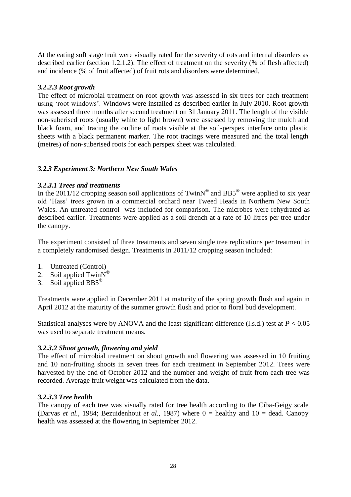At the eating soft stage fruit were visually rated for the severity of rots and internal disorders as described earlier (section 1.2.1.2). The effect of treatment on the severity (% of flesh affected) and incidence (% of fruit affected) of fruit rots and disorders were determined.

### *3.2.2.3 Root growth*

The effect of microbial treatment on root growth was assessed in six trees for each treatment using 'root windows'. Windows were installed as described earlier in July 2010. Root growth was assessed three months after second treatment on 31 January 2011. The length of the visible non-suberised roots (usually white to light brown) were assessed by removing the mulch and black foam, and tracing the outline of roots visible at the soil-perspex interface onto plastic sheets with a black permanent marker. The root tracings were measured and the total length (metres) of non-suberised roots for each perspex sheet was calculated.

### *3.2.3 Experiment 3: Northern New South Wales*

### *3.2.3.1 Trees and treatments*

In the 2011/12 cropping season soil applications of Twin $N^{\circledcirc}$  and BB5<sup>®</sup> were applied to six year old 'Hass' trees grown in a commercial orchard near Tweed Heads in Northern New South Wales. An untreated control was included for comparison. The microbes were rehydrated as described earlier. Treatments were applied as a soil drench at a rate of 10 litres per tree under the canopy.

The experiment consisted of three treatments and seven single tree replications per treatment in a completely randomised design. Treatments in 2011/12 cropping season included:

- 1. Untreated (Control)
- 2. Soil applied  $TwinN^®$
- 3. Soil applied  $BB5^{\circledcirc}$

Treatments were applied in December 2011 at maturity of the spring growth flush and again in April 2012 at the maturity of the summer growth flush and prior to floral bud development.

Statistical analyses were by ANOVA and the least significant difference (l.s.d.) test at  $P < 0.05$ was used to separate treatment means.

### *3.2.3.2 Shoot growth, flowering and yield*

The effect of microbial treatment on shoot growth and flowering was assessed in 10 fruiting and 10 non-fruiting shoots in seven trees for each treatment in September 2012. Trees were harvested by the end of October 2012 and the number and weight of fruit from each tree was recorded. Average fruit weight was calculated from the data.

### *3.2.3.3 Tree health*

The canopy of each tree was visually rated for tree health according to the Ciba-Geigy scale (Darvas *et al.*, 1984; Bezuidenhout *et al.*, 1987) where 0 = healthy and 10 = dead. Canopy health was assessed at the flowering in September 2012.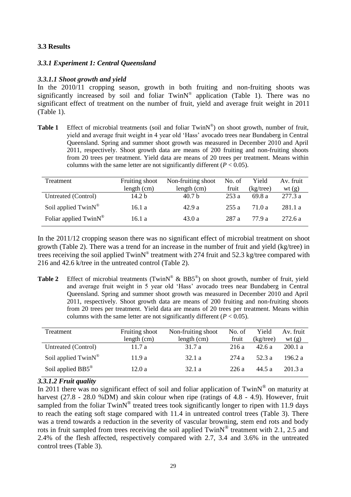### **3.3 Results**

### *3.3.1 Experiment 1: Central Queensland*

### *3.3.1.1 Shoot growth and yield*

In the 2010/11 cropping season, growth in both fruiting and non-fruiting shoots was significantly increased by soil and foliar  $TwinN^{\circledast}$  application (Table 1). There was no significant effect of treatment on the number of fruit, yield and average fruit weight in 2011 (Table 1).

Table 1 Effect of microbial treatments (soil and foliar TwinN®) on shoot growth, number of fruit, yield and average fruit weight in 4 year old 'Hass' avocado trees near Bundaberg in Central Queensland. Spring and summer shoot growth was measured in December 2010 and April 2011, respectively. Shoot growth data are means of 200 fruiting and non-fruiting shoots from 20 trees per treatment. Yield data are means of 20 trees per treatment. Means within columns with the same letter are not significantly different  $(P < 0.05)$ .

| Treatment                            | Fruiting shoot    | Non-fruiting shoot | No. of | Yield     | Av. fruit |
|--------------------------------------|-------------------|--------------------|--------|-----------|-----------|
|                                      | length (cm)       | length $(cm)$      | fruit  | (kg/tree) | wt $(g)$  |
| Untreated (Control)                  | 14.2 <sub>b</sub> | 40.7 <sub>b</sub>  | 253a   | 69.8 a    | 277.3 a   |
| Soil applied TwinN <sup>®</sup>      | 16.1a             | 42.9a              | 255 a  | 71.0 a    | 281.1a    |
| Foliar applied $TwinN^{\circledast}$ | 16.1 a            | 43.0a              | 287 a  | 77 9 a    | 272.6a    |

In the 2011/12 cropping season there was no significant effect of microbial treatment on shoot growth (Table 2). There was a trend for an increase in the number of fruit and yield (kg/tree) in trees receiving the soil applied  $TwinN^{\circledast}$  treatment with 274 fruit and 52.3 kg/tree compared with 216 and 42.6 k/tree in the untreated control (Table 2).

Table 2 Effect of microbial treatments (TwinN<sup>®</sup> & BB5<sup>®</sup>) on shoot growth, number of fruit, yield and average fruit weight in 5 year old 'Hass' avocado trees near Bundaberg in Central Queensland. Spring and summer shoot growth was measured in December 2010 and April 2011, respectively. Shoot growth data are means of 200 fruiting and non-fruiting shoots from 20 trees per treatment. Yield data are means of 20 trees per treatment. Means within columns with the same letter are not significantly different  $(P < 0.05)$ .

| Treatment                     | Fruiting shoot | Non-fruiting shoot | No. of | Yield     | Av. fruit |
|-------------------------------|----------------|--------------------|--------|-----------|-----------|
|                               | length (cm)    | length (cm)        | fruit  | (kg/tree) | wt(g)     |
| Untreated (Control)           | 11.7a          | 31.7 a             | 216 a  | 42.6a     | 200.1 a   |
| Soil applied TwinN®           | 11.9a          | 32.1a              | 274 a  | 52.3 a    | 196.2 a   |
| Soil applied BB5 <sup>®</sup> | 12.0a          | 32.1a              | 226a   | 44.5 a    | 201.3a    |

### *3.3.1.2 Fruit quality*

In 2011 there was no significant effect of soil and foliar application of Twin $N^{\circledR}$  on maturity at harvest  $(27.8 - 28.0 \times \overline{DM})$  and skin colour when ripe (ratings of 4.8 - 4.9). However, fruit sampled from the foliar  $TwinN^*$  treated trees took significantly longer to ripen with 11.9 days to reach the eating soft stage compared with 11.4 in untreated control trees (Table 3). There was a trend towards a reduction in the severity of vascular browning, stem end rots and body rots in fruit sampled from trees receiving the soil applied  $TwinN^{\circledast}$  treatment with 2.1, 2.5 and 2.4% of the flesh affected, respectively compared with 2.7, 3.4 and 3.6% in the untreated control trees (Table 3).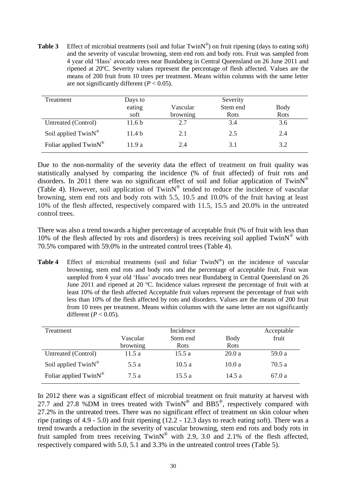**Table 3** Effect of microbial treatments (soil and foliar  $TwinN^{\circledcirc}$ ) on fruit ripening (days to eating soft) and the severity of vascular browning, stem end rots and body rots. Fruit was sampled from 4 year old 'Hass' avocado trees near Bundaberg in Central Queensland on 26 June 2011 and ripened at 20ºC. Severity values represent the percentage of flesh affected. Values are the means of 200 fruit from 10 trees per treatment. Means within columns with the same letter are not significantly different (*P* < 0.05).

| Treatment                            | Days to           |          | Severity    |      |
|--------------------------------------|-------------------|----------|-------------|------|
|                                      | eating            | Vascular | Stem end    | Body |
|                                      | soft              | browning | <b>Rots</b> | Rots |
| Untreated (Control)                  | 11.6 <sub>b</sub> | 2.7      | 3.4         | 3.6  |
| Soil applied $TwinN^®$               | 11.4 <sub>b</sub> | 2.1      | 2.5         | 2.4  |
| Foliar applied $TwinN^{\circledast}$ | 11.9 a            | 2.4      | 3.1         | 3.2  |

Due to the non-normality of the severity data the effect of treatment on fruit quality was statistically analysed by comparing the incidence (% of fruit affected) of fruit rots and disorders. In 2011 there was no significant effect of soil and foliar application of Twin $N^{\circledast}$ (Table 4). However, soil application of TwinN® tended to reduce the incidence of vascular browning, stem end rots and body rots with 5.5, 10.5 and 10.0% of the fruit having at least 10% of the flesh affected, respectively compared with 11.5, 15.5 and 20.0% in the untreated control trees.

There was also a trend towards a higher percentage of acceptable fruit (% of fruit with less than 10% of the flesh affected by rots and disorders) is trees receiving soil applied  $TwinN^{\circledcirc}$  with 70.5% compared with 59.0% in the untreated control trees (Table 4).

Table 4 Effect of microbial treatments (soil and foliar TwinN®) on the incidence of vascular browning, stem end rots and body rots and the percentage of acceptable fruit. Fruit was sampled from 4 year old 'Hass' avocado trees near Bundaberg in Central Queensland on 26 June 2011 and ripened at 20 ºC. Incidence values represent the percentage of fruit with at least 10% of the flesh affected Acceptable fruit values represent the percentage of fruit with less than 10% of the flesh affected by rots and disorders. Values are the means of 200 fruit from 10 trees per treatment. Means within columns with the same letter are not significantly different ( $P < 0.05$ ).

| Treatment                         | Incidence |                         |       | Acceptable |
|-----------------------------------|-----------|-------------------------|-------|------------|
|                                   | Vascular  | Stem end<br><b>Body</b> |       | fruit      |
|                                   | browning  | Rots                    | Rots  |            |
| Untreated (Control)               | 11.5a     | 15.5a                   | 20.0a | 59.0 a     |
| Soil applied TwinN®               | 5.5 a     | 10.5a                   | 10.0a | 70.5 a     |
| Foliar applied TwinN <sup>®</sup> | 7.5a      | 15.5a                   | 14.5a | 67.0 a     |

In 2012 there was a significant effect of microbial treatment on fruit maturity at harvest with 27.7 and 27.8 %DM in trees treated with  $TwinN^@$  and  $BBS^@$ , respectively compared with 27.2% in the untreated trees. There was no significant effect of treatment on skin colour when ripe (ratings of 4.9 - 5.0) and fruit ripening (12.2 - 12.3 days to reach eating soft). There was a trend towards a reduction in the severity of vascular browning, stem end rots and body rots in fruit sampled from trees receiving TwinN<sup>®</sup> with 2.9, 3.0 and 2.1% of the flesh affected, respectively compared with 5.0, 5.1 and 3.3% in the untreated control trees (Table 5).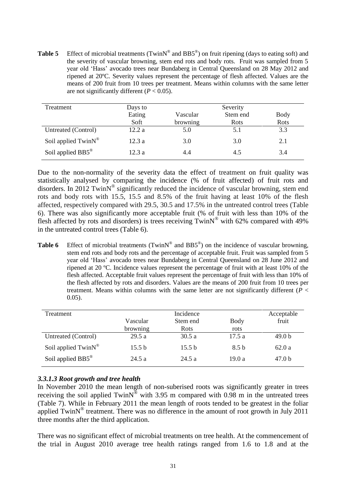**Table 5** Effect of microbial treatments (TwinN<sup>®</sup> and BB5<sup>®</sup>) on fruit ripening (days to eating soft) and the severity of vascular browning, stem end rots and body rots. Fruit was sampled from 5 year old 'Hass' avocado trees near Bundaberg in Central Queensland on 28 May 2012 and ripened at 20ºC. Severity values represent the percentage of flesh affected. Values are the means of 200 fruit from 10 trees per treatment. Means within columns with the same letter are not significantly different  $(P < 0.05)$ .

| Treatment                     | Days to |          | Severity |             |
|-------------------------------|---------|----------|----------|-------------|
|                               | Eating  | Vascular | Stem end | <b>Body</b> |
|                               | Soft    | browning | Rots     | Rots        |
| Untreated (Control)           | 12.2a   | 5.0      | 5.1      | 3.3         |
| Soil applied TwinN®           | 12.3a   | 3.0      | 3.0      | 2.1         |
| Soil applied BB5 <sup>®</sup> | 12.3a   | 4.4      | 4.5      | 3.4         |

Due to the non-normality of the severity data the effect of treatment on fruit quality was statistically analysed by comparing the incidence (% of fruit affected) of fruit rots and disorders. In 2012 TwinN<sup>®</sup> significantly reduced the incidence of vascular browning, stem end rots and body rots with 15.5, 15.5 and 8.5% of the fruit having at least 10% of the flesh affected, respectively compared with 29.5, 30.5 and 17.5% in the untreated control trees (Table 6). There was also significantly more acceptable fruit (% of fruit with less than 10% of the flesh affected by rots and disorders) is trees receiving  $TwinN^{\circledcirc}$  with 62% compared with 49% in the untreated control trees (Table 6).

**Table 6** Effect of microbial treatments (TwinN<sup>®</sup> and BB5<sup>®</sup>) on the incidence of vascular browning, stem end rots and body rots and the percentage of acceptable fruit. Fruit was sampled from 5 year old 'Hass' avocado trees near Bundaberg in Central Queensland on 28 June 2012 and ripened at 20 ºC. Incidence values represent the percentage of fruit with at least 10% of the flesh affected. Acceptable fruit values represent the percentage of fruit with less than 10% of the flesh affected by rots and disorders. Values are the means of 200 fruit from 10 trees per treatment. Means within columns with the same letter are not significantly different (*P* < 0.05).

| Treatment                       | Incidence |                   |                  | Acceptable        |
|---------------------------------|-----------|-------------------|------------------|-------------------|
|                                 | Vascular  | Stem end          | Body             | fruit             |
|                                 | browning  | <b>Rots</b>       | rots             |                   |
| Untreated (Control)             | 29.5a     | 30.5a             | 17.5a            | 49.0 <sub>b</sub> |
| Soil applied TwinN <sup>®</sup> | 15.5 b    | 15.5 <sub>b</sub> | 8.5 <sub>b</sub> | 62.0a             |
| Soil applied BB5 <sup>®</sup>   | 24.5a     | 24.5a             | 19.0a            | 47.0 <sub>b</sub> |

### *3.3.1.3 Root growth and tree health*

In November 2010 the mean length of non-suberised roots was significantly greater in trees receiving the soil applied TwinN<sup>®</sup> with 3.95 m compared with  $0.98$  m in the untreated trees (Table 7). While in February 2011 the mean length of roots tended to be greatest in the foliar applied TwinN<sup>®</sup> treatment. There was no difference in the amount of root growth in July 2011 three months after the third application.

There was no significant effect of microbial treatments on tree health. At the commencement of the trial in August 2010 average tree health ratings ranged from 1.6 to 1.8 and at the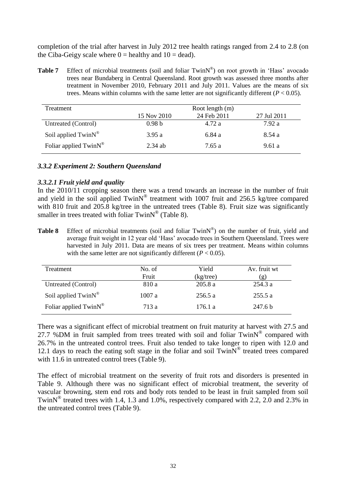completion of the trial after harvest in July 2012 tree health ratings ranged from 2.4 to 2.8 (on the Ciba-Geigy scale where  $0 =$  healthy and  $10 =$  dead).

Table 7 Effect of microbial treatments (soil and foliar TwinN®) on root growth in 'Hass' avocado trees near Bundaberg in Central Queensland. Root growth was assessed three months after treatment in November 2010, February 2011 and July 2011. Values are the means of six trees. Means within columns with the same letter are not significantly different  $(P < 0.05)$ .

| Treatment                         | Root length (m)   |             |             |  |  |
|-----------------------------------|-------------------|-------------|-------------|--|--|
|                                   | 15 Nov 2010       | 24 Feb 2011 | 27 Jul 2011 |  |  |
| Untreated (Control)               | 0.98 <sub>b</sub> | 4.72 a      | 7.92a       |  |  |
| Soil applied $TwinN^®$            | 3.95a             | 6.84 a      | 8.54 a      |  |  |
| Foliar applied TwinN <sup>®</sup> | $2.34$ ab         | 7.65 a      | 9.61 a      |  |  |

#### *3.3.2 Experiment 2: Southern Queensland*

#### *3.3.2.1 Fruit yield and quality*

In the 2010/11 cropping season there was a trend towards an increase in the number of fruit and yield in the soil applied  $TwinN^{\circledast}$  treatment with 1007 fruit and 256.5 kg/tree compared with 810 fruit and 205.8 kg/tree in the untreated trees (Table 8). Fruit size was significantly smaller in trees treated with foliar  $TwinN^@$  (Table 8).

Table 8 Effect of microbial treatments (soil and foliar TwinN®) on the number of fruit, yield and average fruit weight in 12 year old 'Hass' avocado trees in Southern Queensland. Trees were harvested in July 2011. Data are means of six trees per treatment. Means within columns with the same letter are not significantly different  $(P < 0.05)$ .

| Treatment                            | No. of | Yield        | Av. fruit wt |
|--------------------------------------|--------|--------------|--------------|
|                                      | Fruit  | $(kg$ /tree) | (ջ)          |
| Untreated (Control)                  | 810 a  | 205.8a       | 254.3a       |
| Soil applied TwinN <sup>®</sup>      | 1007a  | 256.5 a      | 255.5 a      |
| Foliar applied $TwinN^{\circledast}$ | 713 a  | 176.1 a      | 247.6 b      |

There was a significant effect of microbial treatment on fruit maturity at harvest with 27.5 and 27.7 %DM in fruit sampled from trees treated with soil and foliar  $TwinN^{\circledast}$  compared with 26.7% in the untreated control trees. Fruit also tended to take longer to ripen with 12.0 and 12.1 days to reach the eating soft stage in the foliar and soil  $TwinN^@$  treated trees compared with 11.6 in untreated control trees (Table 9).

The effect of microbial treatment on the severity of fruit rots and disorders is presented in Table 9. Although there was no significant effect of microbial treatment, the severity of vascular browning, stem end rots and body rots tended to be least in fruit sampled from soil TwinN<sup>®</sup> treated trees with 1.4, 1.3 and 1.0%, respectively compared with 2.2, 2.0 and 2.3% in the untreated control trees (Table 9).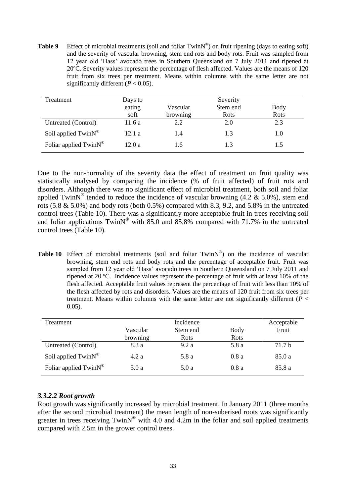**Table 9** Effect of microbial treatments (soil and foliar TwinN®) on fruit ripening (days to eating soft) and the severity of vascular browning, stem end rots and body rots. Fruit was sampled from 12 year old 'Hass' avocado trees in Southern Queensland on 7 July 2011 and ripened at 20ºC. Severity values represent the percentage of flesh affected. Values are the means of 120 fruit from six trees per treatment. Means within columns with the same letter are not significantly different  $(P < 0.05)$ .

| Treatment                | Days to |          | Severity |      |
|--------------------------|---------|----------|----------|------|
|                          | eating  | Vascular | Stem end | Body |
|                          | soft    | browning | Rots     | Rots |
| Untreated (Control)      | 11.6a   | 2.2      | 2.0      | 2.3  |
| Soil applied $TwinN^®$   | 12.1a   | 1.4      | 1.3      | 1.0  |
| Foliar applied $TwinN^*$ | 12.0a   | 1.6      |          | L.5  |

Due to the non-normality of the severity data the effect of treatment on fruit quality was statistically analysed by comparing the incidence (% of fruit affected) of fruit rots and disorders. Although there was no significant effect of microbial treatment, both soil and foliar applied TwinN<sup>®</sup> tended to reduce the incidence of vascular browning (4.2 & 5.0%), stem end rots  $(5.8 \& 5.0\%)$  and body rots (both 0.5%) compared with 8.3, 9.2, and 5.8% in the untreated control trees (Table 10). There was a significantly more acceptable fruit in trees receiving soil and foliar applications  $TwinN^®$  with 85.0 and 85.8% compared with 71.7% in the untreated control trees (Table 10).

Table 10 Effect of microbial treatments (soil and foliar TwinN®) on the incidence of vascular browning, stem end rots and body rots and the percentage of acceptable fruit. Fruit was sampled from 12 year old 'Hass' avocado trees in Southern Queensland on 7 July 2011 and ripened at 20 ºC. Incidence values represent the percentage of fruit with at least 10% of the flesh affected. Acceptable fruit values represent the percentage of fruit with less than 10% of the flesh affected by rots and disorders. Values are the means of 120 fruit from six trees per treatment. Means within columns with the same letter are not significantly different (*P* < 0.05).

| Treatment                | Incidence |             |       | Acceptable |
|--------------------------|-----------|-------------|-------|------------|
|                          | Vascular  | Stem end    | Body  | Fruit      |
|                          | browning  | <b>Rots</b> | Rots  |            |
| Untreated (Control)      | 8.3 a     | 9.2a        | 5.8 a | 71.7 b     |
| Soil applied $TwinN^®$   | 4.2a      | 5.8 a       | 0.8a  | 85.0a      |
| Foliar applied $TwinN^*$ | 5.0a      | 5.0a        | 0.8a  | 85.8 a     |

### *3.3.2.2 Root growth*

Root growth was significantly increased by microbial treatment. In January 2011 (three months after the second microbial treatment) the mean length of non-suberised roots was significantly greater in trees receiving  $TwinN^{\circledast}$  with 4.0 and 4.2m in the foliar and soil applied treatments compared with 2.5m in the grower control trees.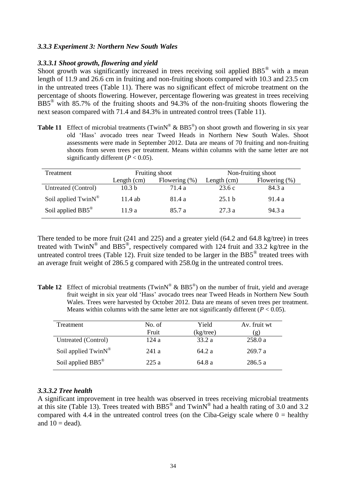### *3.3.3 Experiment 3: Northern New South Wales*

### *3.3.3.1 Shoot growth, flowering and yield*

Shoot growth was significantly increased in trees receiving soil applied BB5<sup>®</sup> with a mean length of 11.9 and 26.6 cm in fruiting and non-fruiting shoots compared with 10.3 and 23.5 cm in the untreated trees (Table 11). There was no significant effect of microbe treatment on the percentage of shoots flowering. However, percentage flowering was greatest in trees receiving BB5® with 85.7% of the fruiting shoots and 94.3% of the non-fruiting shoots flowering the next season compared with 71.4 and 84.3% in untreated control trees (Table 11).

**Table 11** Effect of microbial treatments (TwinN<sup>®</sup> & BB5<sup>®</sup>) on shoot growth and flowering in six year old 'Hass' avocado trees near Tweed Heads in Northern New South Wales. Shoot assessments were made in September 2012. Data are means of 70 fruiting and non-fruiting shoots from seven trees per treatment. Means within columns with the same letter are not significantly different  $(P < 0.05)$ .

| Treatment                           | Fruiting shoot    |                  |               | Non-fruiting shoot |
|-------------------------------------|-------------------|------------------|---------------|--------------------|
|                                     | Length $(cm)$     | Flowering $(\%)$ | Length $(cm)$ | Flowering $(\%)$   |
| Untreated (Control)                 | 10.3 <sub>b</sub> | 71.4 a           | 23.6c         | 84.3 a             |
| Soil applied $TwinN^{\circledcirc}$ | $11.4$ ab         | 81.4 a           | 25.1 h        | 91.4 a             |
| Soil applied $BB5^{\circledcirc}$   | 11.9 a            | 85.7 a           | 27.3 a        | 94.3 a             |

There tended to be more fruit (241 and 225) and a greater yield (64.2 and 64.8 kg/tree) in trees treated with TwinN<sup>®</sup> and BB5<sup>®</sup>, respectively compared with 124 fruit and 33.2 kg/tree in the untreated control trees (Table 12). Fruit size tended to be larger in the BB5<sup>®</sup> treated trees with an average fruit weight of 286.5 g compared with 258.0g in the untreated control trees.

**Table 12** Effect of microbial treatments (TwinN<sup>®</sup> & BB5<sup>®</sup>) on the number of fruit, yield and average fruit weight in six year old 'Hass' avocado trees near Tweed Heads in Northern New South Wales. Trees were harvested by October 2012. Data are means of seven trees per treatment. Means within columns with the same letter are not significantly different  $(P < 0.05)$ .

| Treatment                     | No. of | Yield     | Av. fruit wt |
|-------------------------------|--------|-----------|--------------|
|                               | Fruit  | (kg/tree) | (g)          |
| Untreated (Control)           | 124 a  | 33.2a     | 258.0 a      |
| Soil applied $TwinN^®$        | 241a   | 64.2 a    | 269.7a       |
| Soil applied BB5 <sup>®</sup> | 225a   | 64.8 a    | 286.5 a      |

### *3.3.3.2 Tree health*

A significant improvement in tree health was observed in trees receiving microbial treatments at this site (Table 13). Trees treated with BB5<sup>®</sup> and TwinN<sup>®</sup> had a health rating of 3.0 and 3.2 compared with 4.4 in the untreated control trees (on the Ciba-Geigy scale where  $0 =$  healthy and  $10 = dead$ ).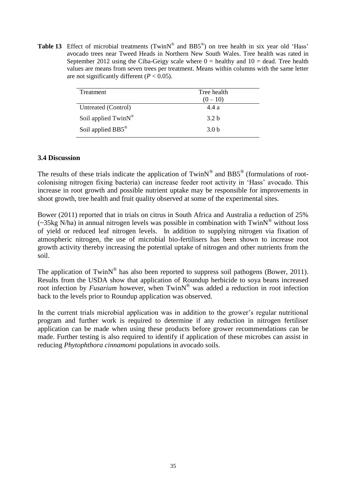**Table 13** Effect of microbial treatments (TwinN<sup>®</sup> and  $BB5^\circ$ ) on tree health in six year old 'Hass' avocado trees near Tweed Heads in Northern New South Wales. Tree health was rated in September 2012 using the Ciba-Geigy scale where  $0 =$  healthy and  $10 =$  dead. Tree health values are means from seven trees per treatment. Means within columns with the same letter are not significantly different  $(P < 0.05)$ .

| Treatment           | Tree health<br>$(0-10)$ |
|---------------------|-------------------------|
| Untreated (Control) | 4.4a                    |
| Soil applied TwinN® | 3.2 <sub>b</sub>        |
| Soil applied BB5®   | 3.0 <sub>b</sub>        |

### **3.4 Discussion**

The results of these trials indicate the application of Twin $N^{\circledast}$  and BB5<sup>®</sup> (formulations of rootcolonising nitrogen fixing bacteria) can increase feeder root activity in 'Hass' avocado. This increase in root growth and possible nutrient uptake may be responsible for improvements in shoot growth, tree health and fruit quality observed at some of the experimental sites.

Bower (2011) reported that in trials on citrus in South Africa and Australia a reduction of 25%  $\sim$  35kg N/ha) in annual nitrogen levels was possible in combination with TwinN<sup>®</sup> without loss of yield or reduced leaf nitrogen levels. In addition to supplying nitrogen via fixation of atmospheric nitrogen, the use of microbial bio-fertilisers has been shown to increase root growth activity thereby increasing the potential uptake of nitrogen and other nutrients from the soil.

The application of TwinN<sup>®</sup> has also been reported to suppress soil pathogens (Bower, 2011). Results from the USDA show that application of Roundup herbicide to soya beans increased root infection by *Fusarium* however, when TwinN<sup>®</sup> was added a reduction in root infection back to the levels prior to Roundup application was observed.

In the current trials microbial application was in addition to the grower's regular nutritional program and further work is required to determine if any reduction in nitrogen fertiliser application can be made when using these products before grower recommendations can be made. Further testing is also required to identify if application of these microbes can assist in reducing *Phytophthora cinnamomi* populations in avocado soils.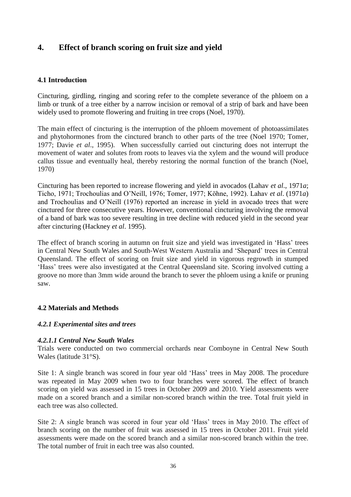# **4. Effect of branch scoring on fruit size and yield**

### **4.1 Introduction**

Cincturing, girdling, ringing and scoring refer to the complete severance of the phloem on a limb or trunk of a tree either by a narrow incision or removal of a strip of bark and have been widely used to promote flowering and fruiting in tree crops (Noel, 1970).

The main effect of cincturing is the interruption of the phloem movement of photoassimilates and phytohormones from the cinctured branch to other parts of the tree (Noel 1970; Tomer, 1977; Davie *et al*., 1995). When successfully carried out cincturing does not interrupt the movement of water and solutes from roots to leaves via the xylem and the wound will produce callus tissue and eventually heal, thereby restoring the normal function of the branch (Noel, 1970)

Cincturing has been reported to increase flowering and yield in avocados (Lahav *et al*., 1971*a*; Ticho, 1971; Trochoulias and O'Neill, 1976; Tomer, 1977; Köhne, 1992). Lahav *et al*. (1971*a*) and Trochoulias and O'Neill (1976) reported an increase in yield in avocado trees that were cinctured for three consecutive years. However, conventional cincturing involving the removal of a band of bark was too severe resulting in tree decline with reduced yield in the second year after cincturing (Hackney *et al*. 1995).

The effect of branch scoring in autumn on fruit size and yield was investigated in 'Hass' trees in Central New South Wales and South-West Western Australia and 'Shepard' trees in Central Queensland. The effect of scoring on fruit size and yield in vigorous regrowth in stumped 'Hass' trees were also investigated at the Central Queensland site. Scoring involved cutting a groove no more than 3mm wide around the branch to sever the phloem using a knife or pruning saw.

### **4.2 Materials and Methods**

### *4.2.1 Experimental sites and trees*

### *4.2.1.1 Central New South Wales*

Trials were conducted on two commercial orchards near Comboyne in Central New South Wales (latitude 31°S).

Site 1: A single branch was scored in four year old 'Hass' trees in May 2008. The procedure was repeated in May 2009 when two to four branches were scored. The effect of branch scoring on yield was assessed in 15 trees in October 2009 and 2010. Yield assessments were made on a scored branch and a similar non-scored branch within the tree. Total fruit yield in each tree was also collected.

Site 2: A single branch was scored in four year old 'Hass' trees in May 2010. The effect of branch scoring on the number of fruit was assessed in 15 trees in October 2011. Fruit yield assessments were made on the scored branch and a similar non-scored branch within the tree. The total number of fruit in each tree was also counted.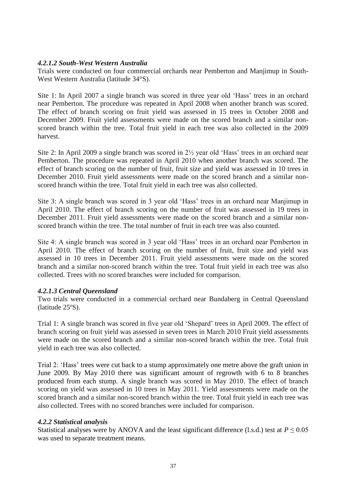### *4.2.1.2 South-West Western Australia*

Trials were conducted on four commercial orchards near Pemberton and Manjimup in South-West Western Australia (latitude 34°S).

Site 1: In April 2007 a single branch was scored in three year old 'Hass' trees in an orchard near Pemberton. The procedure was repeated in April 2008 when another branch was scored. The effect of branch scoring on fruit yield was assessed in 15 trees in October 2008 and December 2009. Fruit yield assessments were made on the scored branch and a similar nonscored branch within the tree. Total fruit yield in each tree was also collected in the 2009 harvest.

Site 2: In April 2009 a single branch was scored in 2½ year old 'Hass' trees in an orchard near Pemberton. The procedure was repeated in April 2010 when another branch was scored. The effect of branch scoring on the number of fruit, fruit size and yield was assessed in 10 trees in December 2010. Fruit yield assessments were made on the scored branch and a similar nonscored branch within the tree. Total fruit yield in each tree was also collected.

Site 3: A single branch was scored in 3 year old 'Hass' trees in an orchard near Manjimup in April 2010. The effect of branch scoring on the number of fruit was assessed in 19 trees in December 2011. Fruit yield assessments were made on the scored branch and a similar nonscored branch within the tree. The total number of fruit in each tree was also counted.

Site 4: A single branch was scored in 3 year old 'Hass' trees in an orchard near Pemberton in April 2010. The effect of branch scoring on the number of fruit, fruit size and yield was assessed in 10 trees in December 2011. Fruit yield assessments were made on the scored branch and a similar non-scored branch within the tree. Total fruit yield in each tree was also collected. Trees with no scored branches were included for comparison.

### *4.2.1.3 Central Queensland*

Two trials were conducted in a commercial orchard near Bundaberg in Central Queensland (latitude 25ºS).

Trial 1: A single branch was scored in five year old 'Shepard' trees in April 2009. The effect of branch scoring on fruit yield was assessed in seven trees in March 2010 Fruit yield assessments were made on the scored branch and a similar non-scored branch within the tree. Total fruit yield in each tree was also collected.

Trial 2: 'Hass' trees were cut back to a stump approximately one metre above the graft union in June 2009. By May 2010 there was significant amount of regrowth with 6 to 8 branches produced from each stump. A single branch was scored in May 2010. The effect of branch scoring on yield was assessed in 10 trees in May 2011. Yield assessments were made on the scored branch and a similar non-scored branch within the tree. Total fruit yield in each tree was also collected. Trees with no scored branches were included for comparison.

### *4.2.2 Statistical analysis*

Statistical analyses were by ANOVA and the least significant difference (l.s.d.) test at  $P \le 0.05$ was used to separate treatment means.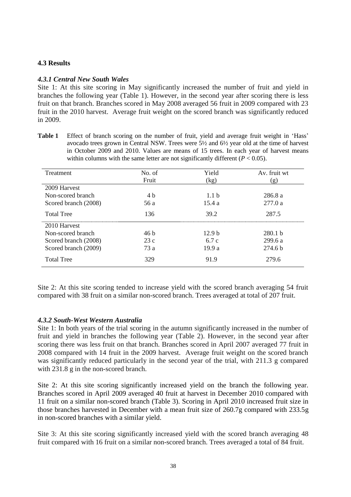### **4.3 Results**

### *4.3.1 Central New South Wales*

Site 1: At this site scoring in May significantly increased the number of fruit and yield in branches the following year (Table 1). However, in the second year after scoring there is less fruit on that branch. Branches scored in May 2008 averaged 56 fruit in 2009 compared with 23 fruit in the 2010 harvest. Average fruit weight on the scored branch was significantly reduced in 2009.

**Table 1** Effect of branch scoring on the number of fruit, yield and average fruit weight in 'Hass' avocado trees grown in Central NSW. Trees were 5½ and 6½ year old at the time of harvest in October 2009 and 2010. Values are means of 15 trees. In each year of harvest means within columns with the same letter are not significantly different  $(P < 0.05)$ .

| Treatment            | No. of | Yield             | Av. fruit wt       |
|----------------------|--------|-------------------|--------------------|
|                      | Fruit  | (kg)              | (g)                |
| 2009 Harvest         |        |                   |                    |
| Non-scored branch    | 4 b    | 1.1 <sub>b</sub>  | 286.8 a            |
| Scored branch (2008) | 56 a   | 15.4a             | 277.0a             |
| <b>Total Tree</b>    | 136    | 39.2              | 287.5              |
| 2010 Harvest         |        |                   |                    |
| Non-scored branch    | 46 b   | 12.9 <sub>b</sub> | 280.1 <sub>b</sub> |
| Scored branch (2008) | 23c    | 6.7c              | 299.6a             |
| Scored branch (2009) | 73a    | 19.9a             | 274.6 <sub>b</sub> |
| <b>Total Tree</b>    | 329    | 91.9              | 279.6              |

Site 2: At this site scoring tended to increase yield with the scored branch averaging 54 fruit compared with 38 fruit on a similar non-scored branch. Trees averaged at total of 207 fruit.

### *4.3.2 South-West Western Australia*

Site 1: In both years of the trial scoring in the autumn significantly increased in the number of fruit and yield in branches the following year (Table 2). However, in the second year after scoring there was less fruit on that branch. Branches scored in April 2007 averaged 77 fruit in 2008 compared with 14 fruit in the 2009 harvest. Average fruit weight on the scored branch was significantly reduced particularly in the second year of the trial, with 211.3 g compared with 231.8 g in the non-scored branch.

Site 2: At this site scoring significantly increased yield on the branch the following year. Branches scored in April 2009 averaged 40 fruit at harvest in December 2010 compared with 11 fruit on a similar non-scored branch (Table 3). Scoring in April 2010 increased fruit size in those branches harvested in December with a mean fruit size of 260.7g compared with 233.5g in non-scored branches with a similar yield.

Site 3: At this site scoring significantly increased yield with the scored branch averaging 48 fruit compared with 16 fruit on a similar non-scored branch. Trees averaged a total of 84 fruit.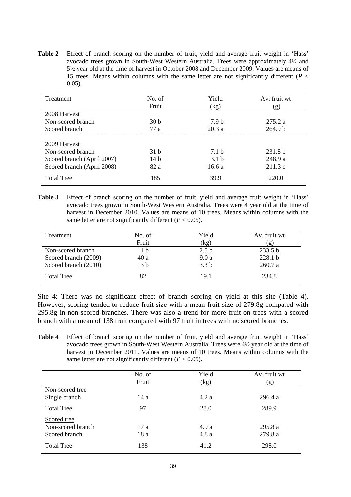**Table 2** Effect of branch scoring on the number of fruit, yield and average fruit weight in 'Hass' avocado trees grown in South-West Western Australia. Trees were approximately 4½ and 5½ year old at the time of harvest in October 2008 and December 2009. Values are means of 15 trees. Means within columns with the same letter are not significantly different (*P* < 0.05).

| Treatment                  | No. of          | Yield            | Av. fruit wt       |  |
|----------------------------|-----------------|------------------|--------------------|--|
|                            | Fruit           | (kg)             | (g)                |  |
| 2008 Harvest               |                 |                  |                    |  |
| Non-scored branch          | 30 <sub>b</sub> | 7.9 h            | 275.2 a            |  |
| Scored branch              | 77a             | 20.3a            | 264.9 <sub>b</sub> |  |
|                            |                 |                  |                    |  |
| 2009 Harvest               |                 |                  |                    |  |
| Non-scored branch          | 31 h            | 7.1 h            | 231.8 <sub>b</sub> |  |
| Scored branch (April 2007) | 14h             | 3.1 <sub>b</sub> | 248.9 a            |  |
| Scored branch (April 2008) | 82 a            | 16.6a            | 211.3c             |  |
| <b>Total Tree</b>          | 185             | 39.9             | 220.0              |  |

**Table 3** Effect of branch scoring on the number of fruit, yield and average fruit weight in 'Hass' avocado trees grown in South-West Western Australia. Trees were 4 year old at the time of harvest in December 2010. Values are means of 10 trees. Means within columns with the same letter are not significantly different  $(P < 0.05)$ .

| Treatment            | No. of          | Yield            | Av. fruit wt |
|----------------------|-----------------|------------------|--------------|
|                      | Fruit           | (kg)             | $\mathbf{g}$ |
| Non-scored branch    | 11 b            | 2.5 <sub>b</sub> | 233.5 b      |
| Scored branch (2009) | 40a             | 9.0a             | 228.1 b      |
| Scored branch (2010) | 13 <sub>b</sub> | 3.3 <sub>b</sub> | 260.7a       |
| <b>Total Tree</b>    | 82              | 19.1             | 234.8        |

Site 4: There was no significant effect of branch scoring on yield at this site (Table 4). However, scoring tended to reduce fruit size with a mean fruit size of 279.8g compared with 295.8g in non-scored branches. There was also a trend for more fruit on trees with a scored branch with a mean of 138 fruit compared with 97 fruit in trees with no scored branches.

**Table 4** Effect of branch scoring on the number of fruit, yield and average fruit weight in 'Hass' avocado trees grown in South-West Western Australia. Trees were 4½ year old at the time of harvest in December 2011. Values are means of 10 trees. Means within columns with the same letter are not significantly different  $(P < 0.05)$ .

|                   | No. of<br>Fruit | Yield<br>(kg) | Av. fruit wt<br>(g) |
|-------------------|-----------------|---------------|---------------------|
| Non-scored tree   |                 |               |                     |
| Single branch     | 14 a            | 4.2a          | 296.4a              |
| <b>Total Tree</b> | 97              | 28.0          | 289.9               |
| Scored tree       |                 |               |                     |
| Non-scored branch | 17a             | 4.9a          | 295.8a              |
| Scored branch     | 18 a            | 4.8a          | 279.8 a             |
| <b>Total Tree</b> | 138             | 41.2          | 298.0               |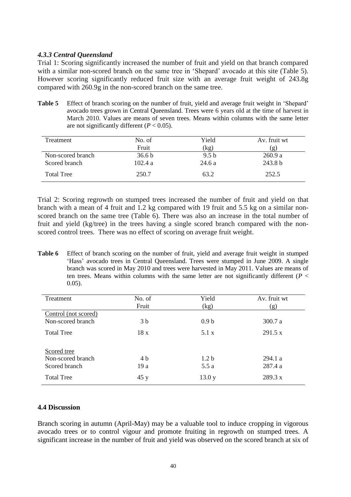### *4.3.3 Central Queensland*

Trial 1: Scoring significantly increased the number of fruit and yield on that branch compared with a similar non-scored branch on the same tree in 'Shepard' avocado at this site (Table 5). However scoring significantly reduced fruit size with an average fruit weight of 243.8g compared with 260.9g in the non-scored branch on the same tree.

**Table 5** Effect of branch scoring on the number of fruit, yield and average fruit weight in 'Shepard' avocado trees grown in Central Queensland. Trees were 6 years old at the time of harvest in March 2010. Values are means of seven trees. Means within columns with the same letter are not significantly different  $(P < 0.05)$ .

| Treatment         | No. of            | Yield            | Av. fruit wt       |
|-------------------|-------------------|------------------|--------------------|
|                   | Fruit             | (kg)             | $\mathbf{g}$       |
| Non-scored branch | 36.6 <sub>b</sub> | 9.5 <sub>b</sub> | 260.9 a            |
| Scored branch     | 102.4a            | 24.6 a           | 243.8 <sub>b</sub> |
| <b>Total Tree</b> | 250.7             | 63.2             | 252.5              |

Trial 2: Scoring regrowth on stumped trees increased the number of fruit and yield on that branch with a mean of 4 fruit and 1.2 kg compared with 19 fruit and 5.5 kg on a similar nonscored branch on the same tree (Table 6). There was also an increase in the total number of fruit and yield (kg/tree) in the trees having a single scored branch compared with the nonscored control trees. There was no effect of scoring on average fruit weight.

**Table 6** Effect of branch scoring on the number of fruit, yield and average fruit weight in stumped 'Hass' avocado trees in Central Queensland. Trees were stumped in June 2009. A single branch was scored in May 2010 and trees were harvested in May 2011. Values are means of ten trees. Means within columns with the same letter are not significantly different ( $P <$ 0.05).

| Treatment            | No. of         | Yield            | Av. fruit wt |
|----------------------|----------------|------------------|--------------|
|                      | Fruit          | (kg)             | (g)          |
| Control (not scored) |                |                  |              |
| Non-scored branch    | 3 <sub>b</sub> | 0.9 <sub>b</sub> | 300.7 a      |
| <b>Total Tree</b>    | 18x            | 5.1 x            | 291.5 x      |
| Scored tree          |                |                  |              |
| Non-scored branch    | 4 b            | 1.2 <sub>b</sub> | 294.1a       |
| Scored branch        | 19a            | 5.5 a            | 287.4 a      |
| <b>Total Tree</b>    | 45y            | 13.0 y           | 289.3 x      |

#### **4.4 Discussion**

Branch scoring in autumn (April-May) may be a valuable tool to induce cropping in vigorous avocado trees or to control vigour and promote fruiting in regrowth on stumped trees. A significant increase in the number of fruit and yield was observed on the scored branch at six of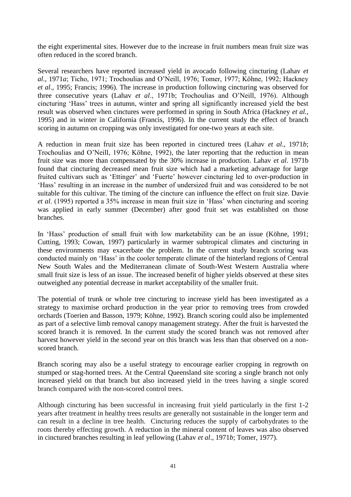the eight experimental sites. However due to the increase in fruit numbers mean fruit size was often reduced in the scored branch.

Several researchers have reported increased yield in avocado following cincturing (Lahav *et al*., 1971*a*; Ticho, 1971; Trochoulias and O'Neill, 1976; Tomer, 1977; Köhne, 1992; Hackney *et al*., 1995; Francis; 1996). The increase in production following cincturing was observed for three consecutive years (Lahav *et al*., 1971b; Trochoulias and O'Neill, 1976). Although cincturing 'Hass' trees in autumn, winter and spring all significantly increased yield the best result was observed when cinctures were performed in spring in South Africa (Hackney *et al.*, 1995) and in winter in California (Francis, 1996). In the current study the effect of branch scoring in autumn on cropping was only investigated for one-two years at each site.

A reduction in mean fruit size has been reported in cinctured trees (Lahav *et al*., 1971*b*; Trochoulias and O'Neill, 1976; Köhne, 1992), the later reporting that the reduction in mean fruit size was more than compensated by the 30% increase in production. Lahav *et al*. 1971b found that cincturing decreased mean fruit size which had a marketing advantage for large fruited cultivars such as 'Ettinger' and 'Fuerte' however cincturing led to over-production in 'Hass' resulting in an increase in the number of undersized fruit and was considered to be not suitable for this cultivar. The timing of the cincture can influence the effect on fruit size. Davie *et al*. (1995) reported a 35% increase in mean fruit size in 'Hass' when cincturing and scoring was applied in early summer (December) after good fruit set was established on those branches.

In 'Hass' production of small fruit with low marketability can be an issue (Köhne, 1991; Cutting, 1993; Cowan, 1997) particularly in warmer subtropical climates and cincturing in these environments may exacerbate the problem. In the current study branch scoring was conducted mainly on 'Hass' in the cooler temperate climate of the hinterland regions of Central New South Wales and the Mediterranean climate of South-West Western Australia where small fruit size is less of an issue. The increased benefit of higher yields observed at these sites outweighed any potential decrease in market acceptability of the smaller fruit.

The potential of trunk or whole tree cincturing to increase yield has been investigated as a strategy to maximise orchard production in the year prior to removing trees from crowded orchards (Toerien and Basson, 1979; Köhne, 1992). Branch scoring could also be implemented as part of a selective limb removal canopy management strategy. After the fruit is harvested the scored branch it is removed. In the current study the scored branch was not removed after harvest however yield in the second year on this branch was less than that observed on a nonscored branch.

Branch scoring may also be a useful strategy to encourage earlier cropping in regrowth on stumped or stag-horned trees. At the Central Queensland site scoring a single branch not only increased yield on that branch but also increased yield in the trees having a single scored branch compared with the non-scored control trees.

Although cincturing has been successful in increasing fruit yield particularly in the first 1-2 years after treatment in healthy trees results are generally not sustainable in the longer term and can result in a decline in tree health. Cincturing reduces the supply of carbohydrates to the roots thereby effecting growth. A reduction in the mineral content of leaves was also observed in cinctured branches resulting in leaf yellowing (Lahav *et al*., 1971*b*; Tomer, 1977).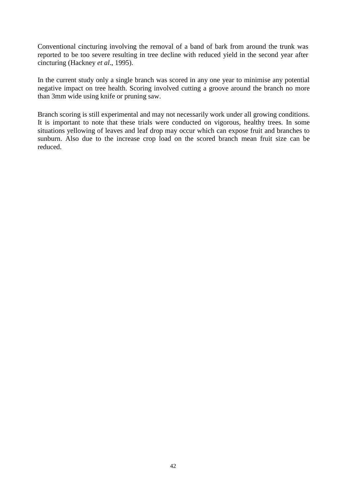Conventional cincturing involving the removal of a band of bark from around the trunk was reported to be too severe resulting in tree decline with reduced yield in the second year after cincturing (Hackney *et al*., 1995).

In the current study only a single branch was scored in any one year to minimise any potential negative impact on tree health. Scoring involved cutting a groove around the branch no more than 3mm wide using knife or pruning saw.

Branch scoring is still experimental and may not necessarily work under all growing conditions. It is important to note that these trials were conducted on vigorous, healthy trees. In some situations yellowing of leaves and leaf drop may occur which can expose fruit and branches to sunburn. Also due to the increase crop load on the scored branch mean fruit size can be reduced.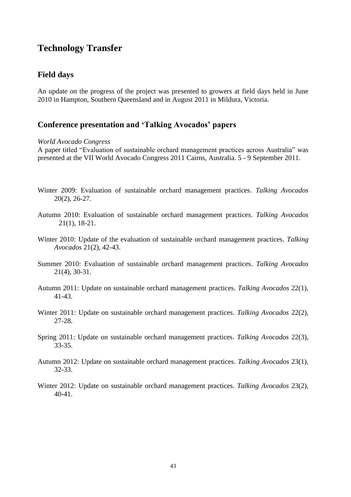# **Technology Transfer**

# **Field days**

An update on the progress of the project was presented to growers at field days held in June 2010 in Hampton, Southern Queensland and in August 2011 in Mildura, Victoria.

### **Conference presentation and 'Talking Avocados' papers**

#### *World Avocado Congress*

A paper titled "Evaluation of sustainable orchard management practices across Australia" was presented at the VII World Avocado Congress 2011 Cairns, Australia. 5 - 9 September 2011.

- Winter 2009: Evaluation of sustainable orchard management practices. *Talking Avocados* 20(2), 26-27.
- Autumn 2010: Evaluation of sustainable orchard management practices. *Talking Avocados* 21(1), 18-21.
- Winter 2010: Update of the evaluation of sustainable orchard management practices. *Talking Avocados* 21(2), 42-43.
- Summer 2010: Evaluation of sustainable orchard management practices. *Talking Avocados* 21(4), 30-31.
- Autumn 2011: Update on sustainable orchard management practices. *Talking Avocados* 22(1), 41-43.
- Winter 2011: Update on sustainable orchard management practices. *Talking Avocados* 22(2), 27-28.
- Spring 2011: Update on sustainable orchard management practices. *Talking Avocados* 22(3), 33-35.
- Autumn 2012: Update on sustainable orchard management practices. *Talking Avocados* 23(1), 32-33.
- Winter 2012: Update on sustainable orchard management practices. *Talking Avocados* 23(2), 40-41.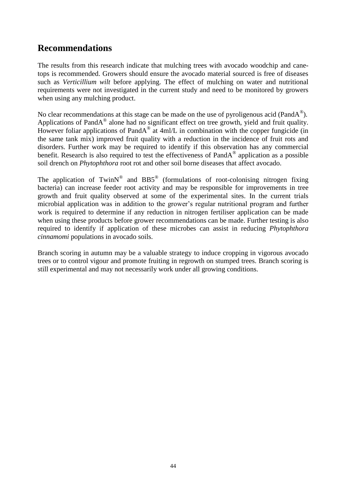# **Recommendations**

The results from this research indicate that mulching trees with avocado woodchip and canetops is recommended. Growers should ensure the avocado material sourced is free of diseases such as *Verticillium wilt* before applying. The effect of mulching on water and nutritional requirements were not investigated in the current study and need to be monitored by growers when using any mulching product.

No clear recommendations at this stage can be made on the use of pyroligenous acid (PandA $^{\circledR}$ ). Applications of PandA<sup>®</sup> alone had no significant effect on tree growth, yield and fruit quality. However foliar applications of PandA® at  $4ml/L$  in combination with the copper fungicide (in the same tank mix) improved fruit quality with a reduction in the incidence of fruit rots and disorders. Further work may be required to identify if this observation has any commercial benefit. Research is also required to test the effectiveness of PandA<sup>®</sup> application as a possible soil drench on *Phytophthora* root rot and other soil borne diseases that affect avocado.

The application of TwinN<sup>®</sup> and BB5<sup>®</sup> (formulations of root-colonising nitrogen fixing bacteria) can increase feeder root activity and may be responsible for improvements in tree growth and fruit quality observed at some of the experimental sites. In the current trials microbial application was in addition to the grower's regular nutritional program and further work is required to determine if any reduction in nitrogen fertiliser application can be made when using these products before grower recommendations can be made. Further testing is also required to identify if application of these microbes can assist in reducing *Phytophthora cinnamomi* populations in avocado soils.

Branch scoring in autumn may be a valuable strategy to induce cropping in vigorous avocado trees or to control vigour and promote fruiting in regrowth on stumped trees. Branch scoring is still experimental and may not necessarily work under all growing conditions.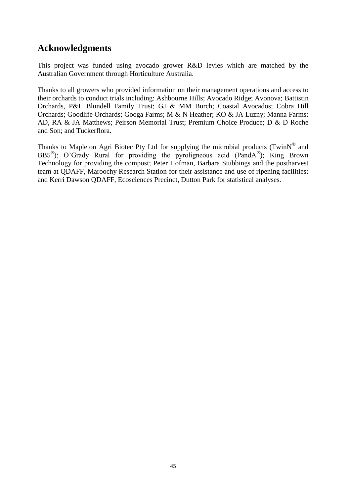# **Acknowledgments**

This project was funded using avocado grower R&D levies which are matched by the Australian Government through Horticulture Australia.

Thanks to all growers who provided information on their management operations and access to their orchards to conduct trials including: Ashbourne Hills; Avocado Ridge; Avonova; Battistin Orchards, P&L Blundell Family Trust; GJ & MM Burch; Coastal Avocados; Cobra Hill Orchards; Goodlife Orchards; Googa Farms; M & N Heather; KO & JA Luzny; Manna Farms; AD, RA & JA Matthews; Peirson Memorial Trust; Premium Choice Produce; D & D Roche and Son; and Tuckerflora.

Thanks to Mapleton Agri Biotec Pty Ltd for supplying the microbial products (Twin $N^{\circledast}$  and BB5<sup>®</sup>); O'Grady Rural for providing the pyroligneous acid (PandA<sup>®</sup>); King Brown Technology for providing the compost; Peter Hofman, Barbara Stubbings and the postharvest team at QDAFF, Maroochy Research Station for their assistance and use of ripening facilities; and Kerri Dawson QDAFF, Ecosciences Precinct, Dutton Park for statistical analyses.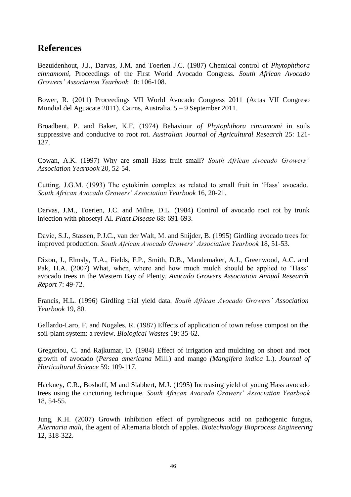# **References**

Bezuidenhout, J.J., Darvas, J.M. and Toerien J.C. (1987) Chemical control of *Phytophthora cinnamomi*, Proceedings of the First World Avocado Congress. *South African Avocado Growers' Association Yearbook* 10: 106-108.

Bower, R. (2011) Proceedings VII World Avocado Congress 2011 (Actas VII Congreso Mundial del Aguacate 2011). Cairns, Australia. 5 – 9 September 2011.

Broadbent, P. and Baker, K.F. (1974) Behaviour *of Phytophthora cinnamomi* in soils suppressive and conducive to root rot. *Australian Journal of Agricultural Research* 25: 121- 137.

Cowan, A.K. (1997) Why are small Hass fruit small? *South African Avocado Growers' Association Yearbook* 20, 52-54.

Cutting, J.G.M. (1993) The cytokinin complex as related to small fruit in 'Hass' avocado. *South African Avocado Growers' Association Yearbook* 16, 20-21.

Darvas, J.M., Toerien, J.C. and Milne, D.L. (1984) Control of avocado root rot by trunk injection with phosetyl-Al. *Plant Disease* 68: 691-693.

Davie, S.J., Stassen, P.J.C., van der Walt, M. and Snijder, B. (1995) Girdling avocado trees for improved production. *South African Avocado Growers' Association Yearbook* 18, 51-53.

Dixon, J., Elmsly, T.A., Fields, F.P., Smith, D.B., Mandemaker, A.J., Greenwood, A.C. and Pak, H.A. (2007) What, when, where and how much mulch should be applied to 'Hass' avocado trees in the Western Bay of Plenty. *Avocado Growers Association Annual Research Report* 7: 49-72.

Francis, H.L. (1996) Girdling trial yield data. *South African Avocado Growers' Association Yearbook* 19, 80.

Gallardo-Laro, F. and Nogales, R. (1987) Effects of application of town refuse compost on the soil-plant system: a review. *Biological Wastes* 19: 35-62.

Gregoriou, C. and Rajkumar, D. (1984) Effect of irrigation and mulching on shoot and root growth of avocado (*Persea americana* Mill.) and mango *(Mangifera indica* L.). *Journal of Horticultural Science* 59: 109-117.

Hackney, C.R., Boshoff, M and Slabbert, M.J. (1995) Increasing yield of young Hass avocado trees using the cincturing technique. *South African Avocado Growers' Association Yearbook* 18, 54-55.

Jung, K.H. (2007) Growth inhibition effect of pyroligneous acid on pathogenic fungus, *Alternaria mali*, the agent of Alternaria blotch of apples. *Biotechnology Bioprocess Engineering* 12, 318-322.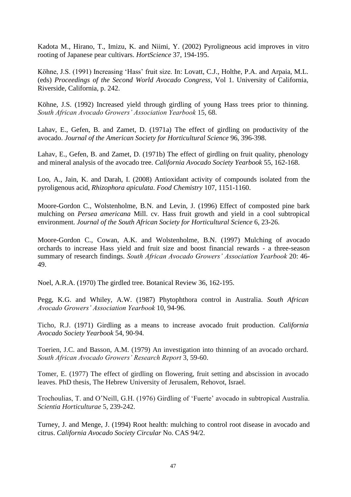Kadota M., Hirano, T., Imizu, K. and Niimi, Y. (2002) Pyroligneous acid improves in vitro rooting of Japanese pear cultivars. *HortScience* 37, 194-195.

Köhne, J.S. (1991) Increasing 'Hass' fruit size. In: Lovatt, C.J., Holthe, P.A. and Arpaia, M.L. (eds) *Proceedings of the Second World Avocado Congress*, Vol 1. University of California, Riverside, California, p. 242.

Köhne, J.S. (1992) Increased yield through girdling of young Hass trees prior to thinning. *South African Avocado Growers' Association Yearbook* 15, 68.

Lahav, E., Gefen, B. and Zamet, D. (1971a) The effect of girdling on productivity of the avocado. *Journal of the American Society for Horticultural Science* 96, 396-398.

Lahav, E., Gefen, B. and Zamet, D. (1971b) The effect of girdling on fruit quality, phenology and mineral analysis of the avocado tree. *California Avocado Society Yearbook* 55, 162-168.

Loo, A., Jain, K. and Darah, I. (2008) Antioxidant activity of compounds isolated from the pyroligenous acid, *Rhizophora apiculata*. *Food Chemistry* 107, 1151-1160.

Moore-Gordon C., Wolstenholme, B.N. and Levin, J. (1996) Effect of composted pine bark mulching on *Persea americana* Mill. cv. Hass fruit growth and yield in a cool subtropical environment. *Journal of the South African Society for Horticultural Science* 6, 23-26.

Moore-Gordon C., Cowan, A.K. and Wolstenholme, B.N. (1997) Mulching of avocado orchards to increase Hass yield and fruit size and boost financial rewards - a three-season summary of research findings. *South African Avocado Growers' Association Yearbook* 20: 46- 49.

Noel, A.R.A. (1970) The girdled tree. Botanical Review 36, 162-195.

Pegg, K.G. and Whiley, A.W. (1987) Phytophthora control in Australia. *South African Avocado Growers' Association Yearbook* 10, 94-96.

Ticho, R.J. (1971) Girdling as a means to increase avocado fruit production. *California Avocado Society Yearbook* 54, 90-94.

Toerien, J.C. and Basson, A.M. (1979) An investigation into thinning of an avocado orchard. *South African Avocado Growers' Research Report* 3, 59-60.

Tomer, E. (1977) The effect of girdling on flowering, fruit setting and abscission in avocado leaves. PhD thesis, The Hebrew University of Jerusalem, Rehovot, Israel.

Trochoulias, T. and O'Neill, G.H. (1976) Girdling of 'Fuerte' avocado in subtropical Australia. *Scientia Horticulturae* 5, 239-242.

Turney, J. and Menge, J. (1994) Root health: mulching to control root disease in avocado and citrus. *California Avocado Society Circular* No. CAS 94/2.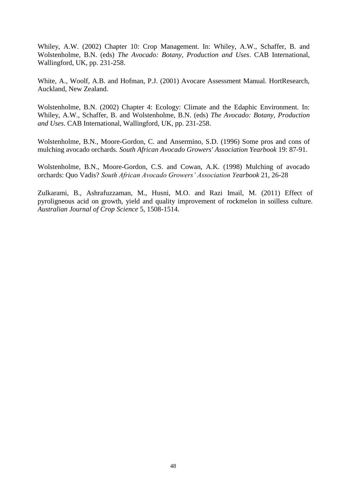Whiley, A.W. (2002) Chapter 10: Crop Management. In: Whiley, A.W., Schaffer, B. and Wolstenholme, B.N. (eds) *The Avocado: Botany, Production and Uses*. CAB International, Wallingford, UK, pp. 231-258.

White, A., Woolf, A.B. and Hofman, P.J. (2001) Avocare Assessment Manual. HortResearch, Auckland, New Zealand.

Wolstenholme, B.N. (2002) Chapter 4: Ecology: Climate and the Edaphic Environment. In: Whiley, A.W., Schaffer, B. and Wolstenholme, B.N. (eds) *The Avocado: Botany, Production and Uses*. CAB International, Wallingford, UK, pp. 231-258.

Wolstenholme, B.N., Moore-Gordon, C. and Ansermino, S.D. (1996) Some pros and cons of mulching avocado orchards. *South African Avocado Growers' Association Yearbook* 19: 87-91.

Wolstenholme, B.N., Moore-Gordon, C.S. and Cowan, A.K. (1998) Mulching of avocado orchards: Quo Vadis? *South African Avocado Growers' Association Yearbook* 21, 26-28

Zulkarami, B., Ashrafuzzaman, M., Husni, M.O. and Razi Imail, M. (2011) Effect of pyroligneous acid on growth, yield and quality improvement of rockmelon in soilless culture. *Australian Journal of Crop Science* 5, 1508-1514.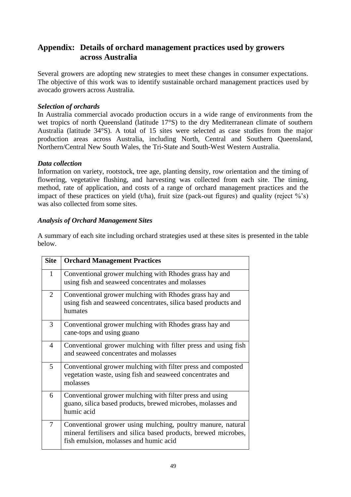# **Appendix: Details of orchard management practices used by growers across Australia**

Several growers are adopting new strategies to meet these changes in consumer expectations. The objective of this work was to identify sustainable orchard management practices used by avocado growers across Australia.

### *Selection of orchards*

In Australia commercial avocado production occurs in a wide range of environments from the wet tropics of north Queensland (latitude 17°S) to the dry Mediterranean climate of southern Australia (latitude 34°S). A total of 15 sites were selected as case studies from the major production areas across Australia, including North, Central and Southern Queensland, Northern/Central New South Wales, the Tri-State and South-West Western Australia.

### *Data collection*

Information on variety, rootstock, tree age, planting density, row orientation and the timing of flowering, vegetative flushing, and harvesting was collected from each site. The timing, method, rate of application, and costs of a range of orchard management practices and the impact of these practices on yield (t/ha), fruit size (pack-out figures) and quality (reject  $\%$ 's) was also collected from some sites.

### *Analysis of Orchard Management Sites*

A summary of each site including orchard strategies used at these sites is presented in the table below.

| <b>Site</b> | <b>Orchard Management Practices</b>                                                                                                                                      |
|-------------|--------------------------------------------------------------------------------------------------------------------------------------------------------------------------|
| 1           | Conventional grower mulching with Rhodes grass hay and<br>using fish and seaweed concentrates and molasses                                                               |
| 2           | Conventional grower mulching with Rhodes grass hay and<br>using fish and seaweed concentrates, silica based products and<br>humates                                      |
| 3           | Conventional grower mulching with Rhodes grass hay and<br>cane-tops and using guano                                                                                      |
| 4           | Conventional grower mulching with filter press and using fish<br>and seaweed concentrates and molasses                                                                   |
| 5           | Conventional grower mulching with filter press and composted<br>vegetation waste, using fish and seaweed concentrates and<br>molasses                                    |
| 6           | Conventional grower mulching with filter press and using<br>guano, silica based products, brewed microbes, molasses and<br>humic acid                                    |
| 7           | Conventional grower using mulching, poultry manure, natural<br>mineral fertilisers and silica based products, brewed microbes,<br>fish emulsion, molasses and humic acid |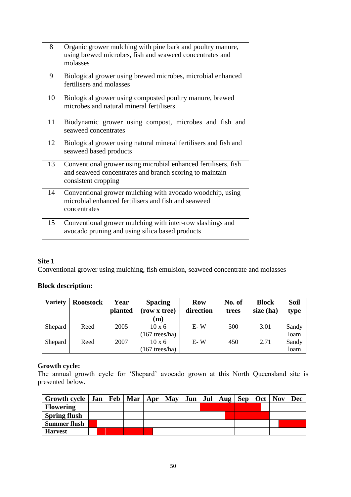| 8  | Organic grower mulching with pine bark and poultry manure,<br>using brewed microbes, fish and seaweed concentrates and<br>molasses               |
|----|--------------------------------------------------------------------------------------------------------------------------------------------------|
| 9  | Biological grower using brewed microbes, microbial enhanced<br>fertilisers and molasses                                                          |
| 10 | Biological grower using composted poultry manure, brewed<br>microbes and natural mineral fertilisers                                             |
| 11 | Biodynamic grower using compost, microbes and fish and<br>seaweed concentrates                                                                   |
| 12 | Biological grower using natural mineral fertilisers and fish and<br>seaweed based products                                                       |
| 13 | Conventional grower using microbial enhanced fertilisers, fish<br>and seaweed concentrates and branch scoring to maintain<br>consistent cropping |
| 14 | Conventional grower mulching with avocado woodchip, using<br>microbial enhanced fertilisers and fish and seaweed<br>concentrates                 |
| 15 | Conventional grower mulching with inter-row slashings and<br>avocado pruning and using silica based products                                     |

Conventional grower using mulching, fish emulsion, seaweed concentrate and molasses

# **Block description:**

| <b>Variety</b> | <b>Rootstock</b> | Year<br>planted | <b>Spacing</b><br>(row x tree)<br>(m) | <b>Row</b><br>direction | No. of<br>trees | <b>Block</b><br>size (ha) | <b>Soil</b><br>type |
|----------------|------------------|-----------------|---------------------------------------|-------------------------|-----------------|---------------------------|---------------------|
| Shepard        | Reed             | 2005            | $10 \times 6$                         | $E-W$                   | 500             | 3.01                      | Sandy               |
|                |                  |                 | $(167$ trees/ha)                      |                         |                 |                           | loam                |
| Shepard        | Reed             | 2007            | $10 \times 6$                         | $E-W$                   | 450             | 2.71                      | Sandy               |
|                |                  |                 | 167 trees/ha)                         |                         |                 |                           | loam                |

# **Growth cycle:**

The annual growth cycle for 'Shepard' avocado grown at this North Queensland site is presented below.

| Growth cycle   Jan   Feb   Mar   Apr   May |  |  |  | Jun   Jul   Aug   Sep   Oct   Nov |  | <b>Dec</b> |
|--------------------------------------------|--|--|--|-----------------------------------|--|------------|
| <b>Flowering</b>                           |  |  |  |                                   |  |            |
| <b>Spring flush</b>                        |  |  |  |                                   |  |            |
| <b>Summer flush</b>                        |  |  |  |                                   |  |            |
| <b>Harvest</b>                             |  |  |  |                                   |  |            |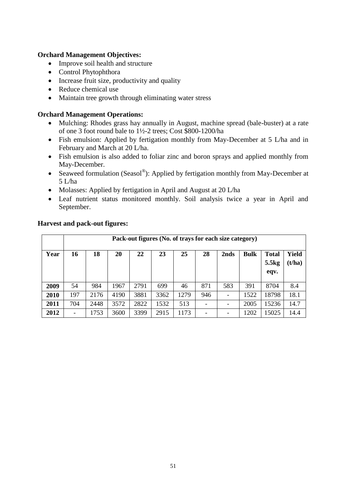### **Orchard Management Objectives:**

- Improve soil health and structure
- Control Phytophthora
- Increase fruit size, productivity and quality
- Reduce chemical use
- Maintain tree growth through eliminating water stress

### **Orchard Management Operations:**

- Mulching: Rhodes grass hay annually in August, machine spread (bale-buster) at a rate of one 3 foot round bale to 1½-2 trees; Cost \$800-1200/ha
- Fish emulsion: Applied by fertigation monthly from May-December at 5 L/ha and in February and March at 20 L/ha.
- Fish emulsion is also added to foliar zinc and boron sprays and applied monthly from May-December.
- Seaweed formulation (Seasol®): Applied by fertigation monthly from May-December at 5 L/ha
- Molasses: Applied by fertigation in April and August at 20 L/ha
- Leaf nutrient status monitored monthly. Soil analysis twice a year in April and September.

|      | Pack-out figures (No. of trays for each size category) |      |      |      |      |      |     |      |             |              |        |
|------|--------------------------------------------------------|------|------|------|------|------|-----|------|-------------|--------------|--------|
| Year | 16                                                     | 18   | 20   | 22   | 23   | 25   | 28  | 2nds | <b>Bulk</b> | <b>Total</b> | Yield  |
|      |                                                        |      |      |      |      |      |     |      |             | 5.5kg        | (t/ha) |
|      |                                                        |      |      |      |      |      |     |      |             | eqv.         |        |
| 2009 | 54                                                     | 984  | 1967 | 2791 | 699  | 46   | 871 | 583  | 391         | 8704         | 8.4    |
| 2010 | 197                                                    | 2176 | 4190 | 3881 | 3362 | 1279 | 946 |      | 1522        | 18798        | 18.1   |
| 2011 | 704                                                    | 2448 | 3572 | 2822 | 1532 | 513  |     |      | 2005        | 15236        | 14.7   |
| 2012 |                                                        | 1753 | 3600 | 3399 | 2915 | 1173 | -   |      | 1202        | 15025        | 14.4   |

### **Harvest and pack-out figures:**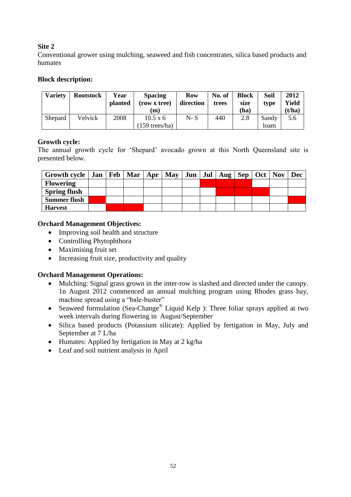Conventional grower using mulching, seaweed and fish concentrates, silica based products and humates

### **Block description:**

| Varietv | <b>Rootstock</b> | Year<br><b>planted</b> | <b>Spacing</b><br>(row x tree)<br>(m) | <b>Row</b><br>direction | No. of<br>trees | <b>Block</b><br>size<br>(ha) | Soil<br>type | 2012<br>Yield<br>(t/ha) |
|---------|------------------|------------------------|---------------------------------------|-------------------------|-----------------|------------------------------|--------------|-------------------------|
| Shepard | Velvick          | 2008                   | $10.5 \times 6$                       | $N-S$                   | 440             | 2.8                          | Sandy        | 5.6                     |
|         |                  |                        | $(159 \text{ trees/ha})$              |                         |                 |                              | loam         |                         |

# **Growth cycle:**

The annual growth cycle for 'Shepard' avocado grown at this North Queensland site is presented below.

| Growth cycle   Jan   Feb   Mar   Apr |  |  |  | $\text{May}$   Jun   Jul   Aug   Sep   Oct   Nov |  | Dec |
|--------------------------------------|--|--|--|--------------------------------------------------|--|-----|
| <b>Flowering</b>                     |  |  |  |                                                  |  |     |
| <b>Spring flush</b>                  |  |  |  |                                                  |  |     |
| <b>Summer flush</b>                  |  |  |  |                                                  |  |     |
| <b>Harvest</b>                       |  |  |  |                                                  |  |     |

# **Orchard Management Objectives:**

- Improving soil health and structure
- Controlling Phytophthora
- Maximising fruit set
- Increasing fruit size, productivity and quality

- Mulching: Signal grass grown in the inter-row is slashed and directed under the canopy. 1n August 2012 commenced an annual mulching program using Rhodes grass hay, machine spread using a "bale-buster"
- Seaweed formulation (Sea-Change<sup>®</sup> Liquid Kelp ): Three foliar sprays applied at two week intervals during flowering in August/September
- Silica based products (Potassium silicate): Applied by fertigation in May, July and September at 7 L/ha
- Humates: Applied by fertigation in May at 2 kg/ha
- Leaf and soil nutrient analysis in April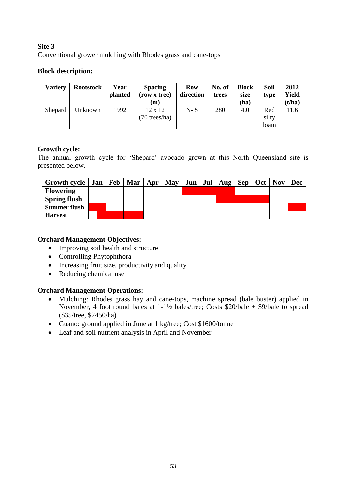# **Site 3** Conventional grower mulching with Rhodes grass and cane-tops

# **Block description:**

| <b>Variety</b> | <b>Rootstock</b> | Year<br>planted | <b>Spacing</b><br>(row x tree)<br>(m) | Row<br>direction | No. of<br>trees | <b>Block</b><br>size<br>(ha) | Soil<br>type         | 2012<br>Yield<br>(t/ha) |
|----------------|------------------|-----------------|---------------------------------------|------------------|-----------------|------------------------------|----------------------|-------------------------|
| Shepard        | Unknown          | 1992            | $12 \times 12$<br>(70 trees/ha)       | $N-S$            | 280             | 4.0                          | Red<br>silty<br>loam | 11.6                    |

# **Growth cycle:**

The annual growth cycle for 'Shepard' avocado grown at this North Queensland site is presented below.

| Growth cycle   Jan   Feb   Mar   Apr   May   Jun   Jul   Aug   Sep   Oct   Nov |  |  |  |  |  | <b>Dec</b> |
|--------------------------------------------------------------------------------|--|--|--|--|--|------------|
| <b>Flowering</b>                                                               |  |  |  |  |  |            |
| <b>Spring flush</b>                                                            |  |  |  |  |  |            |
| <b>Summer flush</b>                                                            |  |  |  |  |  |            |
| <b>Harvest</b>                                                                 |  |  |  |  |  |            |

# **Orchard Management Objectives:**

- Improving soil health and structure
- Controlling Phytophthora
- Increasing fruit size, productivity and quality
- Reducing chemical use

- Mulching: Rhodes grass hay and cane-tops, machine spread (bale buster) applied in November, 4 foot round bales at 1-1½ bales/tree; Costs \$20/bale + \$9/bale to spread (\$35/tree, \$2450/ha)
- Guano: ground applied in June at 1 kg/tree; Cost \$1600/tonne
- Leaf and soil nutrient analysis in April and November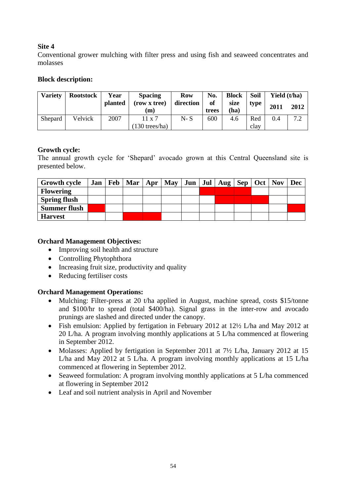Conventional grower mulching with filter press and using fish and seaweed concentrates and molasses

### **Block description:**

| <b>Variety</b> | <b>Rootstock</b> | Year    | <b>Spacing</b>           | <b>Row</b> | No.         | Block        | <b>Soil</b> | Yield (t/ha) |      |
|----------------|------------------|---------|--------------------------|------------|-------------|--------------|-------------|--------------|------|
|                |                  | planted | (row x tree)<br>(m)      | direction  | of<br>trees | size<br>(ha) | type        | 2011         | 2012 |
| Shepard        | Velvick          | 2007    | $11 \times 7$            | $N-S$      | 600         | 4.6          | Red         | 0.4          | 7.2  |
|                |                  |         | $(130 \text{ trees/ha})$ |            |             |              | clay        |              |      |

### **Growth cycle:**

The annual growth cycle for 'Shepard' avocado grown at this Central Queensland site is presented below.

| <b>Growth cycle</b> | Jan   Feb | Mar | Apr | <b>May</b> |  | Jun   Jul   Aug   Sep |  | Oct   Nov | Dec |
|---------------------|-----------|-----|-----|------------|--|-----------------------|--|-----------|-----|
| <b>Flowering</b>    |           |     |     |            |  |                       |  |           |     |
| <b>Spring flush</b> |           |     |     |            |  |                       |  |           |     |
| <b>Summer flush</b> |           |     |     |            |  |                       |  |           |     |
| <b>Harvest</b>      |           |     |     |            |  |                       |  |           |     |

### **Orchard Management Objectives:**

- Improving soil health and structure
- Controlling Phytophthora
- Increasing fruit size, productivity and quality
- Reducing fertiliser costs

- Mulching: Filter-press at 20 t/ha applied in August, machine spread, costs \$15/tonne and \$100/hr to spread (total \$400/ha). Signal grass in the inter-row and avocado prunings are slashed and directed under the canopy.
- Fish emulsion: Applied by fertigation in February 2012 at 12½ L/ha and May 2012 at 20 L/ha. A program involving monthly applications at 5 L/ha commenced at flowering in September 2012.
- Molasses: Applied by fertigation in September 2011 at 7½ L/ha, January 2012 at 15 L/ha and May 2012 at 5 L/ha. A program involving monthly applications at 15 L/ha commenced at flowering in September 2012.
- Seaweed formulation: A program involving monthly applications at 5 L/ha commenced at flowering in September 2012
- Leaf and soil nutrient analysis in April and November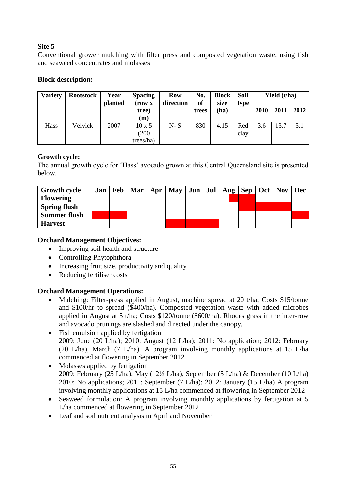Conventional grower mulching with filter press and composted vegetation waste, using fish and seaweed concentrates and molasses

# **Block description:**

| <b>Variety</b> | <b>Rootstock</b> | Year<br>planted | <b>Spacing</b><br>(row x) | <b>Row</b><br>direction | No.<br>of | <b>Block</b><br>size | Soil<br>type |      | Yield (t/ha) |      |
|----------------|------------------|-----------------|---------------------------|-------------------------|-----------|----------------------|--------------|------|--------------|------|
|                |                  |                 | tree)                     |                         | trees     | (ha)                 |              | 2010 | 2011         | 2012 |
|                |                  |                 | (m)                       |                         |           |                      |              |      |              |      |
| Hass           | Velvick          | 2007            | $10 \times 5$             | $N-S$                   | 830       | 4.15                 | Red          | 3.6  | 13.7         | 5.1  |
|                |                  |                 | (200)                     |                         |           |                      | clay         |      |              |      |
|                |                  |                 | trees/ha)                 |                         |           |                      |              |      |              |      |

### **Growth cycle:**

The annual growth cycle for 'Hass' avocado grown at this Central Queensland site is presented below.

| <b>Growth cycle</b> | Jan | $\text{Feb}   \text{Mar}   \text{Apr}  $ | $\text{May}$   Jun   Jul   Aug   Sep   Oct   Nov |  |  |  | <b>Dec</b> |
|---------------------|-----|------------------------------------------|--------------------------------------------------|--|--|--|------------|
| <b>Flowering</b>    |     |                                          |                                                  |  |  |  |            |
| <b>Spring flush</b> |     |                                          |                                                  |  |  |  |            |
| <b>Summer flush</b> |     |                                          |                                                  |  |  |  |            |
| <b>Harvest</b>      |     |                                          |                                                  |  |  |  |            |

# **Orchard Management Objectives:**

- Improving soil health and structure
- Controlling Phytophthora
- Increasing fruit size, productivity and quality
- Reducing fertiliser costs

- Mulching: Filter-press applied in August, machine spread at 20 t/ha; Costs \$15/tonne and \$100/hr to spread (\$400/ha). Composted vegetation waste with added microbes applied in August at 5 t/ha; Costs \$120/tonne (\$600/ha). Rhodes grass in the inter-row and avocado prunings are slashed and directed under the canopy.
- Fish emulsion applied by fertigation 2009: June (20 L/ha); 2010: August (12 L/ha); 2011: No application; 2012: February (20 L/ha), March (7 L/ha). A program involving monthly applications at 15 L/ha commenced at flowering in September 2012
- Molasses applied by fertigation 2009: February (25 L/ha), May (12½ L/ha), September (5 L/ha) & December (10 L/ha) 2010: No applications; 2011: September (7 L/ha); 2012: January (15 L/ha) A program involving monthly applications at 15 L/ha commenced at flowering in September 2012
- Seaweed formulation: A program involving monthly applications by fertigation at 5 L/ha commenced at flowering in September 2012
- Leaf and soil nutrient analysis in April and November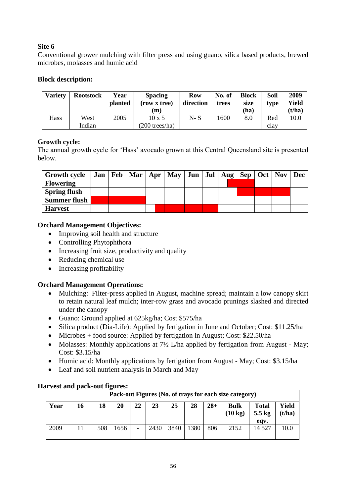Conventional grower mulching with filter press and using guano, silica based products, brewed microbes, molasses and humic acid

### **Block description:**

| Varietv | <b>Rootstock</b> | Year<br>planted | <b>Spacing</b><br>(row x tree)<br>'m) | <b>Row</b><br>direction | No. of<br>trees | <b>Block</b><br>size<br>(ha) | Soil<br>type | 2009<br>Yield<br>(t/ha) |
|---------|------------------|-----------------|---------------------------------------|-------------------------|-----------------|------------------------------|--------------|-------------------------|
| Hass    | West             | 2005            | $10 \times 5$                         | $N-S$                   | 1600            | 8.0                          | Red          | 10.0                    |
|         | Indian           |                 | $(200$ trees/ha)                      |                         |                 |                              | clay         |                         |

### **Growth cycle:**

The annual growth cycle for 'Hass' avocado grown at this Central Queensland site is presented below.

| <b>Growth cycle</b> |  |  | Jan   Feb   Mar   Apr   May |  | Jun   Jul   Aug   Sep   Oct   Nov |  | Dec |
|---------------------|--|--|-----------------------------|--|-----------------------------------|--|-----|
| <b>Flowering</b>    |  |  |                             |  |                                   |  |     |
| <b>Spring flush</b> |  |  |                             |  |                                   |  |     |
| <b>Summer flush</b> |  |  |                             |  |                                   |  |     |
| <b>Harvest</b>      |  |  |                             |  |                                   |  |     |

### **Orchard Management Objectives:**

- Improving soil health and structure
- Controlling Phytophthora
- Increasing fruit size, productivity and quality
- Reducing chemical use
- Increasing profitability

### **Orchard Management Operations:**

- Mulching: Filter-press applied in August, machine spread; maintain a low canopy skirt to retain natural leaf mulch; inter-row grass and avocado prunings slashed and directed under the canopy
- Guano: Ground applied at 625kg/ha; Cost \$575/ha
- Silica product (Dia-Life): Applied by fertigation in June and October; Cost: \$11.25/ha
- Microbes + food source: Applied by fertigation in August; Cost: \$22.50/ha
- Molasses: Monthly applications at  $7\frac{1}{2}$  L/ha applied by fertigation from August May; Cost: \$3.15/ha
- Humic acid: Monthly applications by fertigation from August May; Cost: \$3.15/ha
- Leaf and soil nutrient analysis in March and May

|      |    |     |      |    |      |      |      |       | Pack-out Figures (No. of trays for each size category) |                                          |                 |
|------|----|-----|------|----|------|------|------|-------|--------------------------------------------------------|------------------------------------------|-----------------|
| Year | 16 | 18  | 20   | 22 | 23   | 25   | 28   | $28+$ | <b>Bulk</b><br>$(10 \text{ kg})$                       | <b>Total</b><br>$5.5 \text{ kg}$<br>eav. | Yield<br>(t/ha) |
| 2009 |    | 508 | 1656 | -  | 2430 | 3840 | 1380 | 806   | 2152                                                   | 14 527                                   | 10.0            |

### **Harvest and pack-out figures:**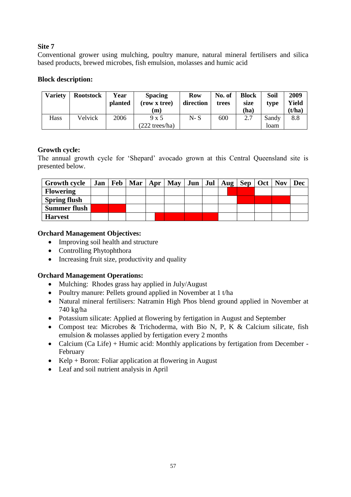Conventional grower using mulching, poultry manure, natural mineral fertilisers and silica based products, brewed microbes, fish emulsion, molasses and humic acid

### **Block description:**

| <b>Variety</b> | <b>Rootstock</b> | Year<br><b>planted</b> | <b>Spacing</b><br>(row x tree)<br> m | <b>Row</b><br>direction | No. of<br>trees | <b>Block</b><br>size<br>(ha) | Soil<br>type  | 2009<br>Yield<br>(t/ha) |
|----------------|------------------|------------------------|--------------------------------------|-------------------------|-----------------|------------------------------|---------------|-------------------------|
| Hass           | Velvick          | 2006                   | 9x5<br>$(222 \text{ trees/ha})$      | $N-S$                   | 600             | 2.7                          | Sandy<br>loam | 8.8                     |

### **Growth cycle:**

The annual growth cycle for 'Shepard' avocado grown at this Central Queensland site is presented below.

| <b>Growth cycle</b> |  | Jan   Feb   Mar   Apr   May |  |  | $Jun \mid Jul \mid Aug \mid Sep \mid Oct \mid Nov$ |  | <b>Dec</b> |
|---------------------|--|-----------------------------|--|--|----------------------------------------------------|--|------------|
| <b>Flowering</b>    |  |                             |  |  |                                                    |  |            |
| <b>Spring flush</b> |  |                             |  |  |                                                    |  |            |
| <b>Summer flush</b> |  |                             |  |  |                                                    |  |            |
| <b>Harvest</b>      |  |                             |  |  |                                                    |  |            |

### **Orchard Management Objectives:**

- Improving soil health and structure
- Controlling Phytophthora
- Increasing fruit size, productivity and quality

- Mulching: Rhodes grass hay applied in July/August
- Poultry manure: Pellets ground applied in November at 1 t/ha
- Natural mineral fertilisers: Natramin High Phos blend ground applied in November at 740 kg/ha
- Potassium silicate: Applied at flowering by fertigation in August and September
- Compost tea: Microbes & Trichoderma, with Bio N, P, K & Calcium silicate, fish emulsion & molasses applied by fertigation every 2 months
- Calcium (Ca Life) + Humic acid: Monthly applications by fertigation from December -February
- Kelp + Boron: Foliar application at flowering in August
- Leaf and soil nutrient analysis in April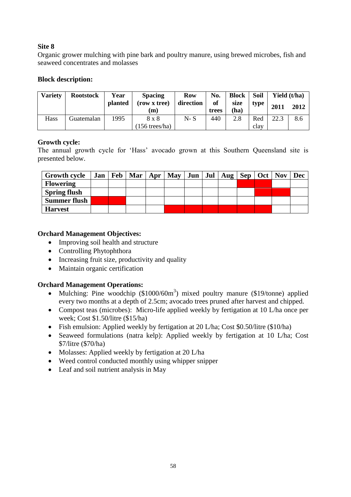Organic grower mulching with pine bark and poultry manure, using brewed microbes, fish and seaweed concentrates and molasses

### **Block description:**

| <b>Variety</b> | <b>Rootstock</b> | Year           | <b>Spacing</b>            | <b>Row</b> | No.         | <b>Block</b> | Soil        |      | Yield (t/ha) |
|----------------|------------------|----------------|---------------------------|------------|-------------|--------------|-------------|------|--------------|
|                |                  | <b>planted</b> | (row x tree)<br>(m)       | direction  | of<br>trees | size<br>(ha) | type        | 2011 | 2012         |
| Hass           | Guatemalan       | 1995           | 8 x 8<br>$(156$ trees/ha) | N- S       | 440         | 2.8          | Red<br>clay | 22.3 | 8.6          |

### **Growth cycle:**

The annual growth cycle for 'Hass' avocado grown at this Southern Queensland site is presented below.

| <b>Growth cycle</b> |  |  | Jan   Feb   Mar   Apr   May |  | Jun   Jul   Aug   Sep   Oct   Nov |  | Dec |
|---------------------|--|--|-----------------------------|--|-----------------------------------|--|-----|
| <b>Flowering</b>    |  |  |                             |  |                                   |  |     |
| <b>Spring flush</b> |  |  |                             |  |                                   |  |     |
| <b>Summer flush</b> |  |  |                             |  |                                   |  |     |
| <b>Harvest</b>      |  |  |                             |  |                                   |  |     |

### **Orchard Management Objectives:**

- Improving soil health and structure
- Controlling Phytophthora
- Increasing fruit size, productivity and quality
- Maintain organic certification

- Mulching: Pine woodchip  $(\$1000/60m^3)$  mixed poultry manure  $(\$19/tonne)$  applied every two months at a depth of 2.5cm; avocado trees pruned after harvest and chipped.
- Compost teas (microbes): Micro-life applied weekly by fertigation at 10 L/ha once per week; Cost \$1.50/litre (\$15/ha)
- Fish emulsion: Applied weekly by fertigation at 20 L/ha; Cost \$0.50/litre (\$10/ha)
- Seaweed formulations (natra kelp): Applied weekly by fertigation at 10 L/ha; Cost \$7/litre (\$70/ha)
- Molasses: Applied weekly by fertigation at 20 L/ha
- Weed control conducted monthly using whipper snipper
- Leaf and soil nutrient analysis in May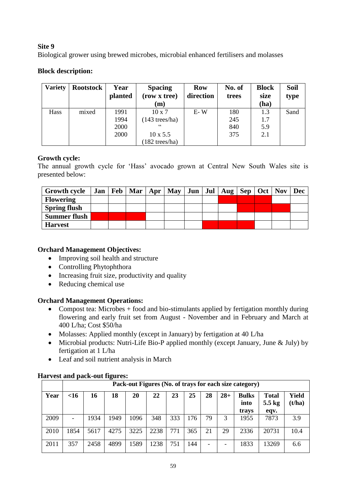Biological grower using brewed microbes, microbial enhanced fertilisers and molasses

# **Block description:**

| <b>Variety</b> | <b>Rootstock</b> | Year<br>planted | <b>Spacing</b><br>(row x tree) | <b>Row</b><br>direction | No. of<br>trees | <b>Block</b><br>size | <b>Soil</b><br>type |
|----------------|------------------|-----------------|--------------------------------|-------------------------|-----------------|----------------------|---------------------|
|                |                  |                 | (m)                            |                         |                 | (ha)                 |                     |
| <b>Hass</b>    | mixed            | 1991            | $10 \times 7$                  | $E-W$                   | 180             | 1.3                  | Sand                |
|                |                  | 1994            | $(143$ trees/ha)               |                         | 245             | 1.7                  |                     |
|                |                  | 2000            | C                              |                         | 840             | 5.9                  |                     |
|                |                  | 2000            | $10 \times 5.5$                |                         | 375             | 2.1                  |                     |
|                |                  |                 | $(182 \text{ trees/ha})$       |                         |                 |                      |                     |

# **Growth cycle:**

The annual growth cycle for 'Hass' avocado grown at Central New South Wales site is presented below:

| <b>Growth cycle</b> |  | Jan   Feb   Mar   Apr   May |  |  | $Jun \mid Jul \mid Aug \mid Sep \mid Oct \mid Nov$ |  | <b>Dec</b> |
|---------------------|--|-----------------------------|--|--|----------------------------------------------------|--|------------|
| <b>Flowering</b>    |  |                             |  |  |                                                    |  |            |
| <b>Spring flush</b> |  |                             |  |  |                                                    |  |            |
| <b>Summer flush</b> |  |                             |  |  |                                                    |  |            |
| <b>Harvest</b>      |  |                             |  |  |                                                    |  |            |

# **Orchard Management Objectives:**

- Improving soil health and structure
- Controlling Phytophthora
- Increasing fruit size, productivity and quality
- Reducing chemical use

### **Orchard Management Operations:**

- Compost tea: Microbes + food and bio-stimulants applied by fertigation monthly during flowering and early fruit set from August - November and in February and March at 400 L/ha; Cost \$50/ha
- Molasses: Applied monthly (except in January) by fertigation at 40 L/ha
- Microbial products: Nutri-Life Bio-P applied monthly (except January, June & July) by fertigation at 1 L/ha
- Leaf and soil nutrient analysis in March

|      |                   |      |      |      |      |     |     |    |       | Pack-out Figures (No. of trays for each size category) |                                  |                 |
|------|-------------------|------|------|------|------|-----|-----|----|-------|--------------------------------------------------------|----------------------------------|-----------------|
| Year | $<$ 16            | 16   | 18   | 20   | 22   | 23  | 25  | 28 | $28+$ | <b>Bulks</b><br>into<br>trays                          | <b>Total</b><br>$5.5$ kg<br>eqv. | Yield<br>(t/ha) |
| 2009 | $\qquad \qquad -$ | 1934 | 1949 | 1096 | 348  | 333 | 176 | 79 | 3     | 1955                                                   | 7873                             | 3.9             |
| 2010 | 1854              | 5617 | 4275 | 3225 | 2238 | 771 | 365 | 21 | 29    | 2336                                                   | 20731                            | 10.4            |
| 2011 | 357               | 2458 | 4899 | 1589 | 1238 | 751 | 144 |    | -     | 1833                                                   | 13269                            | 6.6             |

# **Harvest and pack-out figures:**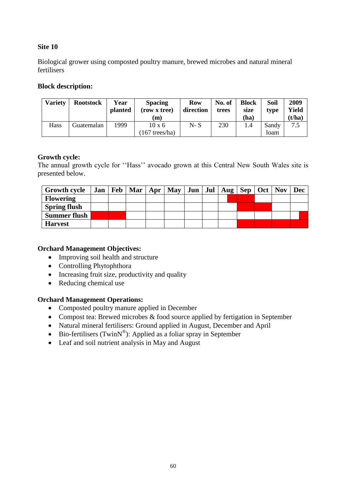Biological grower using composted poultry manure, brewed microbes and natural mineral fertilisers

### **Block description:**

| <b>Variety</b> | <b>Rootstock</b> | Year<br>planted | <b>Spacing</b><br>(row x tree)<br>(m) | <b>Row</b><br>direction | No. of<br>trees | <b>Block</b><br>size<br>(ha) | Soil<br>type  | 2009<br>Yield<br>(t/ha) |
|----------------|------------------|-----------------|---------------------------------------|-------------------------|-----------------|------------------------------|---------------|-------------------------|
| Hass           | Guatemalan       | 1999            | $10 \times 6$<br>$167$ trees/ha)      | $N-S$                   | 230             | 1.4                          | Sandy<br>loam | 7.5                     |

### **Growth cycle:**

The annual growth cycle for ''Hass'' avocado grown at this Central New South Wales site is presented below.

| <b>Growth cycle</b> |  | Jan   Feb   Mar   Apr   May |  |  | Jun   Jul   Aug   Sep   Oct   Nov |  | <b>Dec</b> |
|---------------------|--|-----------------------------|--|--|-----------------------------------|--|------------|
| <b>Flowering</b>    |  |                             |  |  |                                   |  |            |
| <b>Spring flush</b> |  |                             |  |  |                                   |  |            |
| <b>Summer flush</b> |  |                             |  |  |                                   |  |            |
| <b>Harvest</b>      |  |                             |  |  |                                   |  |            |

### **Orchard Management Objectives:**

- Improving soil health and structure
- Controlling Phytophthora
- Increasing fruit size, productivity and quality
- Reducing chemical use

- Composted poultry manure applied in December
- Compost tea: Brewed microbes & food source applied by fertigation in September
- Natural mineral fertilisers: Ground applied in August, December and April
- Bio-fertilisers (Twin $N^{\circledast}$ ): Applied as a foliar spray in September
- Leaf and soil nutrient analysis in May and August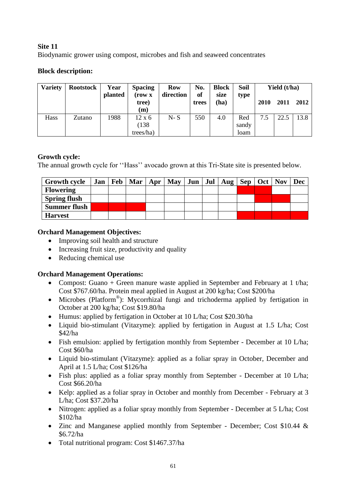Biodynamic grower using compost, microbes and fish and seaweed concentrates

# **Block description:**

| <b>Variety</b> | <b>Rootstock</b> | Year<br>planted | <b>Spacing</b><br>(row x<br>tree)<br>(m) | Row<br>direction | No.<br>of<br>trees | <b>Block</b><br>size<br>(ha) | Soil<br>type         | 2010 | Yield $(t/ha)$<br>2011 | 2012 |
|----------------|------------------|-----------------|------------------------------------------|------------------|--------------------|------------------------------|----------------------|------|------------------------|------|
| Hass           | Zutano           | 1988            | $12 \times 6$<br>(138)<br>trees/ha)      | $N-S$            | 550                | 4.0                          | Red<br>sandy<br>loam | 7.5  | 22.5                   | 13.8 |

### **Growth cycle:**

The annual growth cycle for ''Hass'' avocado grown at this Tri-State site is presented below.

| <b>Growth cycle</b> | Jan   Feb | Mar | Apr May |  | Jun   Jul   Aug   Sep |  | $Oct$   Nov | Dec |
|---------------------|-----------|-----|---------|--|-----------------------|--|-------------|-----|
| <b>Flowering</b>    |           |     |         |  |                       |  |             |     |
| <b>Spring flush</b> |           |     |         |  |                       |  |             |     |
| <b>Summer flush</b> |           |     |         |  |                       |  |             |     |
| <b>Harvest</b>      |           |     |         |  |                       |  |             |     |

### **Orchard Management Objectives:**

- Improving soil health and structure
- Increasing fruit size, productivity and quality
- Reducing chemical use

- Compost: Guano + Green manure waste applied in September and February at 1 t/ha; Cost \$767.60/ha. Protein meal applied in August at 200 kg/ha; Cost \$200/ha
- Microbes (Platform® ): Mycorrhizal fungi and trichoderma applied by fertigation in October at 200 kg/ha; Cost \$19.80/ha
- Humus: applied by fertigation in October at 10 L/ha; Cost \$20.30/ha
- Liquid bio-stimulant (Vitazyme): applied by fertigation in August at 1.5 L/ha; Cost \$42/ha
- Fish emulsion: applied by fertigation monthly from September December at 10 L/ha; Cost \$60/ha
- Liquid bio-stimulant (Vitazyme): applied as a foliar spray in October, December and April at 1.5 L/ha; Cost \$126/ha
- Fish plus: applied as a foliar spray monthly from September December at 10 L/ha; Cost \$66.20/ha
- Kelp: applied as a foliar spray in October and monthly from December February at 3 L/ha; Cost \$37.20/ha
- Nitrogen: applied as a foliar spray monthly from September December at 5 L/ha; Cost \$102/ha
- Zinc and Manganese applied monthly from September December; Cost \$10.44 & \$6.72/ha
- Total nutritional program: Cost \$1467.37/ha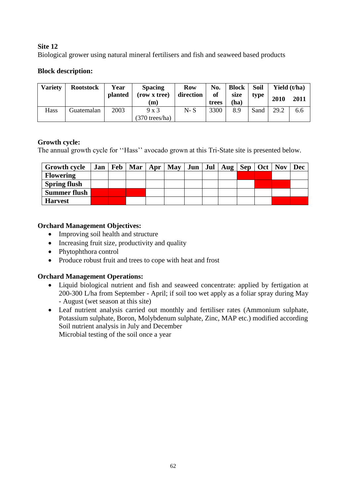Biological grower using natural mineral fertilisers and fish and seaweed based products

### **Block description:**

| Variety | <b>Rootstock</b> | Year<br>planted | <b>Spacing</b><br>(row x tree) | <b>Row</b><br>direction | No.<br>of | <b>Block</b><br>size | Soil<br>type | Yield (t/ha) |      |
|---------|------------------|-----------------|--------------------------------|-------------------------|-----------|----------------------|--------------|--------------|------|
|         |                  |                 | (m)                            |                         | trees     | (ha)                 |              | 2010         | 2011 |
| Hass    | Guatemalan       | 2003            | $9 \times 3$                   | $N-S$                   | 3300      | 8.9                  | Sand         | 29.2         | 6.6  |
|         |                  |                 | $(370 \text{ trees/ha})$       |                         |           |                      |              |              |      |

# **Growth cycle:**

The annual growth cycle for ''Hass'' avocado grown at this Tri-State site is presented below.

| <b>Growth cycle</b> |  | Jan   Feb   Mar   Apr   May |  |  | Jun   Jul   Aug   Sep   Oct   Nov |  | Dec |
|---------------------|--|-----------------------------|--|--|-----------------------------------|--|-----|
| <b>Flowering</b>    |  |                             |  |  |                                   |  |     |
| <b>Spring flush</b> |  |                             |  |  |                                   |  |     |
| <b>Summer flush</b> |  |                             |  |  |                                   |  |     |
| <b>Harvest</b>      |  |                             |  |  |                                   |  |     |

# **Orchard Management Objectives:**

- Improving soil health and structure
- Increasing fruit size, productivity and quality
- Phytophthora control
- Produce robust fruit and trees to cope with heat and frost

# **Orchard Management Operations:**

- Liquid biological nutrient and fish and seaweed concentrate: applied by fertigation at 200-300 L/ha from September - April; if soil too wet apply as a foliar spray during May - August (wet season at this site)
- Leaf nutrient analysis carried out monthly and fertiliser rates (Ammonium sulphate, Potassium sulphate, Boron, Molybdenum sulphate, Zinc, MAP etc.) modified according Soil nutrient analysis in July and December

Microbial testing of the soil once a year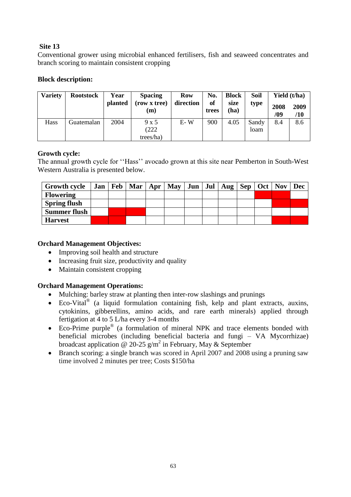Conventional grower using microbial enhanced fertilisers, fish and seaweed concentrates and branch scoring to maintain consistent cropping

### **Block description:**

| <b>Variety</b> | <b>Rootstock</b> | Year           | <b>Spacing</b>           | <b>Row</b><br>direction | No.         | <b>Block</b> | Soil          | Yield (t/ha) |             |
|----------------|------------------|----------------|--------------------------|-------------------------|-------------|--------------|---------------|--------------|-------------|
|                |                  | <b>planted</b> | (row x tree)<br>(m)      |                         | of<br>trees | size<br>(ha) | type          | 2008<br>/09  | 2009<br>/10 |
| Hass           | Guatemalan       | 2004           | 9x5<br>(222<br>trees/ha) | $E-W$                   | 900         | 4.05         | Sandy<br>loam | 8.4          | 8.6         |

### **Growth cycle:**

The annual growth cycle for ''Hass'' avocado grown at this site near Pemberton in South-West Western Australia is presented below.

| <b>Growth cycle</b> |  |  | Jan   Feb   Mar   Apr   May |  | Jun   Jul   Aug   Sep   Oct   Nov |  | Dec |
|---------------------|--|--|-----------------------------|--|-----------------------------------|--|-----|
| <b>Flowering</b>    |  |  |                             |  |                                   |  |     |
| <b>Spring flush</b> |  |  |                             |  |                                   |  |     |
| <b>Summer flush</b> |  |  |                             |  |                                   |  |     |
| <b>Harvest</b>      |  |  |                             |  |                                   |  |     |

### **Orchard Management Objectives:**

- Improving soil health and structure
- Increasing fruit size, productivity and quality
- Maintain consistent cropping

- Mulching: barley straw at planting then inter-row slashings and prunings
- Eco-Vital<sup>®</sup> (a liquid formulation containing fish, kelp and plant extracts, auxins, cytokinins, gibberellins, amino acids, and rare earth minerals) applied through fertigation at 4 to 5 L/ha every 3-4 months
- Eco-Prime purple<sup>®</sup> (a formulation of mineral NPK and trace elements bonded with beneficial microbes (including beneficial bacteria and fungi – VA Mycorrhizae) broadcast application @ 20-25  $g/m^2$  in February, May & September
- Branch scoring: a single branch was scored in April 2007 and 2008 using a pruning saw time involved 2 minutes per tree; Costs \$150/ha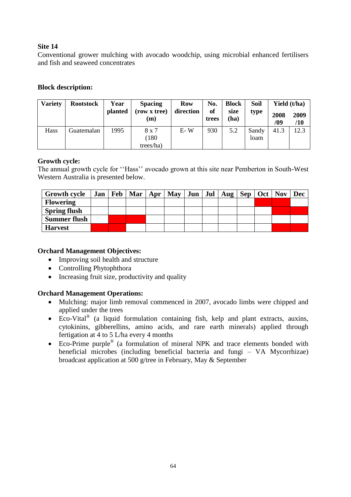Conventional grower mulching with avocado woodchip, using microbial enhanced fertilisers and fish and seaweed concentrates

### **Block description:**

| <b>Variety</b> | <b>Rootstock</b> | Year<br>planted | <b>Spacing</b><br>(row x tree)<br>(m) | <b>Row</b><br>direction | No.<br>of<br>trees | <b>Block</b><br>size<br>(ha) | Soil<br>type  | 2008<br>/09 | Yield (t/ha)<br>2009<br>/10 |
|----------------|------------------|-----------------|---------------------------------------|-------------------------|--------------------|------------------------------|---------------|-------------|-----------------------------|
| Hass           | Guatemalan       | 1995            | 8 x 7<br>(180)<br>trees/ha)           | $E-W$                   | 930                | 5.2                          | Sandy<br>loam | 41.3        | 12.3                        |

### **Growth cycle:**

The annual growth cycle for ''Hass'' avocado grown at this site near Pemberton in South-West Western Australia is presented below.

| <b>Growth cycle</b> |  | Jan   Feb   Mar   Apr   May |  |  | Jun   Jul   Aug   Sep   Oct   Nov |  | <b>Dec</b> |
|---------------------|--|-----------------------------|--|--|-----------------------------------|--|------------|
| <b>Flowering</b>    |  |                             |  |  |                                   |  |            |
| <b>Spring flush</b> |  |                             |  |  |                                   |  |            |
| <b>Summer flush</b> |  |                             |  |  |                                   |  |            |
| <b>Harvest</b>      |  |                             |  |  |                                   |  |            |

### **Orchard Management Objectives:**

- Improving soil health and structure
- Controlling Phytophthora
- Increasing fruit size, productivity and quality

- Mulching: major limb removal commenced in 2007, avocado limbs were chipped and applied under the trees
- Eco-Vital<sup>®</sup> (a liquid formulation containing fish, kelp and plant extracts, auxins, cytokinins, gibberellins, amino acids, and rare earth minerals) applied through fertigation at 4 to 5 L/ha every 4 months
- Eco-Prime purple<sup>®</sup> (a formulation of mineral NPK and trace elements bonded with beneficial microbes (including beneficial bacteria and fungi – VA Mycorrhizae) broadcast application at 500 g/tree in February, May & September